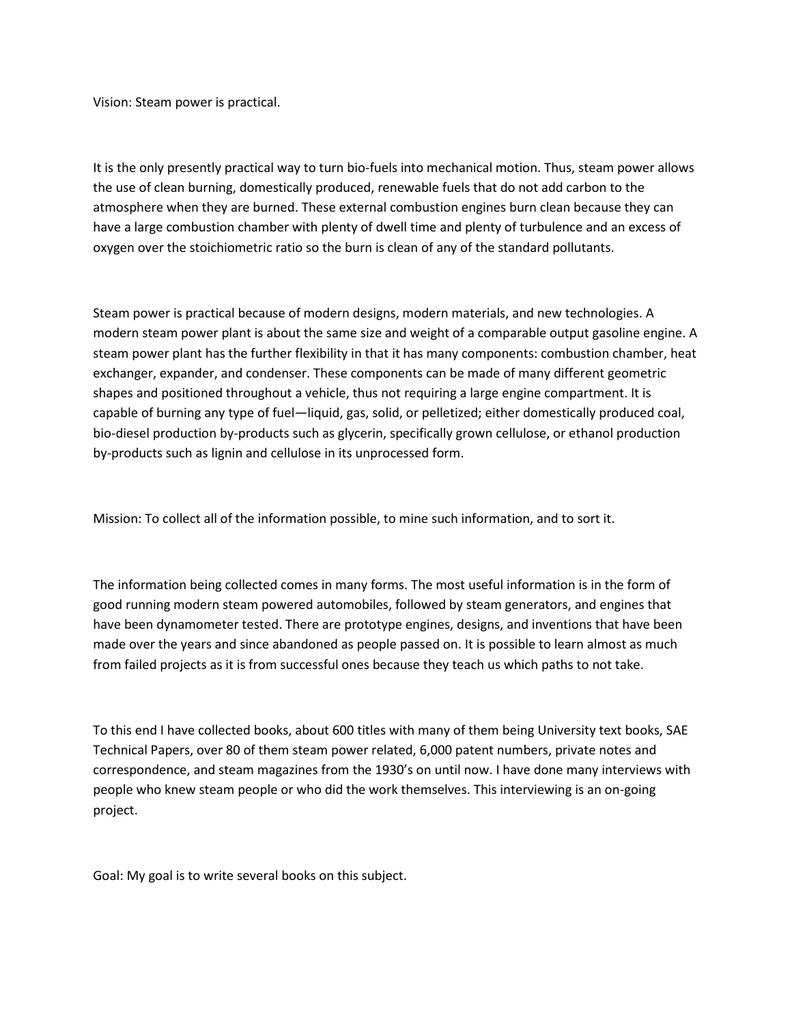Vision: Steam power is practical.

It is the only presently practical way to turn bio-fuels into mechanical motion. Thus, steam power allows the use of clean burning, domestically produced, renewable fuels that do not add carbon to the atmosphere when they are burned. These external combustion engines burn clean because they can have a large combustion chamber with plenty of dwell time and plenty of turbulence and an excess of oxygen over the stoichiometric ratio so the burn is clean of any of the standard pollutants.

Steam power is practical because of modern designs, modern materials, and new technologies. A modern steam power plant is about the same size and weight of a comparable output gasoline engine. A steam power plant has the further flexibility in that it has many components: combustion chamber, heat exchanger, expander, and condenser. These components can be made of many different geometric shapes and positioned throughout a vehicle, thus not requiring a large engine compartment. It is capable of burning any type of fuel—liquid, gas, solid, or pelletized; either domestically produced coal, bio-diesel production by-products such as glycerin, specifically grown cellulose, or ethanol production by-products such as lignin and cellulose in its unprocessed form.

Mission: To collect all of the information possible, to mine such information, and to sort it.

The information being collected comes in many forms. The most useful information is in the form of good running modern steam powered automobiles, followed by steam generators, and engines that have been dynamometer tested. There are prototype engines, designs, and inventions that have been made over the years and since abandoned as people passed on. It is possible to learn almost as much from failed projects as it is from successful ones because they teach us which paths to not take.

To this end I have collected books, about 600 titles with many of them being University text books, SAE Technical Papers, over 80 of them steam power related, 6,000 patent numbers, private notes and correspondence, and steam magazines from the 1930's on until now. I have done many interviews with people who knew steam people or who did the work themselves. This interviewing is an on-going project.

Goal: My goal is to write several books on this subject.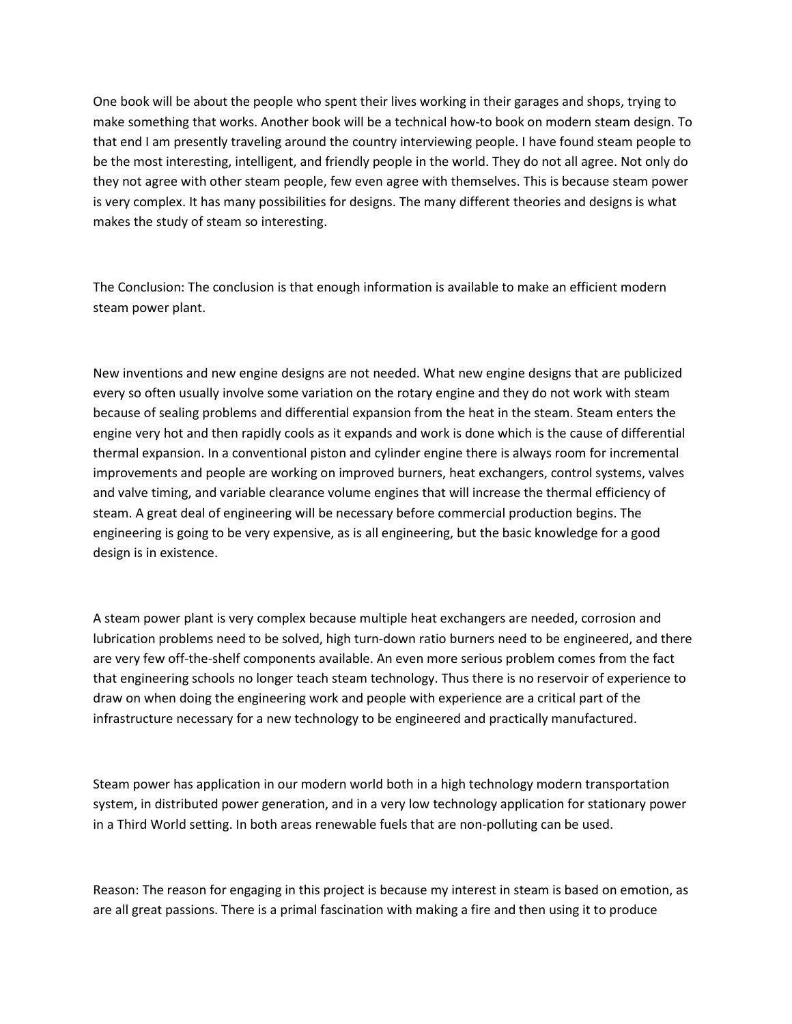One book will be about the people who spent their lives working in their garages and shops, trying to make something that works. Another book will be a technical how-to book on modern steam design. To that end I am presently traveling around the country interviewing people. I have found steam people to be the most interesting, intelligent, and friendly people in the world. They do not all agree. Not only do they not agree with other steam people, few even agree with themselves. This is because steam power is very complex. It has many possibilities for designs. The many different theories and designs is what makes the study of steam so interesting.

The Conclusion: The conclusion is that enough information is available to make an efficient modern steam power plant.

New inventions and new engine designs are not needed. What new engine designs that are publicized every so often usually involve some variation on the rotary engine and they do not work with steam because of sealing problems and differential expansion from the heat in the steam. Steam enters the engine very hot and then rapidly cools as it expands and work is done which is the cause of differential thermal expansion. In a conventional piston and cylinder engine there is always room for incremental improvements and people are working on improved burners, heat exchangers, control systems, valves and valve timing, and variable clearance volume engines that will increase the thermal efficiency of steam. A great deal of engineering will be necessary before commercial production begins. The engineering is going to be very expensive, as is all engineering, but the basic knowledge for a good design is in existence.

A steam power plant is very complex because multiple heat exchangers are needed, corrosion and lubrication problems need to be solved, high turn-down ratio burners need to be engineered, and there are very few off-the-shelf components available. An even more serious problem comes from the fact that engineering schools no longer teach steam technology. Thus there is no reservoir of experience to draw on when doing the engineering work and people with experience are a critical part of the infrastructure necessary for a new technology to be engineered and practically manufactured.

Steam power has application in our modern world both in a high technology modern transportation system, in distributed power generation, and in a very low technology application for stationary power in a Third World setting. In both areas renewable fuels that are non-polluting can be used.

Reason: The reason for engaging in this project is because my interest in steam is based on emotion, as are all great passions. There is a primal fascination with making a fire and then using it to produce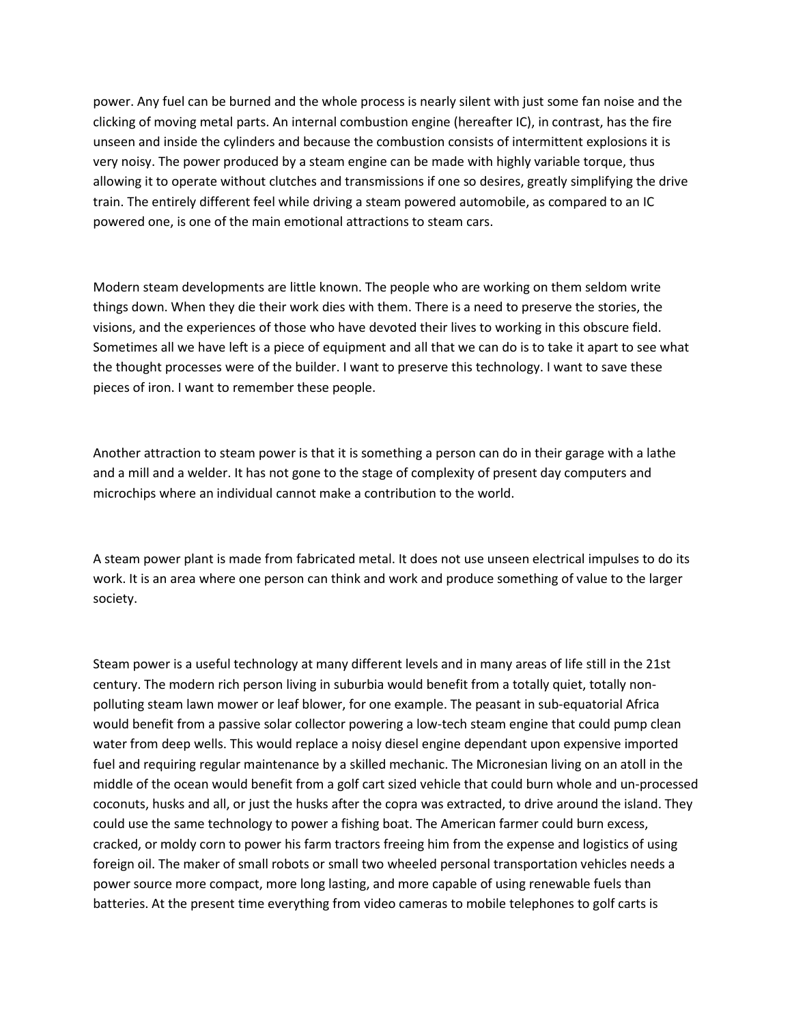power. Any fuel can be burned and the whole process is nearly silent with just some fan noise and the clicking of moving metal parts. An internal combustion engine (hereafter IC), in contrast, has the fire unseen and inside the cylinders and because the combustion consists of intermittent explosions it is very noisy. The power produced by a steam engine can be made with highly variable torque, thus allowing it to operate without clutches and transmissions if one so desires, greatly simplifying the drive train. The entirely different feel while driving a steam powered automobile, as compared to an IC powered one, is one of the main emotional attractions to steam cars.

Modern steam developments are little known. The people who are working on them seldom write things down. When they die their work dies with them. There is a need to preserve the stories, the visions, and the experiences of those who have devoted their lives to working in this obscure field. Sometimes all we have left is a piece of equipment and all that we can do is to take it apart to see what the thought processes were of the builder. I want to preserve this technology. I want to save these pieces of iron. I want to remember these people.

Another attraction to steam power is that it is something a person can do in their garage with a lathe and a mill and a welder. It has not gone to the stage of complexity of present day computers and microchips where an individual cannot make a contribution to the world.

A steam power plant is made from fabricated metal. It does not use unseen electrical impulses to do its work. It is an area where one person can think and work and produce something of value to the larger society.

Steam power is a useful technology at many different levels and in many areas of life still in the 21st century. The modern rich person living in suburbia would benefit from a totally quiet, totally nonpolluting steam lawn mower or leaf blower, for one example. The peasant in sub-equatorial Africa would benefit from a passive solar collector powering a low-tech steam engine that could pump clean water from deep wells. This would replace a noisy diesel engine dependant upon expensive imported fuel and requiring regular maintenance by a skilled mechanic. The Micronesian living on an atoll in the middle of the ocean would benefit from a golf cart sized vehicle that could burn whole and un-processed coconuts, husks and all, or just the husks after the copra was extracted, to drive around the island. They could use the same technology to power a fishing boat. The American farmer could burn excess, cracked, or moldy corn to power his farm tractors freeing him from the expense and logistics of using foreign oil. The maker of small robots or small two wheeled personal transportation vehicles needs a power source more compact, more long lasting, and more capable of using renewable fuels than batteries. At the present time everything from video cameras to mobile telephones to golf carts is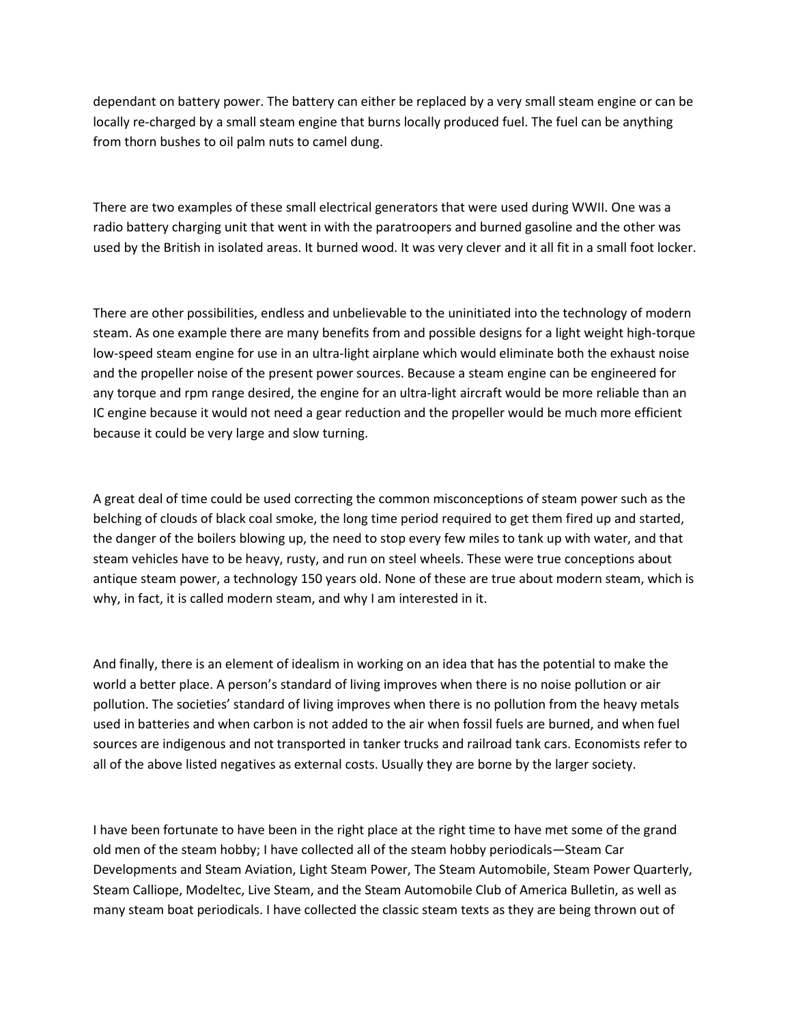dependant on battery power. The battery can either be replaced by a very small steam engine or can be locally re-charged by a small steam engine that burns locally produced fuel. The fuel can be anything from thorn bushes to oil palm nuts to camel dung.

There are two examples of these small electrical generators that were used during WWII. One was a radio battery charging unit that went in with the paratroopers and burned gasoline and the other was used by the British in isolated areas. It burned wood. It was very clever and it all fit in a small foot locker.

There are other possibilities, endless and unbelievable to the uninitiated into the technology of modern steam. As one example there are many benefits from and possible designs for a light weight high-torque low-speed steam engine for use in an ultra-light airplane which would eliminate both the exhaust noise and the propeller noise of the present power sources. Because a steam engine can be engineered for any torque and rpm range desired, the engine for an ultra-light aircraft would be more reliable than an IC engine because it would not need a gear reduction and the propeller would be much more efficient because it could be very large and slow turning.

A great deal of time could be used correcting the common misconceptions of steam power such as the belching of clouds of black coal smoke, the long time period required to get them fired up and started, the danger of the boilers blowing up, the need to stop every few miles to tank up with water, and that steam vehicles have to be heavy, rusty, and run on steel wheels. These were true conceptions about antique steam power, a technology 150 years old. None of these are true about modern steam, which is why, in fact, it is called modern steam, and why I am interested in it.

And finally, there is an element of idealism in working on an idea that has the potential to make the world a better place. A person's standard of living improves when there is no noise pollution or air pollution. The societies' standard of living improves when there is no pollution from the heavy metals used in batteries and when carbon is not added to the air when fossil fuels are burned, and when fuel sources are indigenous and not transported in tanker trucks and railroad tank cars. Economists refer to all of the above listed negatives as external costs. Usually they are borne by the larger society.

I have been fortunate to have been in the right place at the right time to have met some of the grand old men of the steam hobby; I have collected all of the steam hobby periodicals—Steam Car Developments and Steam Aviation, Light Steam Power, The Steam Automobile, Steam Power Quarterly, Steam Calliope, Modeltec, Live Steam, and the Steam Automobile Club of America Bulletin, as well as many steam boat periodicals. I have collected the classic steam texts as they are being thrown out of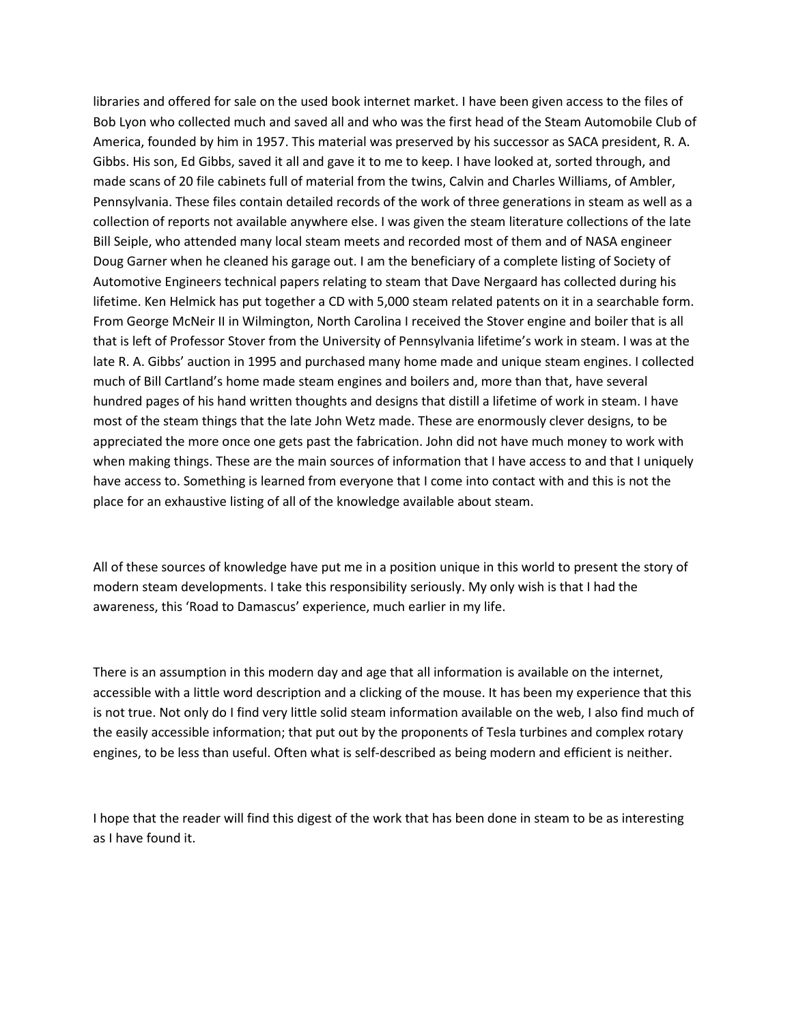libraries and offered for sale on the used book internet market. I have been given access to the files of Bob Lyon who collected much and saved all and who was the first head of the Steam Automobile Club of America, founded by him in 1957. This material was preserved by his successor as SACA president, R. A. Gibbs. His son, Ed Gibbs, saved it all and gave it to me to keep. I have looked at, sorted through, and made scans of 20 file cabinets full of material from the twins, Calvin and Charles Williams, of Ambler, Pennsylvania. These files contain detailed records of the work of three generations in steam as well as a collection of reports not available anywhere else. I was given the steam literature collections of the late Bill Seiple, who attended many local steam meets and recorded most of them and of NASA engineer Doug Garner when he cleaned his garage out. I am the beneficiary of a complete listing of Society of Automotive Engineers technical papers relating to steam that Dave Nergaard has collected during his lifetime. Ken Helmick has put together a CD with 5,000 steam related patents on it in a searchable form. From George McNeir II in Wilmington, North Carolina I received the Stover engine and boiler that is all that is left of Professor Stover from the University of Pennsylvania lifetime's work in steam. I was at the late R. A. Gibbs' auction in 1995 and purchased many home made and unique steam engines. I collected much of Bill Cartland's home made steam engines and boilers and, more than that, have several hundred pages of his hand written thoughts and designs that distill a lifetime of work in steam. I have most of the steam things that the late John Wetz made. These are enormously clever designs, to be appreciated the more once one gets past the fabrication. John did not have much money to work with when making things. These are the main sources of information that I have access to and that I uniquely have access to. Something is learned from everyone that I come into contact with and this is not the place for an exhaustive listing of all of the knowledge available about steam.

All of these sources of knowledge have put me in a position unique in this world to present the story of modern steam developments. I take this responsibility seriously. My only wish is that I had the awareness, this 'Road to Damascus' experience, much earlier in my life.

There is an assumption in this modern day and age that all information is available on the internet, accessible with a little word description and a clicking of the mouse. It has been my experience that this is not true. Not only do I find very little solid steam information available on the web, I also find much of the easily accessible information; that put out by the proponents of Tesla turbines and complex rotary engines, to be less than useful. Often what is self-described as being modern and efficient is neither.

I hope that the reader will find this digest of the work that has been done in steam to be as interesting as I have found it.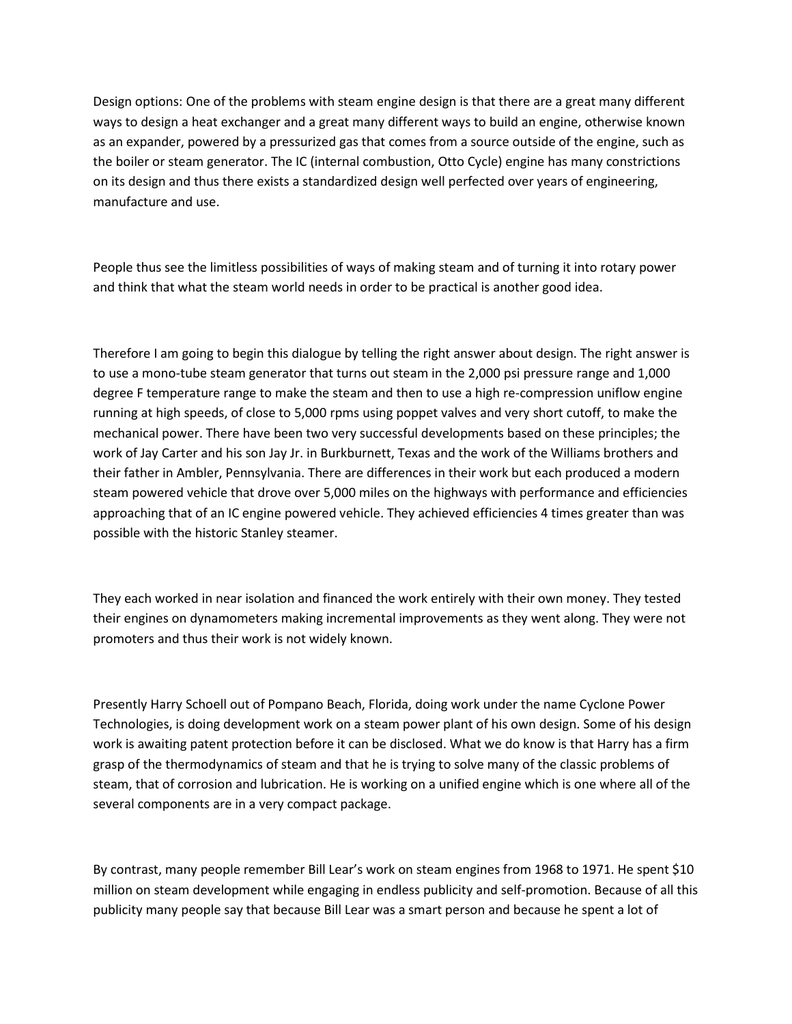Design options: One of the problems with steam engine design is that there are a great many different ways to design a heat exchanger and a great many different ways to build an engine, otherwise known as an expander, powered by a pressurized gas that comes from a source outside of the engine, such as the boiler or steam generator. The IC (internal combustion, Otto Cycle) engine has many constrictions on its design and thus there exists a standardized design well perfected over years of engineering, manufacture and use.

People thus see the limitless possibilities of ways of making steam and of turning it into rotary power and think that what the steam world needs in order to be practical is another good idea.

Therefore I am going to begin this dialogue by telling the right answer about design. The right answer is to use a mono-tube steam generator that turns out steam in the 2,000 psi pressure range and 1,000 degree F temperature range to make the steam and then to use a high re-compression uniflow engine running at high speeds, of close to 5,000 rpms using poppet valves and very short cutoff, to make the mechanical power. There have been two very successful developments based on these principles; the work of Jay Carter and his son Jay Jr. in Burkburnett, Texas and the work of the Williams brothers and their father in Ambler, Pennsylvania. There are differences in their work but each produced a modern steam powered vehicle that drove over 5,000 miles on the highways with performance and efficiencies approaching that of an IC engine powered vehicle. They achieved efficiencies 4 times greater than was possible with the historic Stanley steamer.

They each worked in near isolation and financed the work entirely with their own money. They tested their engines on dynamometers making incremental improvements as they went along. They were not promoters and thus their work is not widely known.

Presently Harry Schoell out of Pompano Beach, Florida, doing work under the name Cyclone Power Technologies, is doing development work on a steam power plant of his own design. Some of his design work is awaiting patent protection before it can be disclosed. What we do know is that Harry has a firm grasp of the thermodynamics of steam and that he is trying to solve many of the classic problems of steam, that of corrosion and lubrication. He is working on a unified engine which is one where all of the several components are in a very compact package.

By contrast, many people remember Bill Lear's work on steam engines from 1968 to 1971. He spent \$10 million on steam development while engaging in endless publicity and self-promotion. Because of all this publicity many people say that because Bill Lear was a smart person and because he spent a lot of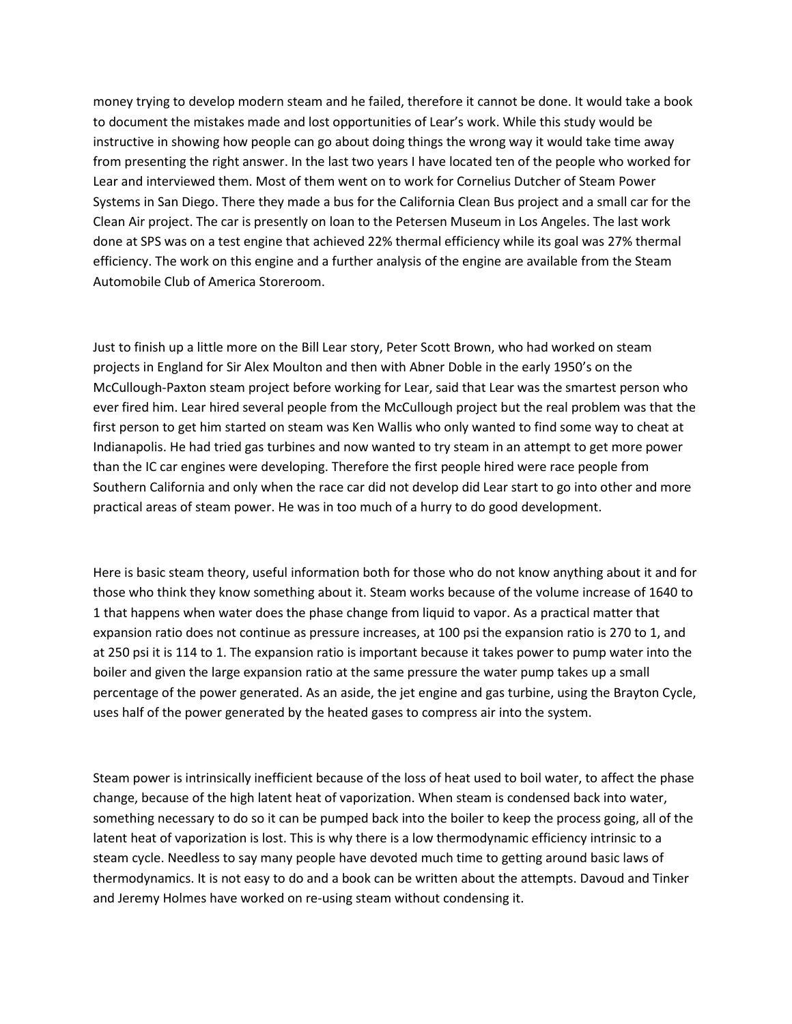money trying to develop modern steam and he failed, therefore it cannot be done. It would take a book to document the mistakes made and lost opportunities of Lear's work. While this study would be instructive in showing how people can go about doing things the wrong way it would take time away from presenting the right answer. In the last two years I have located ten of the people who worked for Lear and interviewed them. Most of them went on to work for Cornelius Dutcher of Steam Power Systems in San Diego. There they made a bus for the California Clean Bus project and a small car for the Clean Air project. The car is presently on loan to the Petersen Museum in Los Angeles. The last work done at SPS was on a test engine that achieved 22% thermal efficiency while its goal was 27% thermal efficiency. The work on this engine and a further analysis of the engine are available from the Steam Automobile Club of America Storeroom.

Just to finish up a little more on the Bill Lear story, Peter Scott Brown, who had worked on steam projects in England for Sir Alex Moulton and then with Abner Doble in the early 1950's on the McCullough-Paxton steam project before working for Lear, said that Lear was the smartest person who ever fired him. Lear hired several people from the McCullough project but the real problem was that the first person to get him started on steam was Ken Wallis who only wanted to find some way to cheat at Indianapolis. He had tried gas turbines and now wanted to try steam in an attempt to get more power than the IC car engines were developing. Therefore the first people hired were race people from Southern California and only when the race car did not develop did Lear start to go into other and more practical areas of steam power. He was in too much of a hurry to do good development.

Here is basic steam theory, useful information both for those who do not know anything about it and for those who think they know something about it. Steam works because of the volume increase of 1640 to 1 that happens when water does the phase change from liquid to vapor. As a practical matter that expansion ratio does not continue as pressure increases, at 100 psi the expansion ratio is 270 to 1, and at 250 psi it is 114 to 1. The expansion ratio is important because it takes power to pump water into the boiler and given the large expansion ratio at the same pressure the water pump takes up a small percentage of the power generated. As an aside, the jet engine and gas turbine, using the Brayton Cycle, uses half of the power generated by the heated gases to compress air into the system.

Steam power is intrinsically inefficient because of the loss of heat used to boil water, to affect the phase change, because of the high latent heat of vaporization. When steam is condensed back into water, something necessary to do so it can be pumped back into the boiler to keep the process going, all of the latent heat of vaporization is lost. This is why there is a low thermodynamic efficiency intrinsic to a steam cycle. Needless to say many people have devoted much time to getting around basic laws of thermodynamics. It is not easy to do and a book can be written about the attempts. Davoud and Tinker and Jeremy Holmes have worked on re-using steam without condensing it.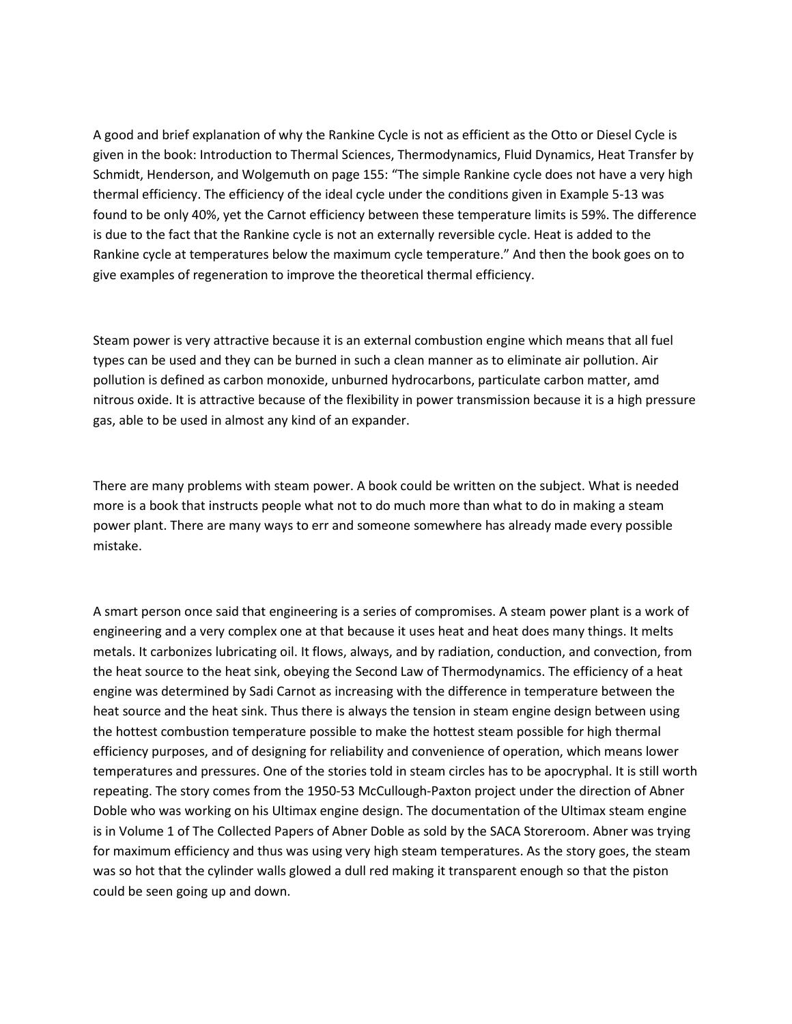A good and brief explanation of why the Rankine Cycle is not as efficient as the Otto or Diesel Cycle is given in the book: Introduction to Thermal Sciences, Thermodynamics, Fluid Dynamics, Heat Transfer by Schmidt, Henderson, and Wolgemuth on page 155: "The simple Rankine cycle does not have a very high thermal efficiency. The efficiency of the ideal cycle under the conditions given in Example 5-13 was found to be only 40%, yet the Carnot efficiency between these temperature limits is 59%. The difference is due to the fact that the Rankine cycle is not an externally reversible cycle. Heat is added to the Rankine cycle at temperatures below the maximum cycle temperature." And then the book goes on to give examples of regeneration to improve the theoretical thermal efficiency.

Steam power is very attractive because it is an external combustion engine which means that all fuel types can be used and they can be burned in such a clean manner as to eliminate air pollution. Air pollution is defined as carbon monoxide, unburned hydrocarbons, particulate carbon matter, amd nitrous oxide. It is attractive because of the flexibility in power transmission because it is a high pressure gas, able to be used in almost any kind of an expander.

There are many problems with steam power. A book could be written on the subject. What is needed more is a book that instructs people what not to do much more than what to do in making a steam power plant. There are many ways to err and someone somewhere has already made every possible mistake.

A smart person once said that engineering is a series of compromises. A steam power plant is a work of engineering and a very complex one at that because it uses heat and heat does many things. It melts metals. It carbonizes lubricating oil. It flows, always, and by radiation, conduction, and convection, from the heat source to the heat sink, obeying the Second Law of Thermodynamics. The efficiency of a heat engine was determined by Sadi Carnot as increasing with the difference in temperature between the heat source and the heat sink. Thus there is always the tension in steam engine design between using the hottest combustion temperature possible to make the hottest steam possible for high thermal efficiency purposes, and of designing for reliability and convenience of operation, which means lower temperatures and pressures. One of the stories told in steam circles has to be apocryphal. It is still worth repeating. The story comes from the 1950-53 McCullough-Paxton project under the direction of Abner Doble who was working on his Ultimax engine design. The documentation of the Ultimax steam engine is in Volume 1 of The Collected Papers of Abner Doble as sold by the SACA Storeroom. Abner was trying for maximum efficiency and thus was using very high steam temperatures. As the story goes, the steam was so hot that the cylinder walls glowed a dull red making it transparent enough so that the piston could be seen going up and down.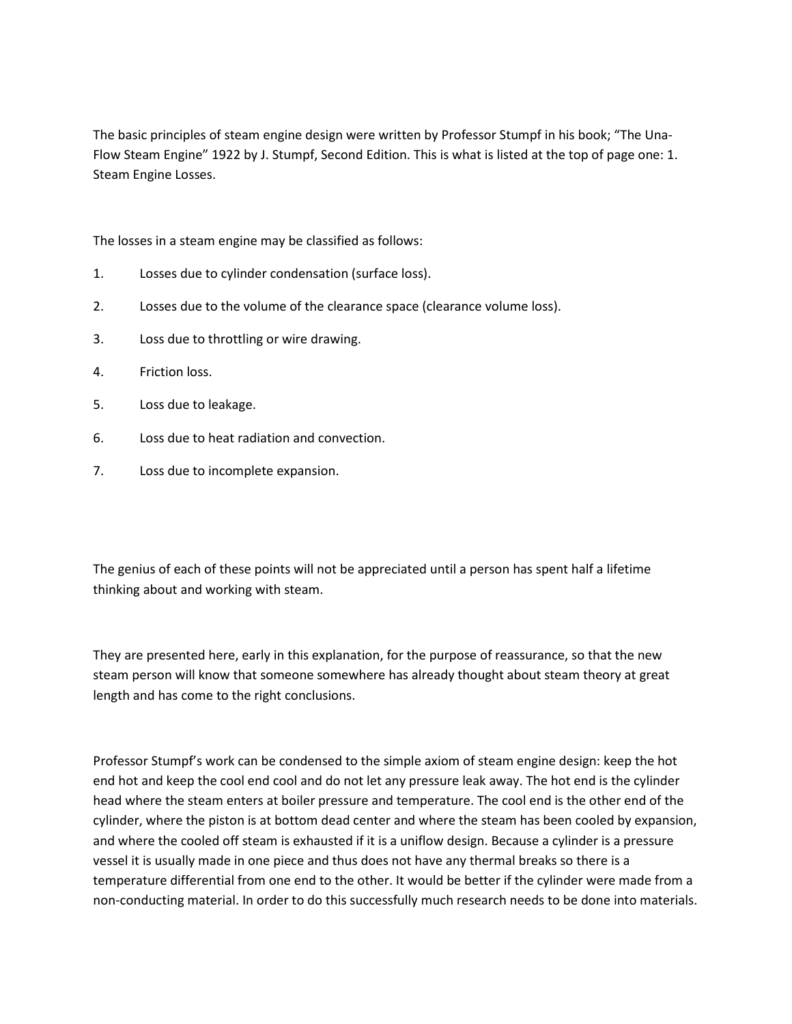The basic principles of steam engine design were written by Professor Stumpf in his book; "The Una-Flow Steam Engine" 1922 by J. Stumpf, Second Edition. This is what is listed at the top of page one: 1. Steam Engine Losses.

The losses in a steam engine may be classified as follows:

- 1. Losses due to cylinder condensation (surface loss).
- 2. Losses due to the volume of the clearance space (clearance volume loss).
- 3. Loss due to throttling or wire drawing.
- 4. Friction loss.
- 5. Loss due to leakage.
- 6. Loss due to heat radiation and convection.
- 7. Loss due to incomplete expansion.

The genius of each of these points will not be appreciated until a person has spent half a lifetime thinking about and working with steam.

They are presented here, early in this explanation, for the purpose of reassurance, so that the new steam person will know that someone somewhere has already thought about steam theory at great length and has come to the right conclusions.

Professor Stumpf's work can be condensed to the simple axiom of steam engine design: keep the hot end hot and keep the cool end cool and do not let any pressure leak away. The hot end is the cylinder head where the steam enters at boiler pressure and temperature. The cool end is the other end of the cylinder, where the piston is at bottom dead center and where the steam has been cooled by expansion, and where the cooled off steam is exhausted if it is a uniflow design. Because a cylinder is a pressure vessel it is usually made in one piece and thus does not have any thermal breaks so there is a temperature differential from one end to the other. It would be better if the cylinder were made from a non-conducting material. In order to do this successfully much research needs to be done into materials.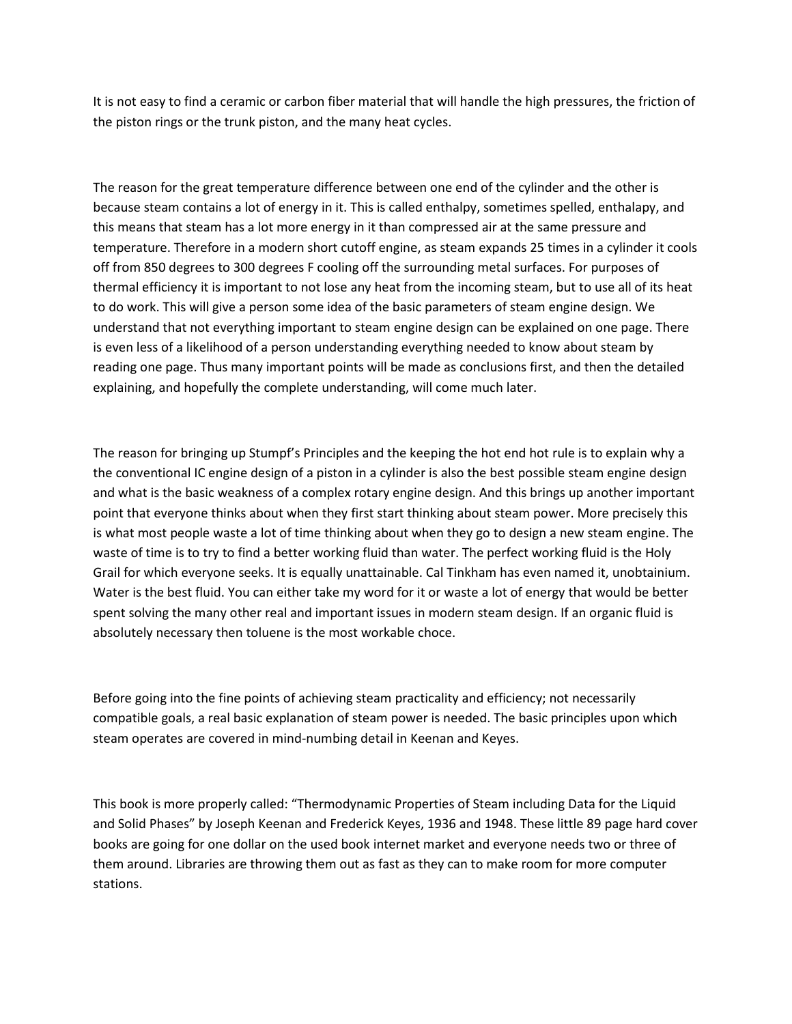It is not easy to find a ceramic or carbon fiber material that will handle the high pressures, the friction of the piston rings or the trunk piston, and the many heat cycles.

The reason for the great temperature difference between one end of the cylinder and the other is because steam contains a lot of energy in it. This is called enthalpy, sometimes spelled, enthalapy, and this means that steam has a lot more energy in it than compressed air at the same pressure and temperature. Therefore in a modern short cutoff engine, as steam expands 25 times in a cylinder it cools off from 850 degrees to 300 degrees F cooling off the surrounding metal surfaces. For purposes of thermal efficiency it is important to not lose any heat from the incoming steam, but to use all of its heat to do work. This will give a person some idea of the basic parameters of steam engine design. We understand that not everything important to steam engine design can be explained on one page. There is even less of a likelihood of a person understanding everything needed to know about steam by reading one page. Thus many important points will be made as conclusions first, and then the detailed explaining, and hopefully the complete understanding, will come much later.

The reason for bringing up Stumpf's Principles and the keeping the hot end hot rule is to explain why a the conventional IC engine design of a piston in a cylinder is also the best possible steam engine design and what is the basic weakness of a complex rotary engine design. And this brings up another important point that everyone thinks about when they first start thinking about steam power. More precisely this is what most people waste a lot of time thinking about when they go to design a new steam engine. The waste of time is to try to find a better working fluid than water. The perfect working fluid is the Holy Grail for which everyone seeks. It is equally unattainable. Cal Tinkham has even named it, unobtainium. Water is the best fluid. You can either take my word for it or waste a lot of energy that would be better spent solving the many other real and important issues in modern steam design. If an organic fluid is absolutely necessary then toluene is the most workable choce.

Before going into the fine points of achieving steam practicality and efficiency; not necessarily compatible goals, a real basic explanation of steam power is needed. The basic principles upon which steam operates are covered in mind-numbing detail in Keenan and Keyes.

This book is more properly called: "Thermodynamic Properties of Steam including Data for the Liquid and Solid Phases" by Joseph Keenan and Frederick Keyes, 1936 and 1948. These little 89 page hard cover books are going for one dollar on the used book internet market and everyone needs two or three of them around. Libraries are throwing them out as fast as they can to make room for more computer stations.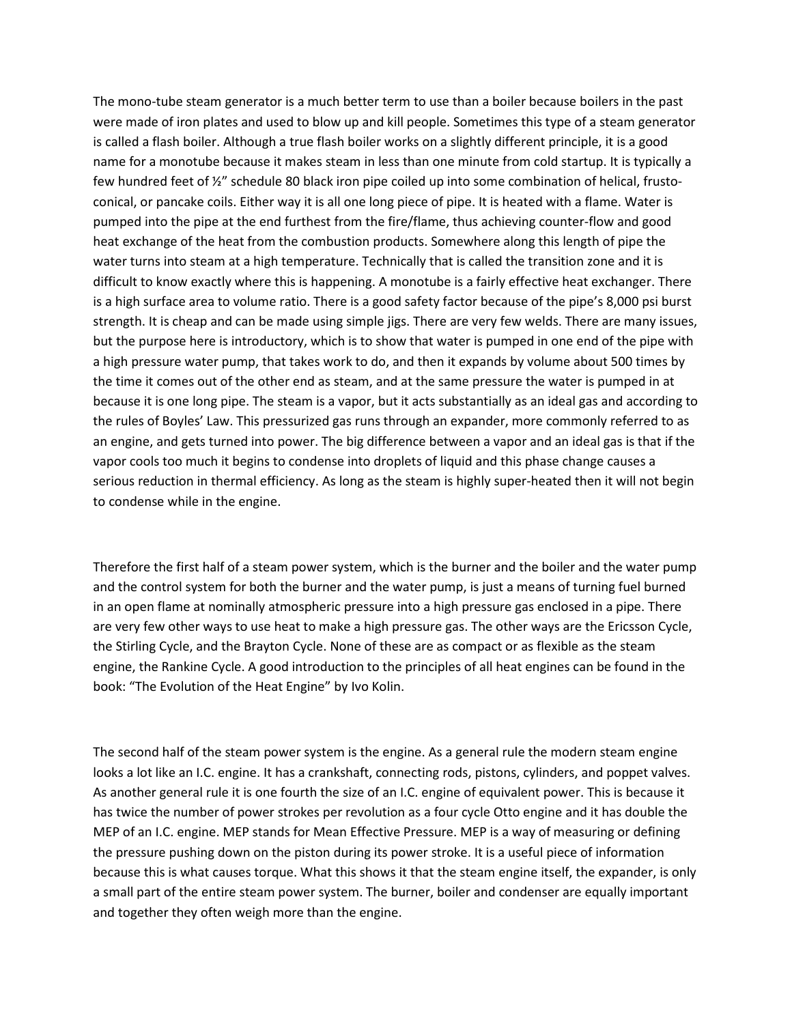The mono-tube steam generator is a much better term to use than a boiler because boilers in the past were made of iron plates and used to blow up and kill people. Sometimes this type of a steam generator is called a flash boiler. Although a true flash boiler works on a slightly different principle, it is a good name for a monotube because it makes steam in less than one minute from cold startup. It is typically a few hundred feet of ½" schedule 80 black iron pipe coiled up into some combination of helical, frustoconical, or pancake coils. Either way it is all one long piece of pipe. It is heated with a flame. Water is pumped into the pipe at the end furthest from the fire/flame, thus achieving counter-flow and good heat exchange of the heat from the combustion products. Somewhere along this length of pipe the water turns into steam at a high temperature. Technically that is called the transition zone and it is difficult to know exactly where this is happening. A monotube is a fairly effective heat exchanger. There is a high surface area to volume ratio. There is a good safety factor because of the pipe's 8,000 psi burst strength. It is cheap and can be made using simple jigs. There are very few welds. There are many issues, but the purpose here is introductory, which is to show that water is pumped in one end of the pipe with a high pressure water pump, that takes work to do, and then it expands by volume about 500 times by the time it comes out of the other end as steam, and at the same pressure the water is pumped in at because it is one long pipe. The steam is a vapor, but it acts substantially as an ideal gas and according to the rules of Boyles' Law. This pressurized gas runs through an expander, more commonly referred to as an engine, and gets turned into power. The big difference between a vapor and an ideal gas is that if the vapor cools too much it begins to condense into droplets of liquid and this phase change causes a serious reduction in thermal efficiency. As long as the steam is highly super-heated then it will not begin to condense while in the engine.

Therefore the first half of a steam power system, which is the burner and the boiler and the water pump and the control system for both the burner and the water pump, is just a means of turning fuel burned in an open flame at nominally atmospheric pressure into a high pressure gas enclosed in a pipe. There are very few other ways to use heat to make a high pressure gas. The other ways are the Ericsson Cycle, the Stirling Cycle, and the Brayton Cycle. None of these are as compact or as flexible as the steam engine, the Rankine Cycle. A good introduction to the principles of all heat engines can be found in the book: "The Evolution of the Heat Engine" by Ivo Kolin.

The second half of the steam power system is the engine. As a general rule the modern steam engine looks a lot like an I.C. engine. It has a crankshaft, connecting rods, pistons, cylinders, and poppet valves. As another general rule it is one fourth the size of an I.C. engine of equivalent power. This is because it has twice the number of power strokes per revolution as a four cycle Otto engine and it has double the MEP of an I.C. engine. MEP stands for Mean Effective Pressure. MEP is a way of measuring or defining the pressure pushing down on the piston during its power stroke. It is a useful piece of information because this is what causes torque. What this shows it that the steam engine itself, the expander, is only a small part of the entire steam power system. The burner, boiler and condenser are equally important and together they often weigh more than the engine.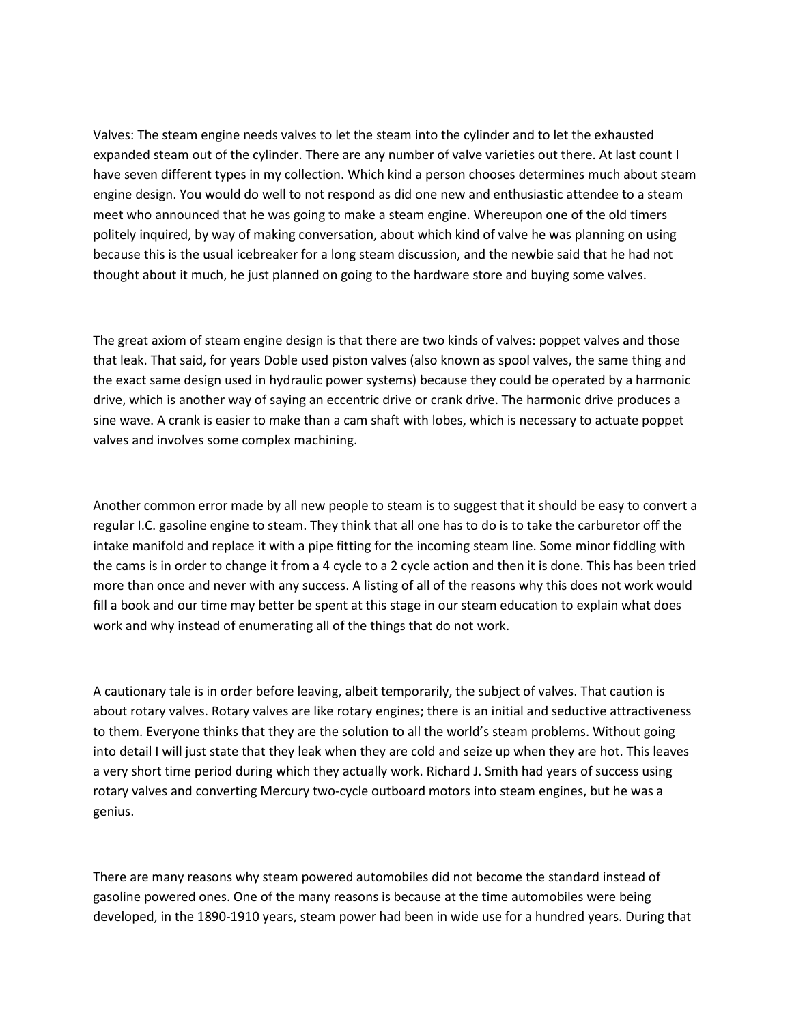Valves: The steam engine needs valves to let the steam into the cylinder and to let the exhausted expanded steam out of the cylinder. There are any number of valve varieties out there. At last count I have seven different types in my collection. Which kind a person chooses determines much about steam engine design. You would do well to not respond as did one new and enthusiastic attendee to a steam meet who announced that he was going to make a steam engine. Whereupon one of the old timers politely inquired, by way of making conversation, about which kind of valve he was planning on using because this is the usual icebreaker for a long steam discussion, and the newbie said that he had not thought about it much, he just planned on going to the hardware store and buying some valves.

The great axiom of steam engine design is that there are two kinds of valves: poppet valves and those that leak. That said, for years Doble used piston valves (also known as spool valves, the same thing and the exact same design used in hydraulic power systems) because they could be operated by a harmonic drive, which is another way of saying an eccentric drive or crank drive. The harmonic drive produces a sine wave. A crank is easier to make than a cam shaft with lobes, which is necessary to actuate poppet valves and involves some complex machining.

Another common error made by all new people to steam is to suggest that it should be easy to convert a regular I.C. gasoline engine to steam. They think that all one has to do is to take the carburetor off the intake manifold and replace it with a pipe fitting for the incoming steam line. Some minor fiddling with the cams is in order to change it from a 4 cycle to a 2 cycle action and then it is done. This has been tried more than once and never with any success. A listing of all of the reasons why this does not work would fill a book and our time may better be spent at this stage in our steam education to explain what does work and why instead of enumerating all of the things that do not work.

A cautionary tale is in order before leaving, albeit temporarily, the subject of valves. That caution is about rotary valves. Rotary valves are like rotary engines; there is an initial and seductive attractiveness to them. Everyone thinks that they are the solution to all the world's steam problems. Without going into detail I will just state that they leak when they are cold and seize up when they are hot. This leaves a very short time period during which they actually work. Richard J. Smith had years of success using rotary valves and converting Mercury two-cycle outboard motors into steam engines, but he was a genius.

There are many reasons why steam powered automobiles did not become the standard instead of gasoline powered ones. One of the many reasons is because at the time automobiles were being developed, in the 1890-1910 years, steam power had been in wide use for a hundred years. During that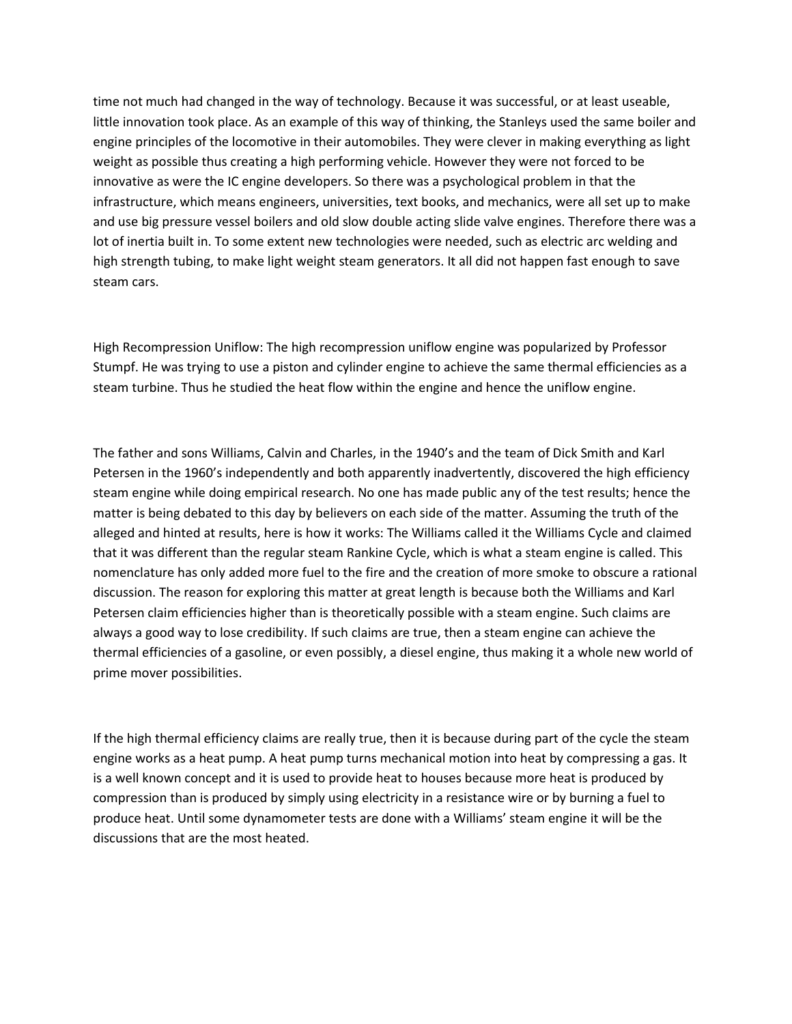time not much had changed in the way of technology. Because it was successful, or at least useable, little innovation took place. As an example of this way of thinking, the Stanleys used the same boiler and engine principles of the locomotive in their automobiles. They were clever in making everything as light weight as possible thus creating a high performing vehicle. However they were not forced to be innovative as were the IC engine developers. So there was a psychological problem in that the infrastructure, which means engineers, universities, text books, and mechanics, were all set up to make and use big pressure vessel boilers and old slow double acting slide valve engines. Therefore there was a lot of inertia built in. To some extent new technologies were needed, such as electric arc welding and high strength tubing, to make light weight steam generators. It all did not happen fast enough to save steam cars.

High Recompression Uniflow: The high recompression uniflow engine was popularized by Professor Stumpf. He was trying to use a piston and cylinder engine to achieve the same thermal efficiencies as a steam turbine. Thus he studied the heat flow within the engine and hence the uniflow engine.

The father and sons Williams, Calvin and Charles, in the 1940's and the team of Dick Smith and Karl Petersen in the 1960's independently and both apparently inadvertently, discovered the high efficiency steam engine while doing empirical research. No one has made public any of the test results; hence the matter is being debated to this day by believers on each side of the matter. Assuming the truth of the alleged and hinted at results, here is how it works: The Williams called it the Williams Cycle and claimed that it was different than the regular steam Rankine Cycle, which is what a steam engine is called. This nomenclature has only added more fuel to the fire and the creation of more smoke to obscure a rational discussion. The reason for exploring this matter at great length is because both the Williams and Karl Petersen claim efficiencies higher than is theoretically possible with a steam engine. Such claims are always a good way to lose credibility. If such claims are true, then a steam engine can achieve the thermal efficiencies of a gasoline, or even possibly, a diesel engine, thus making it a whole new world of prime mover possibilities.

If the high thermal efficiency claims are really true, then it is because during part of the cycle the steam engine works as a heat pump. A heat pump turns mechanical motion into heat by compressing a gas. It is a well known concept and it is used to provide heat to houses because more heat is produced by compression than is produced by simply using electricity in a resistance wire or by burning a fuel to produce heat. Until some dynamometer tests are done with a Williams' steam engine it will be the discussions that are the most heated.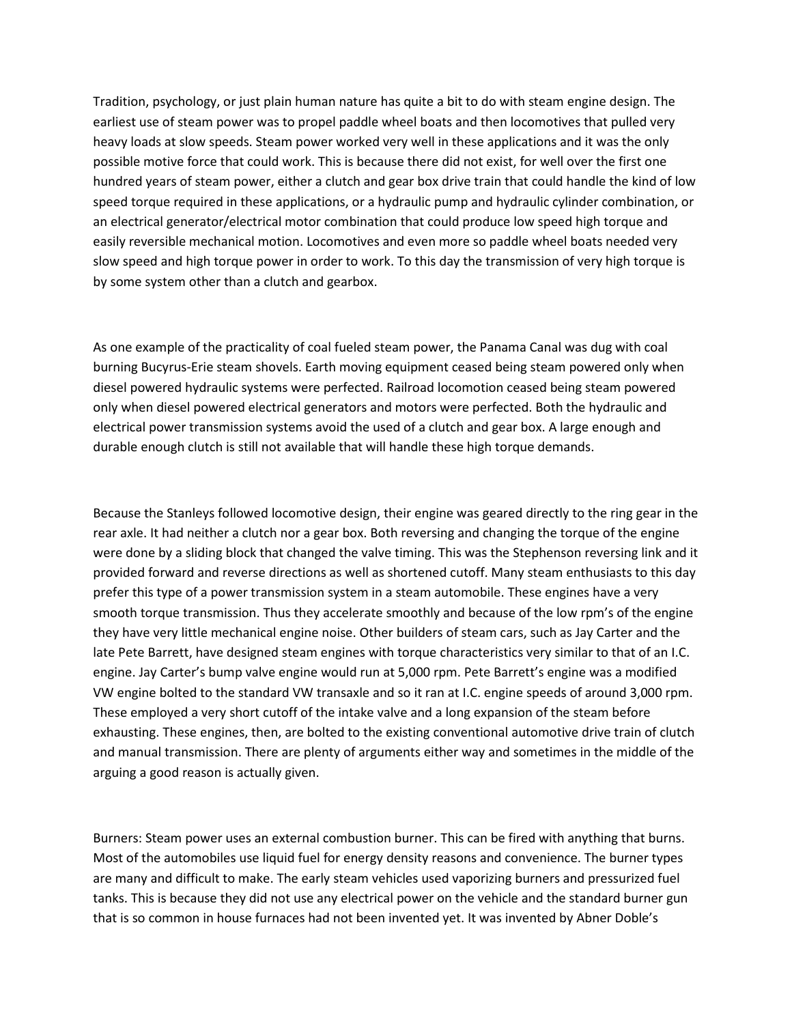Tradition, psychology, or just plain human nature has quite a bit to do with steam engine design. The earliest use of steam power was to propel paddle wheel boats and then locomotives that pulled very heavy loads at slow speeds. Steam power worked very well in these applications and it was the only possible motive force that could work. This is because there did not exist, for well over the first one hundred years of steam power, either a clutch and gear box drive train that could handle the kind of low speed torque required in these applications, or a hydraulic pump and hydraulic cylinder combination, or an electrical generator/electrical motor combination that could produce low speed high torque and easily reversible mechanical motion. Locomotives and even more so paddle wheel boats needed very slow speed and high torque power in order to work. To this day the transmission of very high torque is by some system other than a clutch and gearbox.

As one example of the practicality of coal fueled steam power, the Panama Canal was dug with coal burning Bucyrus-Erie steam shovels. Earth moving equipment ceased being steam powered only when diesel powered hydraulic systems were perfected. Railroad locomotion ceased being steam powered only when diesel powered electrical generators and motors were perfected. Both the hydraulic and electrical power transmission systems avoid the used of a clutch and gear box. A large enough and durable enough clutch is still not available that will handle these high torque demands.

Because the Stanleys followed locomotive design, their engine was geared directly to the ring gear in the rear axle. It had neither a clutch nor a gear box. Both reversing and changing the torque of the engine were done by a sliding block that changed the valve timing. This was the Stephenson reversing link and it provided forward and reverse directions as well as shortened cutoff. Many steam enthusiasts to this day prefer this type of a power transmission system in a steam automobile. These engines have a very smooth torque transmission. Thus they accelerate smoothly and because of the low rpm's of the engine they have very little mechanical engine noise. Other builders of steam cars, such as Jay Carter and the late Pete Barrett, have designed steam engines with torque characteristics very similar to that of an I.C. engine. Jay Carter's bump valve engine would run at 5,000 rpm. Pete Barrett's engine was a modified VW engine bolted to the standard VW transaxle and so it ran at I.C. engine speeds of around 3,000 rpm. These employed a very short cutoff of the intake valve and a long expansion of the steam before exhausting. These engines, then, are bolted to the existing conventional automotive drive train of clutch and manual transmission. There are plenty of arguments either way and sometimes in the middle of the arguing a good reason is actually given.

Burners: Steam power uses an external combustion burner. This can be fired with anything that burns. Most of the automobiles use liquid fuel for energy density reasons and convenience. The burner types are many and difficult to make. The early steam vehicles used vaporizing burners and pressurized fuel tanks. This is because they did not use any electrical power on the vehicle and the standard burner gun that is so common in house furnaces had not been invented yet. It was invented by Abner Doble's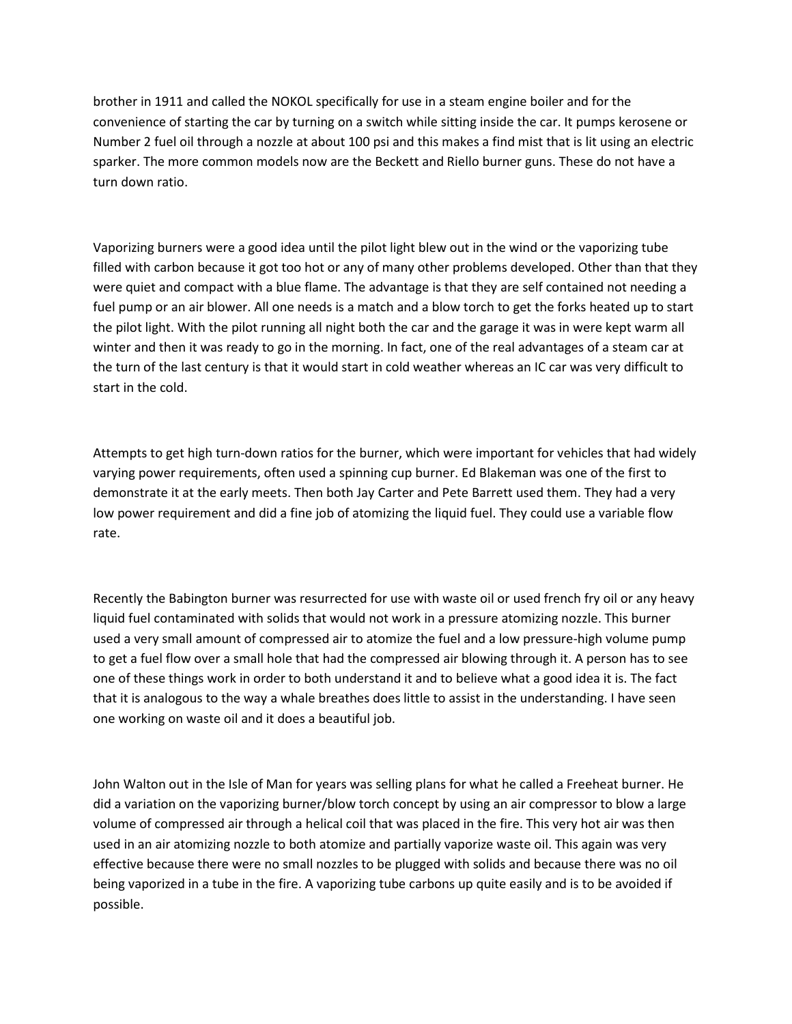brother in 1911 and called the NOKOL specifically for use in a steam engine boiler and for the convenience of starting the car by turning on a switch while sitting inside the car. It pumps kerosene or Number 2 fuel oil through a nozzle at about 100 psi and this makes a find mist that is lit using an electric sparker. The more common models now are the Beckett and Riello burner guns. These do not have a turn down ratio.

Vaporizing burners were a good idea until the pilot light blew out in the wind or the vaporizing tube filled with carbon because it got too hot or any of many other problems developed. Other than that they were quiet and compact with a blue flame. The advantage is that they are self contained not needing a fuel pump or an air blower. All one needs is a match and a blow torch to get the forks heated up to start the pilot light. With the pilot running all night both the car and the garage it was in were kept warm all winter and then it was ready to go in the morning. In fact, one of the real advantages of a steam car at the turn of the last century is that it would start in cold weather whereas an IC car was very difficult to start in the cold.

Attempts to get high turn-down ratios for the burner, which were important for vehicles that had widely varying power requirements, often used a spinning cup burner. Ed Blakeman was one of the first to demonstrate it at the early meets. Then both Jay Carter and Pete Barrett used them. They had a very low power requirement and did a fine job of atomizing the liquid fuel. They could use a variable flow rate.

Recently the Babington burner was resurrected for use with waste oil or used french fry oil or any heavy liquid fuel contaminated with solids that would not work in a pressure atomizing nozzle. This burner used a very small amount of compressed air to atomize the fuel and a low pressure-high volume pump to get a fuel flow over a small hole that had the compressed air blowing through it. A person has to see one of these things work in order to both understand it and to believe what a good idea it is. The fact that it is analogous to the way a whale breathes does little to assist in the understanding. I have seen one working on waste oil and it does a beautiful job.

John Walton out in the Isle of Man for years was selling plans for what he called a Freeheat burner. He did a variation on the vaporizing burner/blow torch concept by using an air compressor to blow a large volume of compressed air through a helical coil that was placed in the fire. This very hot air was then used in an air atomizing nozzle to both atomize and partially vaporize waste oil. This again was very effective because there were no small nozzles to be plugged with solids and because there was no oil being vaporized in a tube in the fire. A vaporizing tube carbons up quite easily and is to be avoided if possible.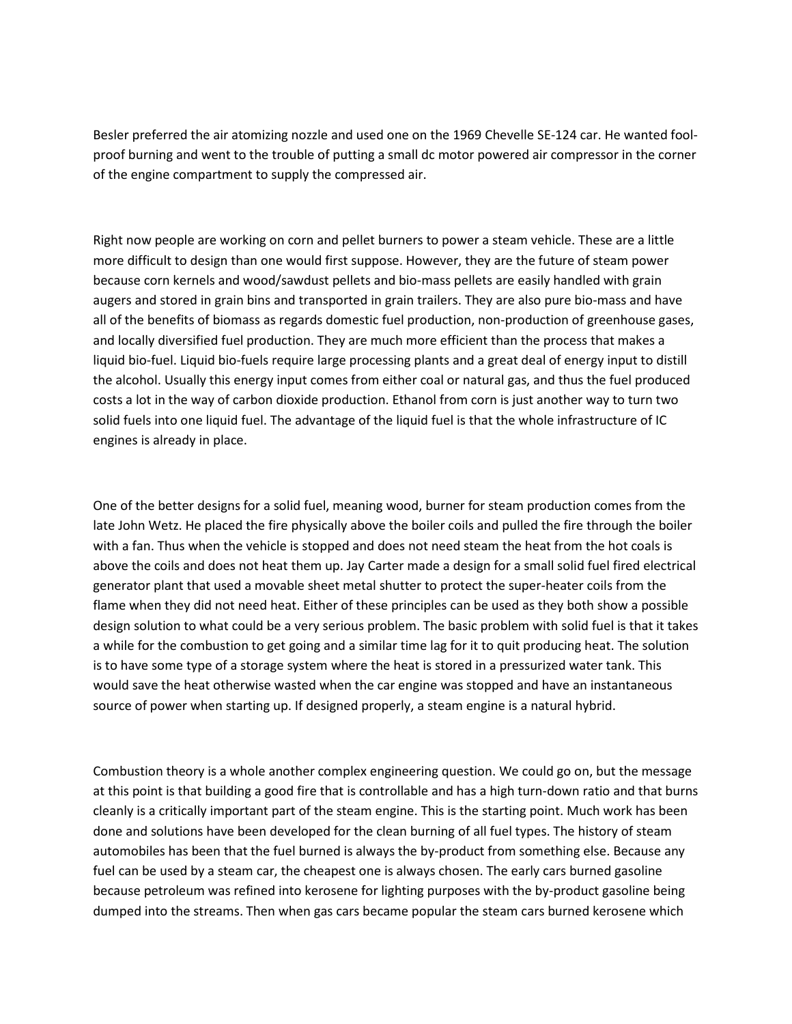Besler preferred the air atomizing nozzle and used one on the 1969 Chevelle SE-124 car. He wanted foolproof burning and went to the trouble of putting a small dc motor powered air compressor in the corner of the engine compartment to supply the compressed air.

Right now people are working on corn and pellet burners to power a steam vehicle. These are a little more difficult to design than one would first suppose. However, they are the future of steam power because corn kernels and wood/sawdust pellets and bio-mass pellets are easily handled with grain augers and stored in grain bins and transported in grain trailers. They are also pure bio-mass and have all of the benefits of biomass as regards domestic fuel production, non-production of greenhouse gases, and locally diversified fuel production. They are much more efficient than the process that makes a liquid bio-fuel. Liquid bio-fuels require large processing plants and a great deal of energy input to distill the alcohol. Usually this energy input comes from either coal or natural gas, and thus the fuel produced costs a lot in the way of carbon dioxide production. Ethanol from corn is just another way to turn two solid fuels into one liquid fuel. The advantage of the liquid fuel is that the whole infrastructure of IC engines is already in place.

One of the better designs for a solid fuel, meaning wood, burner for steam production comes from the late John Wetz. He placed the fire physically above the boiler coils and pulled the fire through the boiler with a fan. Thus when the vehicle is stopped and does not need steam the heat from the hot coals is above the coils and does not heat them up. Jay Carter made a design for a small solid fuel fired electrical generator plant that used a movable sheet metal shutter to protect the super-heater coils from the flame when they did not need heat. Either of these principles can be used as they both show a possible design solution to what could be a very serious problem. The basic problem with solid fuel is that it takes a while for the combustion to get going and a similar time lag for it to quit producing heat. The solution is to have some type of a storage system where the heat is stored in a pressurized water tank. This would save the heat otherwise wasted when the car engine was stopped and have an instantaneous source of power when starting up. If designed properly, a steam engine is a natural hybrid.

Combustion theory is a whole another complex engineering question. We could go on, but the message at this point is that building a good fire that is controllable and has a high turn-down ratio and that burns cleanly is a critically important part of the steam engine. This is the starting point. Much work has been done and solutions have been developed for the clean burning of all fuel types. The history of steam automobiles has been that the fuel burned is always the by-product from something else. Because any fuel can be used by a steam car, the cheapest one is always chosen. The early cars burned gasoline because petroleum was refined into kerosene for lighting purposes with the by-product gasoline being dumped into the streams. Then when gas cars became popular the steam cars burned kerosene which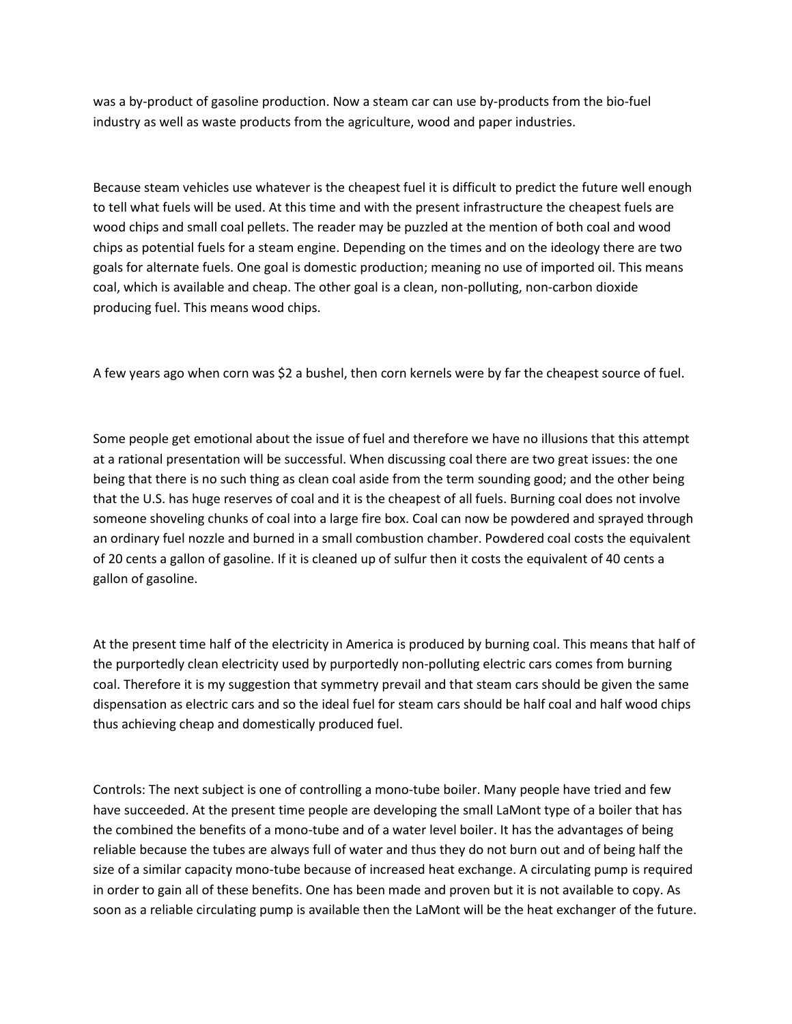was a by-product of gasoline production. Now a steam car can use by-products from the bio-fuel industry as well as waste products from the agriculture, wood and paper industries.

Because steam vehicles use whatever is the cheapest fuel it is difficult to predict the future well enough to tell what fuels will be used. At this time and with the present infrastructure the cheapest fuels are wood chips and small coal pellets. The reader may be puzzled at the mention of both coal and wood chips as potential fuels for a steam engine. Depending on the times and on the ideology there are two goals for alternate fuels. One goal is domestic production; meaning no use of imported oil. This means coal, which is available and cheap. The other goal is a clean, non-polluting, non-carbon dioxide producing fuel. This means wood chips.

A few years ago when corn was \$2 a bushel, then corn kernels were by far the cheapest source of fuel.

Some people get emotional about the issue of fuel and therefore we have no illusions that this attempt at a rational presentation will be successful. When discussing coal there are two great issues: the one being that there is no such thing as clean coal aside from the term sounding good; and the other being that the U.S. has huge reserves of coal and it is the cheapest of all fuels. Burning coal does not involve someone shoveling chunks of coal into a large fire box. Coal can now be powdered and sprayed through an ordinary fuel nozzle and burned in a small combustion chamber. Powdered coal costs the equivalent of 20 cents a gallon of gasoline. If it is cleaned up of sulfur then it costs the equivalent of 40 cents a gallon of gasoline.

At the present time half of the electricity in America is produced by burning coal. This means that half of the purportedly clean electricity used by purportedly non-polluting electric cars comes from burning coal. Therefore it is my suggestion that symmetry prevail and that steam cars should be given the same dispensation as electric cars and so the ideal fuel for steam cars should be half coal and half wood chips thus achieving cheap and domestically produced fuel.

Controls: The next subject is one of controlling a mono-tube boiler. Many people have tried and few have succeeded. At the present time people are developing the small LaMont type of a boiler that has the combined the benefits of a mono-tube and of a water level boiler. It has the advantages of being reliable because the tubes are always full of water and thus they do not burn out and of being half the size of a similar capacity mono-tube because of increased heat exchange. A circulating pump is required in order to gain all of these benefits. One has been made and proven but it is not available to copy. As soon as a reliable circulating pump is available then the LaMont will be the heat exchanger of the future.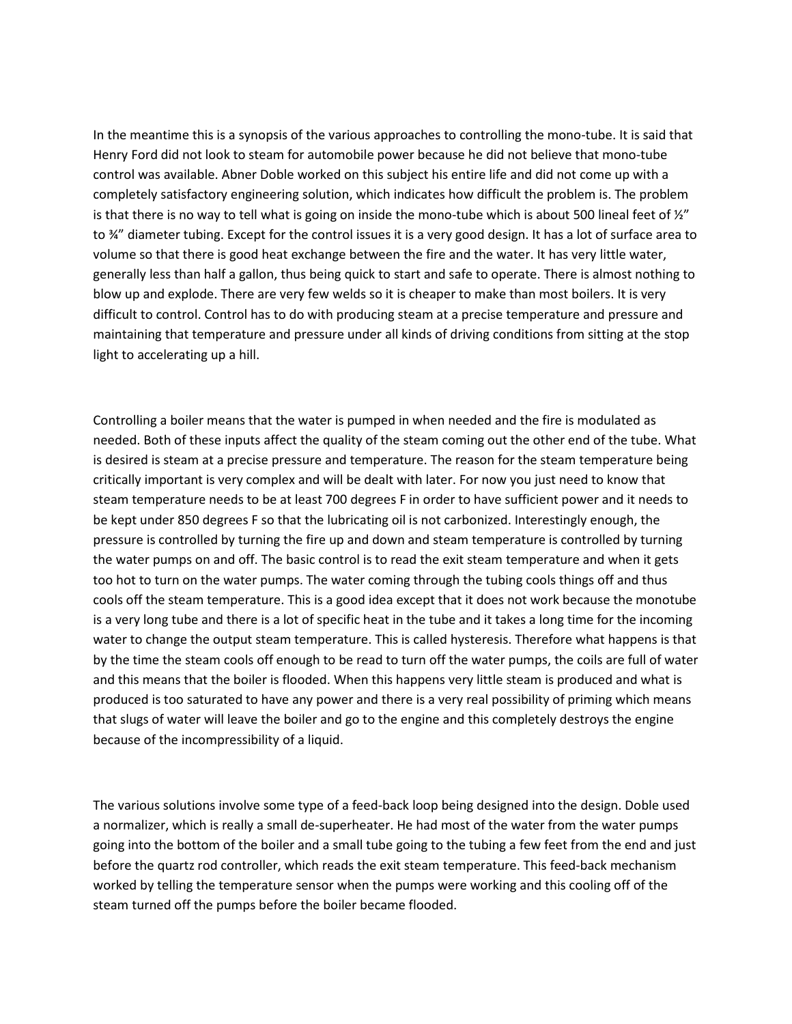In the meantime this is a synopsis of the various approaches to controlling the mono-tube. It is said that Henry Ford did not look to steam for automobile power because he did not believe that mono-tube control was available. Abner Doble worked on this subject his entire life and did not come up with a completely satisfactory engineering solution, which indicates how difficult the problem is. The problem is that there is no way to tell what is going on inside the mono-tube which is about 500 lineal feet of  $\frac{y''}{z''}$ to ¾" diameter tubing. Except for the control issues it is a very good design. It has a lot of surface area to volume so that there is good heat exchange between the fire and the water. It has very little water, generally less than half a gallon, thus being quick to start and safe to operate. There is almost nothing to blow up and explode. There are very few welds so it is cheaper to make than most boilers. It is very difficult to control. Control has to do with producing steam at a precise temperature and pressure and maintaining that temperature and pressure under all kinds of driving conditions from sitting at the stop light to accelerating up a hill.

Controlling a boiler means that the water is pumped in when needed and the fire is modulated as needed. Both of these inputs affect the quality of the steam coming out the other end of the tube. What is desired is steam at a precise pressure and temperature. The reason for the steam temperature being critically important is very complex and will be dealt with later. For now you just need to know that steam temperature needs to be at least 700 degrees F in order to have sufficient power and it needs to be kept under 850 degrees F so that the lubricating oil is not carbonized. Interestingly enough, the pressure is controlled by turning the fire up and down and steam temperature is controlled by turning the water pumps on and off. The basic control is to read the exit steam temperature and when it gets too hot to turn on the water pumps. The water coming through the tubing cools things off and thus cools off the steam temperature. This is a good idea except that it does not work because the monotube is a very long tube and there is a lot of specific heat in the tube and it takes a long time for the incoming water to change the output steam temperature. This is called hysteresis. Therefore what happens is that by the time the steam cools off enough to be read to turn off the water pumps, the coils are full of water and this means that the boiler is flooded. When this happens very little steam is produced and what is produced is too saturated to have any power and there is a very real possibility of priming which means that slugs of water will leave the boiler and go to the engine and this completely destroys the engine because of the incompressibility of a liquid.

The various solutions involve some type of a feed-back loop being designed into the design. Doble used a normalizer, which is really a small de-superheater. He had most of the water from the water pumps going into the bottom of the boiler and a small tube going to the tubing a few feet from the end and just before the quartz rod controller, which reads the exit steam temperature. This feed-back mechanism worked by telling the temperature sensor when the pumps were working and this cooling off of the steam turned off the pumps before the boiler became flooded.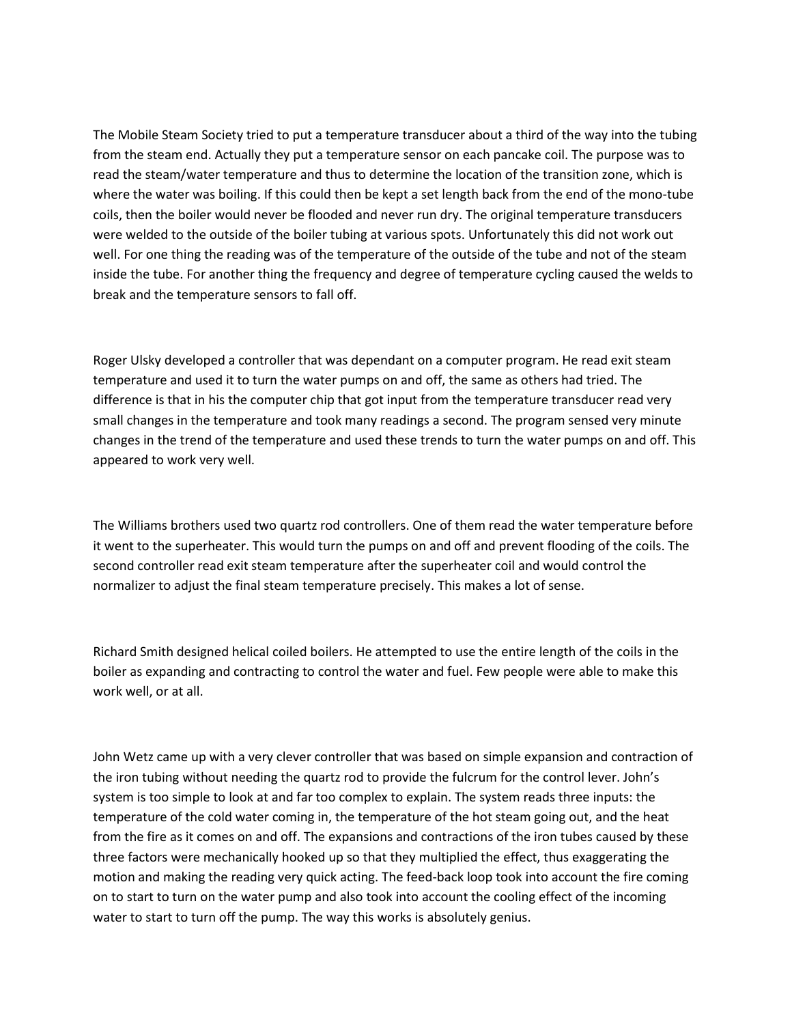The Mobile Steam Society tried to put a temperature transducer about a third of the way into the tubing from the steam end. Actually they put a temperature sensor on each pancake coil. The purpose was to read the steam/water temperature and thus to determine the location of the transition zone, which is where the water was boiling. If this could then be kept a set length back from the end of the mono-tube coils, then the boiler would never be flooded and never run dry. The original temperature transducers were welded to the outside of the boiler tubing at various spots. Unfortunately this did not work out well. For one thing the reading was of the temperature of the outside of the tube and not of the steam inside the tube. For another thing the frequency and degree of temperature cycling caused the welds to break and the temperature sensors to fall off.

Roger Ulsky developed a controller that was dependant on a computer program. He read exit steam temperature and used it to turn the water pumps on and off, the same as others had tried. The difference is that in his the computer chip that got input from the temperature transducer read very small changes in the temperature and took many readings a second. The program sensed very minute changes in the trend of the temperature and used these trends to turn the water pumps on and off. This appeared to work very well.

The Williams brothers used two quartz rod controllers. One of them read the water temperature before it went to the superheater. This would turn the pumps on and off and prevent flooding of the coils. The second controller read exit steam temperature after the superheater coil and would control the normalizer to adjust the final steam temperature precisely. This makes a lot of sense.

Richard Smith designed helical coiled boilers. He attempted to use the entire length of the coils in the boiler as expanding and contracting to control the water and fuel. Few people were able to make this work well, or at all.

John Wetz came up with a very clever controller that was based on simple expansion and contraction of the iron tubing without needing the quartz rod to provide the fulcrum for the control lever. John's system is too simple to look at and far too complex to explain. The system reads three inputs: the temperature of the cold water coming in, the temperature of the hot steam going out, and the heat from the fire as it comes on and off. The expansions and contractions of the iron tubes caused by these three factors were mechanically hooked up so that they multiplied the effect, thus exaggerating the motion and making the reading very quick acting. The feed-back loop took into account the fire coming on to start to turn on the water pump and also took into account the cooling effect of the incoming water to start to turn off the pump. The way this works is absolutely genius.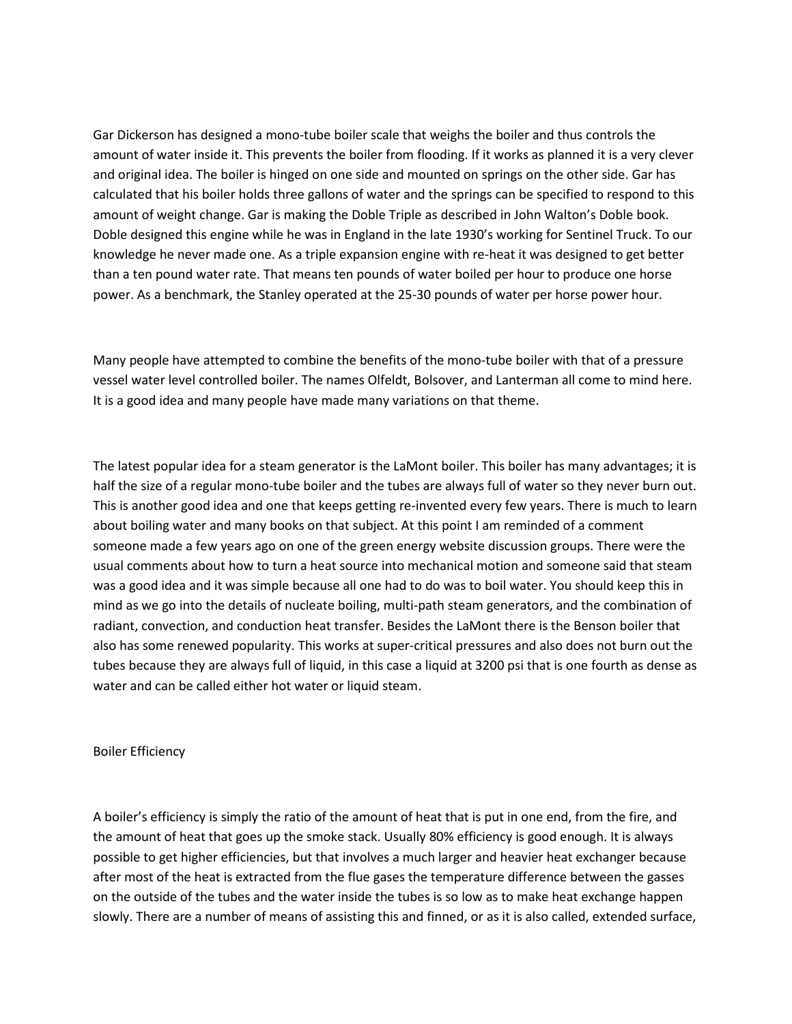Gar Dickerson has designed a mono-tube boiler scale that weighs the boiler and thus controls the amount of water inside it. This prevents the boiler from flooding. If it works as planned it is a very clever and original idea. The boiler is hinged on one side and mounted on springs on the other side. Gar has calculated that his boiler holds three gallons of water and the springs can be specified to respond to this amount of weight change. Gar is making the Doble Triple as described in John Walton's Doble book. Doble designed this engine while he was in England in the late 1930's working for Sentinel Truck. To our knowledge he never made one. As a triple expansion engine with re-heat it was designed to get better than a ten pound water rate. That means ten pounds of water boiled per hour to produce one horse power. As a benchmark, the Stanley operated at the 25-30 pounds of water per horse power hour.

Many people have attempted to combine the benefits of the mono-tube boiler with that of a pressure vessel water level controlled boiler. The names Olfeldt, Bolsover, and Lanterman all come to mind here. It is a good idea and many people have made many variations on that theme.

The latest popular idea for a steam generator is the LaMont boiler. This boiler has many advantages; it is half the size of a regular mono-tube boiler and the tubes are always full of water so they never burn out. This is another good idea and one that keeps getting re-invented every few years. There is much to learn about boiling water and many books on that subject. At this point I am reminded of a comment someone made a few years ago on one of the green energy website discussion groups. There were the usual comments about how to turn a heat source into mechanical motion and someone said that steam was a good idea and it was simple because all one had to do was to boil water. You should keep this in mind as we go into the details of nucleate boiling, multi-path steam generators, and the combination of radiant, convection, and conduction heat transfer. Besides the LaMont there is the Benson boiler that also has some renewed popularity. This works at super-critical pressures and also does not burn out the tubes because they are always full of liquid, in this case a liquid at 3200 psi that is one fourth as dense as water and can be called either hot water or liquid steam.

### Boiler Efficiency

A boiler's efficiency is simply the ratio of the amount of heat that is put in one end, from the fire, and the amount of heat that goes up the smoke stack. Usually 80% efficiency is good enough. It is always possible to get higher efficiencies, but that involves a much larger and heavier heat exchanger because after most of the heat is extracted from the flue gases the temperature difference between the gasses on the outside of the tubes and the water inside the tubes is so low as to make heat exchange happen slowly. There are a number of means of assisting this and finned, or as it is also called, extended surface,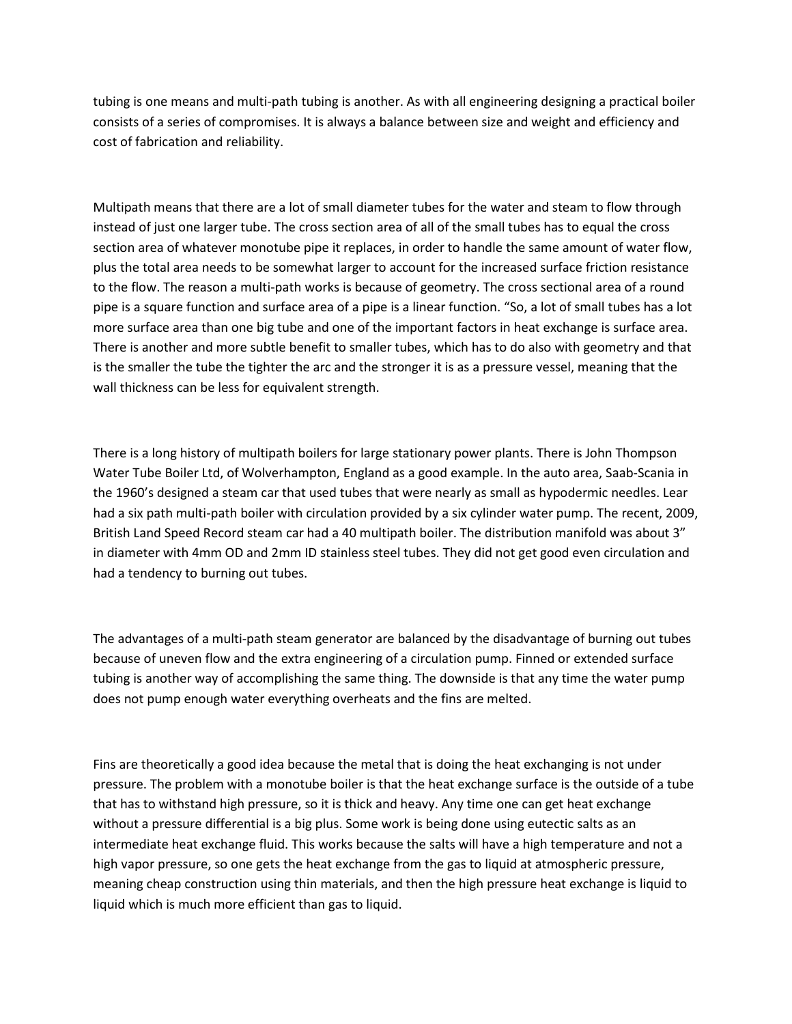tubing is one means and multi-path tubing is another. As with all engineering designing a practical boiler consists of a series of compromises. It is always a balance between size and weight and efficiency and cost of fabrication and reliability.

Multipath means that there are a lot of small diameter tubes for the water and steam to flow through instead of just one larger tube. The cross section area of all of the small tubes has to equal the cross section area of whatever monotube pipe it replaces, in order to handle the same amount of water flow, plus the total area needs to be somewhat larger to account for the increased surface friction resistance to the flow. The reason a multi-path works is because of geometry. The cross sectional area of a round pipe is a square function and surface area of a pipe is a linear function. "So, a lot of small tubes has a lot more surface area than one big tube and one of the important factors in heat exchange is surface area. There is another and more subtle benefit to smaller tubes, which has to do also with geometry and that is the smaller the tube the tighter the arc and the stronger it is as a pressure vessel, meaning that the wall thickness can be less for equivalent strength.

There is a long history of multipath boilers for large stationary power plants. There is John Thompson Water Tube Boiler Ltd, of Wolverhampton, England as a good example. In the auto area, Saab-Scania in the 1960's designed a steam car that used tubes that were nearly as small as hypodermic needles. Lear had a six path multi-path boiler with circulation provided by a six cylinder water pump. The recent, 2009, British Land Speed Record steam car had a 40 multipath boiler. The distribution manifold was about 3" in diameter with 4mm OD and 2mm ID stainless steel tubes. They did not get good even circulation and had a tendency to burning out tubes.

The advantages of a multi-path steam generator are balanced by the disadvantage of burning out tubes because of uneven flow and the extra engineering of a circulation pump. Finned or extended surface tubing is another way of accomplishing the same thing. The downside is that any time the water pump does not pump enough water everything overheats and the fins are melted.

Fins are theoretically a good idea because the metal that is doing the heat exchanging is not under pressure. The problem with a monotube boiler is that the heat exchange surface is the outside of a tube that has to withstand high pressure, so it is thick and heavy. Any time one can get heat exchange without a pressure differential is a big plus. Some work is being done using eutectic salts as an intermediate heat exchange fluid. This works because the salts will have a high temperature and not a high vapor pressure, so one gets the heat exchange from the gas to liquid at atmospheric pressure, meaning cheap construction using thin materials, and then the high pressure heat exchange is liquid to liquid which is much more efficient than gas to liquid.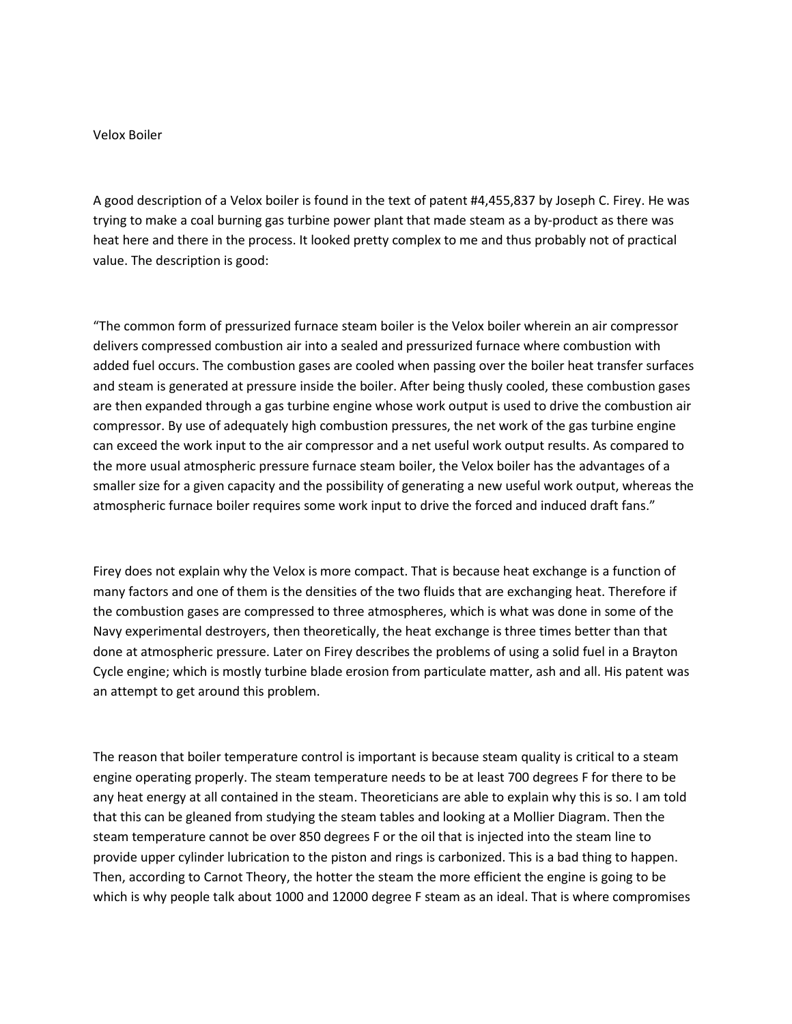## Velox Boiler

A good description of a Velox boiler is found in the text of patent #4,455,837 by Joseph C. Firey. He was trying to make a coal burning gas turbine power plant that made steam as a by-product as there was heat here and there in the process. It looked pretty complex to me and thus probably not of practical value. The description is good:

"The common form of pressurized furnace steam boiler is the Velox boiler wherein an air compressor delivers compressed combustion air into a sealed and pressurized furnace where combustion with added fuel occurs. The combustion gases are cooled when passing over the boiler heat transfer surfaces and steam is generated at pressure inside the boiler. After being thusly cooled, these combustion gases are then expanded through a gas turbine engine whose work output is used to drive the combustion air compressor. By use of adequately high combustion pressures, the net work of the gas turbine engine can exceed the work input to the air compressor and a net useful work output results. As compared to the more usual atmospheric pressure furnace steam boiler, the Velox boiler has the advantages of a smaller size for a given capacity and the possibility of generating a new useful work output, whereas the atmospheric furnace boiler requires some work input to drive the forced and induced draft fans."

Firey does not explain why the Velox is more compact. That is because heat exchange is a function of many factors and one of them is the densities of the two fluids that are exchanging heat. Therefore if the combustion gases are compressed to three atmospheres, which is what was done in some of the Navy experimental destroyers, then theoretically, the heat exchange is three times better than that done at atmospheric pressure. Later on Firey describes the problems of using a solid fuel in a Brayton Cycle engine; which is mostly turbine blade erosion from particulate matter, ash and all. His patent was an attempt to get around this problem.

The reason that boiler temperature control is important is because steam quality is critical to a steam engine operating properly. The steam temperature needs to be at least 700 degrees F for there to be any heat energy at all contained in the steam. Theoreticians are able to explain why this is so. I am told that this can be gleaned from studying the steam tables and looking at a Mollier Diagram. Then the steam temperature cannot be over 850 degrees F or the oil that is injected into the steam line to provide upper cylinder lubrication to the piston and rings is carbonized. This is a bad thing to happen. Then, according to Carnot Theory, the hotter the steam the more efficient the engine is going to be which is why people talk about 1000 and 12000 degree F steam as an ideal. That is where compromises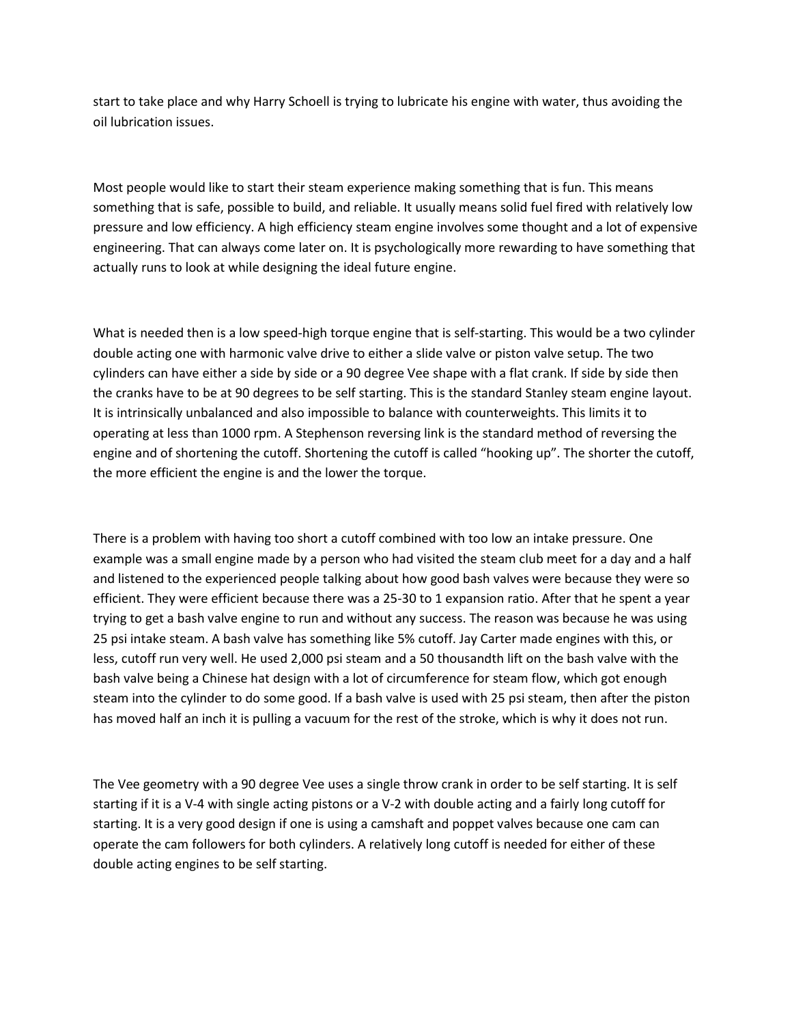start to take place and why Harry Schoell is trying to lubricate his engine with water, thus avoiding the oil lubrication issues.

Most people would like to start their steam experience making something that is fun. This means something that is safe, possible to build, and reliable. It usually means solid fuel fired with relatively low pressure and low efficiency. A high efficiency steam engine involves some thought and a lot of expensive engineering. That can always come later on. It is psychologically more rewarding to have something that actually runs to look at while designing the ideal future engine.

What is needed then is a low speed-high torque engine that is self-starting. This would be a two cylinder double acting one with harmonic valve drive to either a slide valve or piston valve setup. The two cylinders can have either a side by side or a 90 degree Vee shape with a flat crank. If side by side then the cranks have to be at 90 degrees to be self starting. This is the standard Stanley steam engine layout. It is intrinsically unbalanced and also impossible to balance with counterweights. This limits it to operating at less than 1000 rpm. A Stephenson reversing link is the standard method of reversing the engine and of shortening the cutoff. Shortening the cutoff is called "hooking up". The shorter the cutoff, the more efficient the engine is and the lower the torque.

There is a problem with having too short a cutoff combined with too low an intake pressure. One example was a small engine made by a person who had visited the steam club meet for a day and a half and listened to the experienced people talking about how good bash valves were because they were so efficient. They were efficient because there was a 25-30 to 1 expansion ratio. After that he spent a year trying to get a bash valve engine to run and without any success. The reason was because he was using 25 psi intake steam. A bash valve has something like 5% cutoff. Jay Carter made engines with this, or less, cutoff run very well. He used 2,000 psi steam and a 50 thousandth lift on the bash valve with the bash valve being a Chinese hat design with a lot of circumference for steam flow, which got enough steam into the cylinder to do some good. If a bash valve is used with 25 psi steam, then after the piston has moved half an inch it is pulling a vacuum for the rest of the stroke, which is why it does not run.

The Vee geometry with a 90 degree Vee uses a single throw crank in order to be self starting. It is self starting if it is a V-4 with single acting pistons or a V-2 with double acting and a fairly long cutoff for starting. It is a very good design if one is using a camshaft and poppet valves because one cam can operate the cam followers for both cylinders. A relatively long cutoff is needed for either of these double acting engines to be self starting.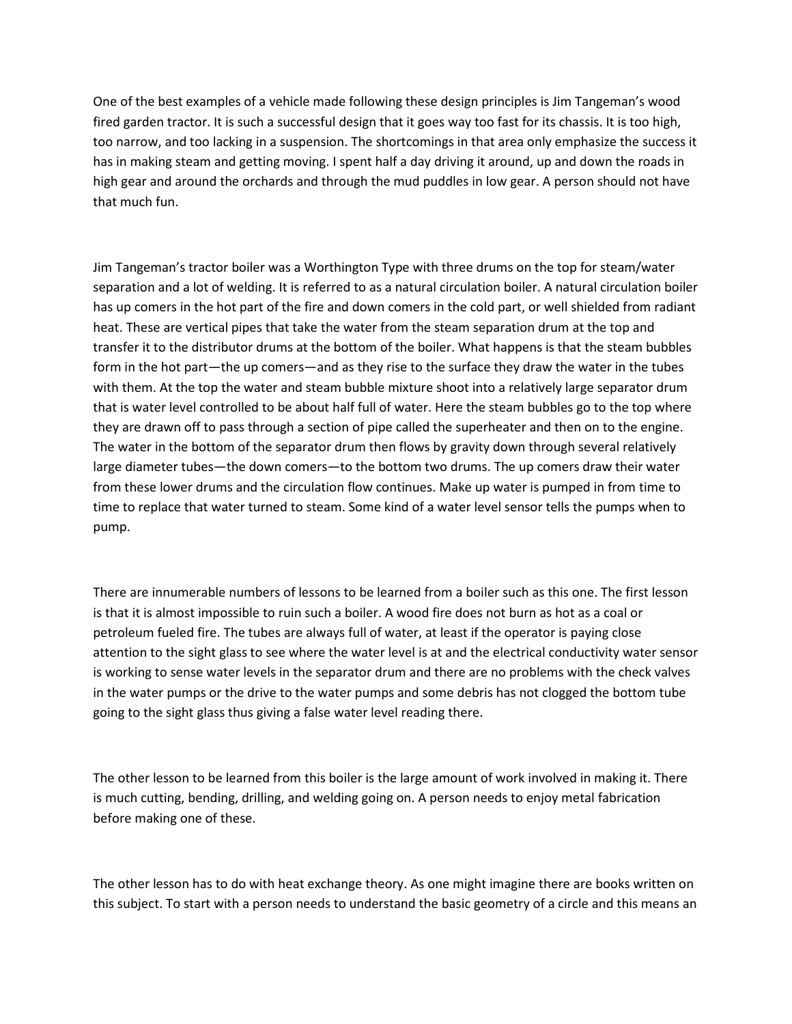One of the best examples of a vehicle made following these design principles is Jim Tangeman's wood fired garden tractor. It is such a successful design that it goes way too fast for its chassis. It is too high, too narrow, and too lacking in a suspension. The shortcomings in that area only emphasize the success it has in making steam and getting moving. I spent half a day driving it around, up and down the roads in high gear and around the orchards and through the mud puddles in low gear. A person should not have that much fun.

Jim Tangeman's tractor boiler was a Worthington Type with three drums on the top for steam/water separation and a lot of welding. It is referred to as a natural circulation boiler. A natural circulation boiler has up comers in the hot part of the fire and down comers in the cold part, or well shielded from radiant heat. These are vertical pipes that take the water from the steam separation drum at the top and transfer it to the distributor drums at the bottom of the boiler. What happens is that the steam bubbles form in the hot part—the up comers—and as they rise to the surface they draw the water in the tubes with them. At the top the water and steam bubble mixture shoot into a relatively large separator drum that is water level controlled to be about half full of water. Here the steam bubbles go to the top where they are drawn off to pass through a section of pipe called the superheater and then on to the engine. The water in the bottom of the separator drum then flows by gravity down through several relatively large diameter tubes—the down comers—to the bottom two drums. The up comers draw their water from these lower drums and the circulation flow continues. Make up water is pumped in from time to time to replace that water turned to steam. Some kind of a water level sensor tells the pumps when to pump.

There are innumerable numbers of lessons to be learned from a boiler such as this one. The first lesson is that it is almost impossible to ruin such a boiler. A wood fire does not burn as hot as a coal or petroleum fueled fire. The tubes are always full of water, at least if the operator is paying close attention to the sight glass to see where the water level is at and the electrical conductivity water sensor is working to sense water levels in the separator drum and there are no problems with the check valves in the water pumps or the drive to the water pumps and some debris has not clogged the bottom tube going to the sight glass thus giving a false water level reading there.

The other lesson to be learned from this boiler is the large amount of work involved in making it. There is much cutting, bending, drilling, and welding going on. A person needs to enjoy metal fabrication before making one of these.

The other lesson has to do with heat exchange theory. As one might imagine there are books written on this subject. To start with a person needs to understand the basic geometry of a circle and this means an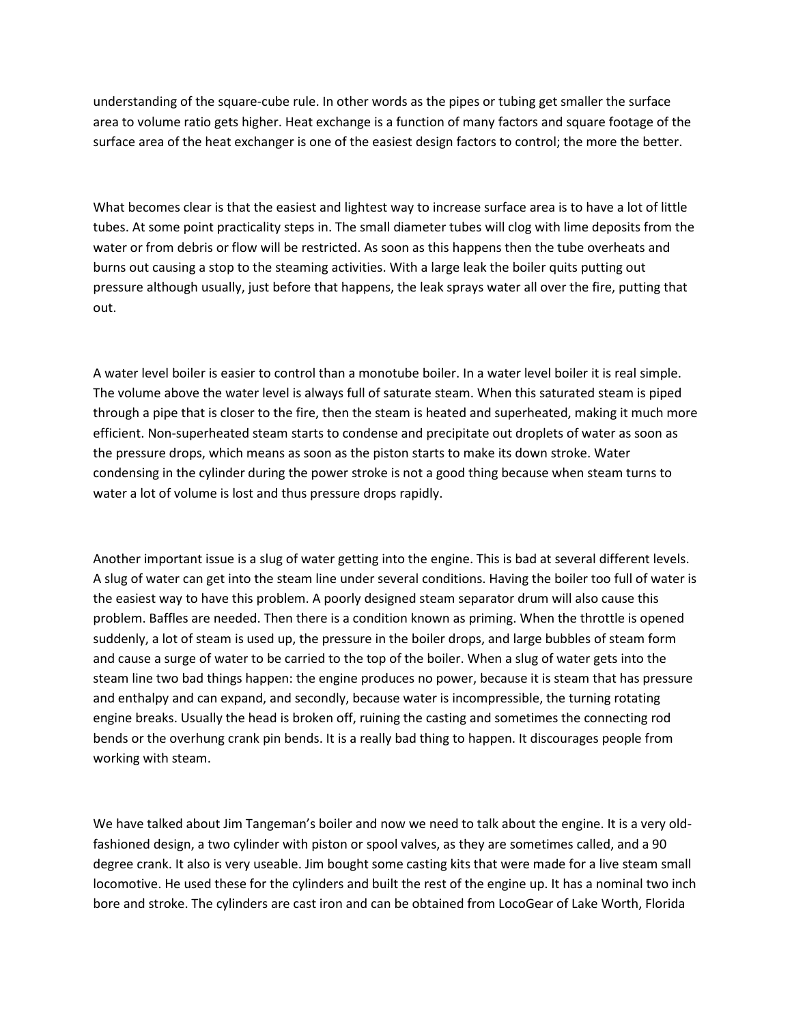understanding of the square-cube rule. In other words as the pipes or tubing get smaller the surface area to volume ratio gets higher. Heat exchange is a function of many factors and square footage of the surface area of the heat exchanger is one of the easiest design factors to control; the more the better.

What becomes clear is that the easiest and lightest way to increase surface area is to have a lot of little tubes. At some point practicality steps in. The small diameter tubes will clog with lime deposits from the water or from debris or flow will be restricted. As soon as this happens then the tube overheats and burns out causing a stop to the steaming activities. With a large leak the boiler quits putting out pressure although usually, just before that happens, the leak sprays water all over the fire, putting that out.

A water level boiler is easier to control than a monotube boiler. In a water level boiler it is real simple. The volume above the water level is always full of saturate steam. When this saturated steam is piped through a pipe that is closer to the fire, then the steam is heated and superheated, making it much more efficient. Non-superheated steam starts to condense and precipitate out droplets of water as soon as the pressure drops, which means as soon as the piston starts to make its down stroke. Water condensing in the cylinder during the power stroke is not a good thing because when steam turns to water a lot of volume is lost and thus pressure drops rapidly.

Another important issue is a slug of water getting into the engine. This is bad at several different levels. A slug of water can get into the steam line under several conditions. Having the boiler too full of water is the easiest way to have this problem. A poorly designed steam separator drum will also cause this problem. Baffles are needed. Then there is a condition known as priming. When the throttle is opened suddenly, a lot of steam is used up, the pressure in the boiler drops, and large bubbles of steam form and cause a surge of water to be carried to the top of the boiler. When a slug of water gets into the steam line two bad things happen: the engine produces no power, because it is steam that has pressure and enthalpy and can expand, and secondly, because water is incompressible, the turning rotating engine breaks. Usually the head is broken off, ruining the casting and sometimes the connecting rod bends or the overhung crank pin bends. It is a really bad thing to happen. It discourages people from working with steam.

We have talked about Jim Tangeman's boiler and now we need to talk about the engine. It is a very oldfashioned design, a two cylinder with piston or spool valves, as they are sometimes called, and a 90 degree crank. It also is very useable. Jim bought some casting kits that were made for a live steam small locomotive. He used these for the cylinders and built the rest of the engine up. It has a nominal two inch bore and stroke. The cylinders are cast iron and can be obtained from LocoGear of Lake Worth, Florida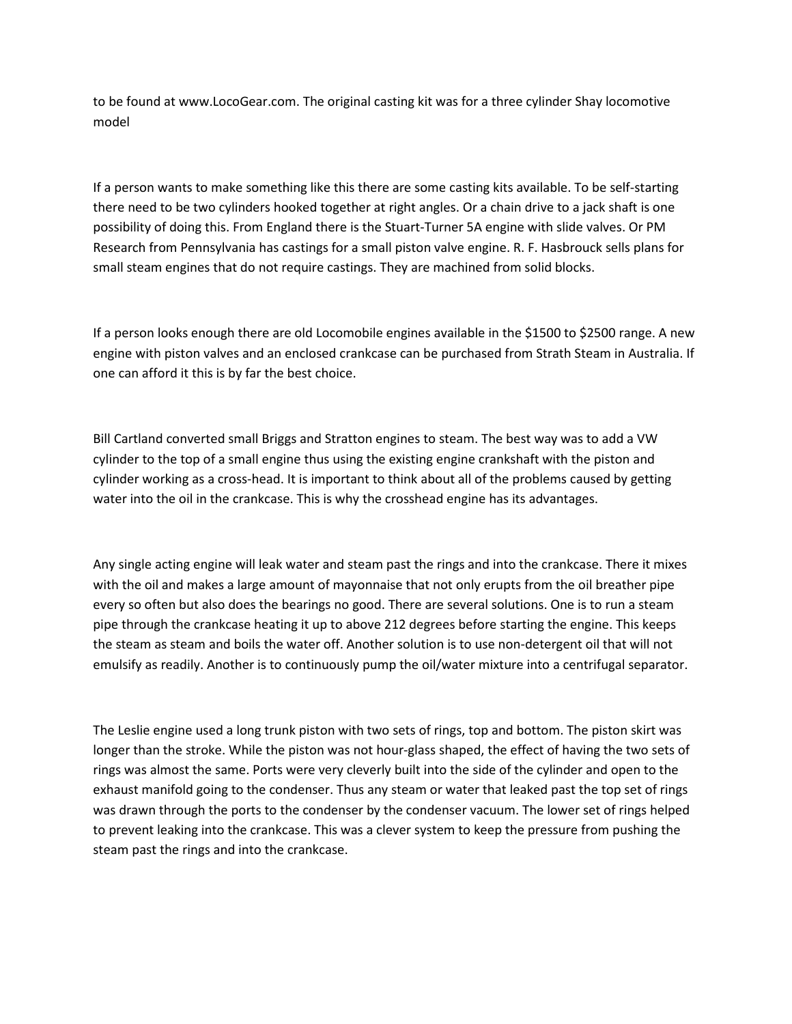to be found at www.LocoGear.com. The original casting kit was for a three cylinder Shay locomotive model

If a person wants to make something like this there are some casting kits available. To be self-starting there need to be two cylinders hooked together at right angles. Or a chain drive to a jack shaft is one possibility of doing this. From England there is the Stuart-Turner 5A engine with slide valves. Or PM Research from Pennsylvania has castings for a small piston valve engine. R. F. Hasbrouck sells plans for small steam engines that do not require castings. They are machined from solid blocks.

If a person looks enough there are old Locomobile engines available in the \$1500 to \$2500 range. A new engine with piston valves and an enclosed crankcase can be purchased from Strath Steam in Australia. If one can afford it this is by far the best choice.

Bill Cartland converted small Briggs and Stratton engines to steam. The best way was to add a VW cylinder to the top of a small engine thus using the existing engine crankshaft with the piston and cylinder working as a cross-head. It is important to think about all of the problems caused by getting water into the oil in the crankcase. This is why the crosshead engine has its advantages.

Any single acting engine will leak water and steam past the rings and into the crankcase. There it mixes with the oil and makes a large amount of mayonnaise that not only erupts from the oil breather pipe every so often but also does the bearings no good. There are several solutions. One is to run a steam pipe through the crankcase heating it up to above 212 degrees before starting the engine. This keeps the steam as steam and boils the water off. Another solution is to use non-detergent oil that will not emulsify as readily. Another is to continuously pump the oil/water mixture into a centrifugal separator.

The Leslie engine used a long trunk piston with two sets of rings, top and bottom. The piston skirt was longer than the stroke. While the piston was not hour-glass shaped, the effect of having the two sets of rings was almost the same. Ports were very cleverly built into the side of the cylinder and open to the exhaust manifold going to the condenser. Thus any steam or water that leaked past the top set of rings was drawn through the ports to the condenser by the condenser vacuum. The lower set of rings helped to prevent leaking into the crankcase. This was a clever system to keep the pressure from pushing the steam past the rings and into the crankcase.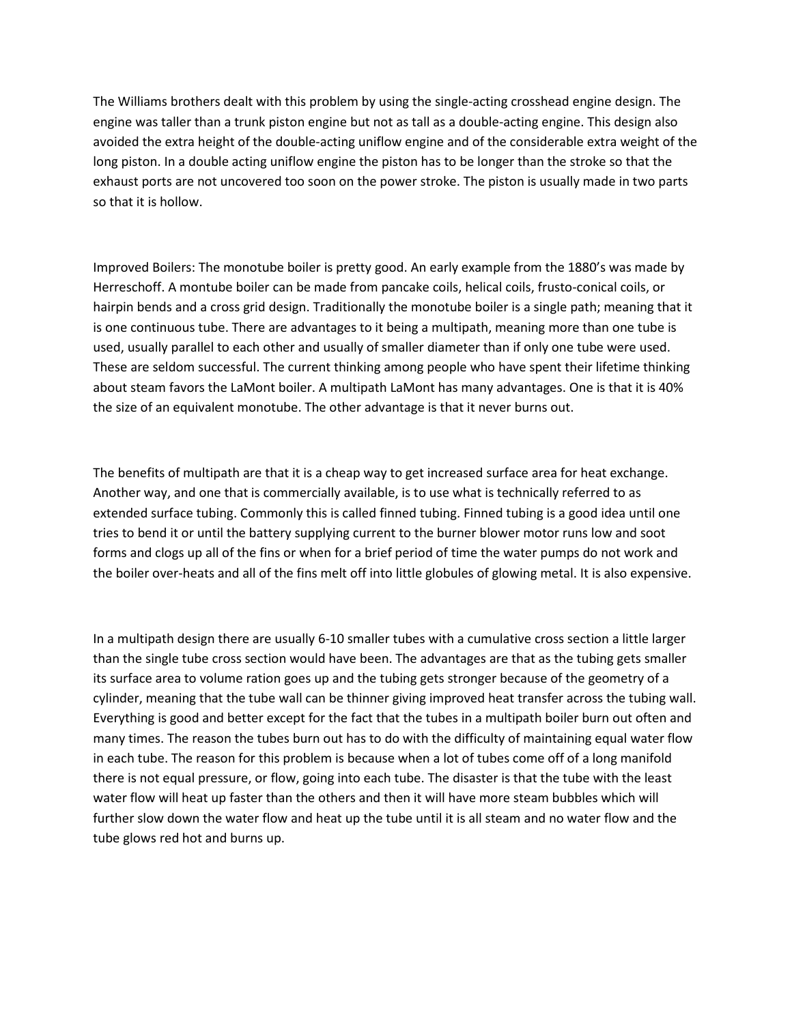The Williams brothers dealt with this problem by using the single-acting crosshead engine design. The engine was taller than a trunk piston engine but not as tall as a double-acting engine. This design also avoided the extra height of the double-acting uniflow engine and of the considerable extra weight of the long piston. In a double acting uniflow engine the piston has to be longer than the stroke so that the exhaust ports are not uncovered too soon on the power stroke. The piston is usually made in two parts so that it is hollow.

Improved Boilers: The monotube boiler is pretty good. An early example from the 1880's was made by Herreschoff. A montube boiler can be made from pancake coils, helical coils, frusto-conical coils, or hairpin bends and a cross grid design. Traditionally the monotube boiler is a single path; meaning that it is one continuous tube. There are advantages to it being a multipath, meaning more than one tube is used, usually parallel to each other and usually of smaller diameter than if only one tube were used. These are seldom successful. The current thinking among people who have spent their lifetime thinking about steam favors the LaMont boiler. A multipath LaMont has many advantages. One is that it is 40% the size of an equivalent monotube. The other advantage is that it never burns out.

The benefits of multipath are that it is a cheap way to get increased surface area for heat exchange. Another way, and one that is commercially available, is to use what is technically referred to as extended surface tubing. Commonly this is called finned tubing. Finned tubing is a good idea until one tries to bend it or until the battery supplying current to the burner blower motor runs low and soot forms and clogs up all of the fins or when for a brief period of time the water pumps do not work and the boiler over-heats and all of the fins melt off into little globules of glowing metal. It is also expensive.

In a multipath design there are usually 6-10 smaller tubes with a cumulative cross section a little larger than the single tube cross section would have been. The advantages are that as the tubing gets smaller its surface area to volume ration goes up and the tubing gets stronger because of the geometry of a cylinder, meaning that the tube wall can be thinner giving improved heat transfer across the tubing wall. Everything is good and better except for the fact that the tubes in a multipath boiler burn out often and many times. The reason the tubes burn out has to do with the difficulty of maintaining equal water flow in each tube. The reason for this problem is because when a lot of tubes come off of a long manifold there is not equal pressure, or flow, going into each tube. The disaster is that the tube with the least water flow will heat up faster than the others and then it will have more steam bubbles which will further slow down the water flow and heat up the tube until it is all steam and no water flow and the tube glows red hot and burns up.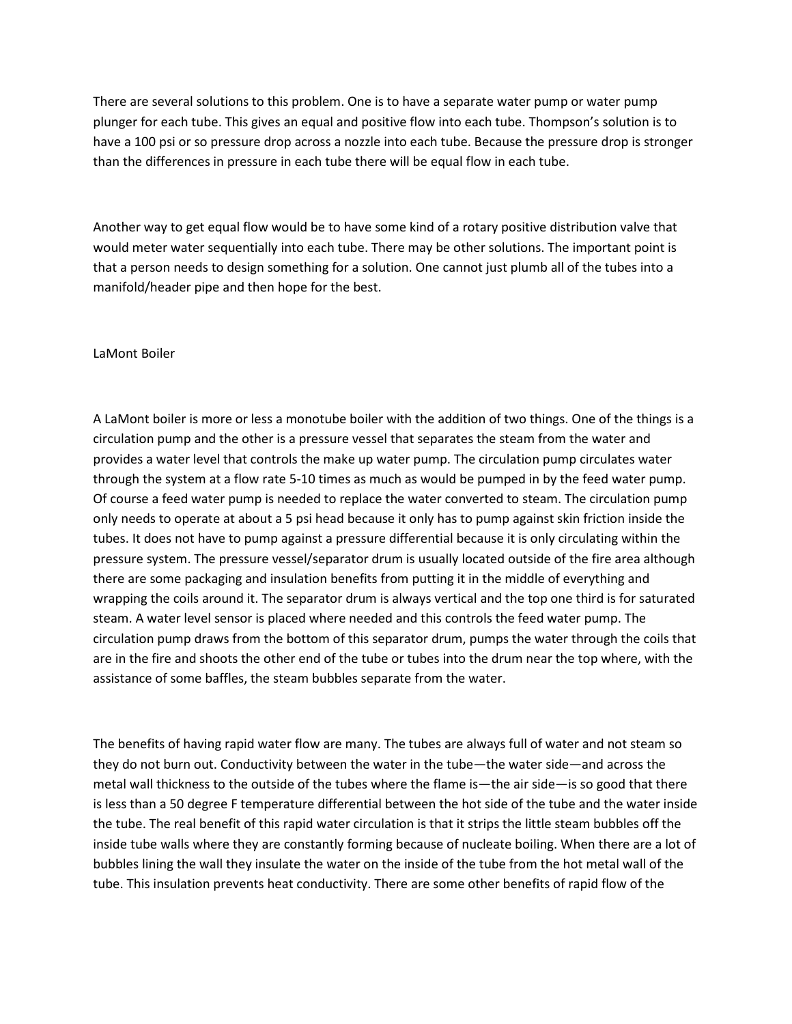There are several solutions to this problem. One is to have a separate water pump or water pump plunger for each tube. This gives an equal and positive flow into each tube. Thompson's solution is to have a 100 psi or so pressure drop across a nozzle into each tube. Because the pressure drop is stronger than the differences in pressure in each tube there will be equal flow in each tube.

Another way to get equal flow would be to have some kind of a rotary positive distribution valve that would meter water sequentially into each tube. There may be other solutions. The important point is that a person needs to design something for a solution. One cannot just plumb all of the tubes into a manifold/header pipe and then hope for the best.

## LaMont Boiler

A LaMont boiler is more or less a monotube boiler with the addition of two things. One of the things is a circulation pump and the other is a pressure vessel that separates the steam from the water and provides a water level that controls the make up water pump. The circulation pump circulates water through the system at a flow rate 5-10 times as much as would be pumped in by the feed water pump. Of course a feed water pump is needed to replace the water converted to steam. The circulation pump only needs to operate at about a 5 psi head because it only has to pump against skin friction inside the tubes. It does not have to pump against a pressure differential because it is only circulating within the pressure system. The pressure vessel/separator drum is usually located outside of the fire area although there are some packaging and insulation benefits from putting it in the middle of everything and wrapping the coils around it. The separator drum is always vertical and the top one third is for saturated steam. A water level sensor is placed where needed and this controls the feed water pump. The circulation pump draws from the bottom of this separator drum, pumps the water through the coils that are in the fire and shoots the other end of the tube or tubes into the drum near the top where, with the assistance of some baffles, the steam bubbles separate from the water.

The benefits of having rapid water flow are many. The tubes are always full of water and not steam so they do not burn out. Conductivity between the water in the tube—the water side—and across the metal wall thickness to the outside of the tubes where the flame is—the air side—is so good that there is less than a 50 degree F temperature differential between the hot side of the tube and the water inside the tube. The real benefit of this rapid water circulation is that it strips the little steam bubbles off the inside tube walls where they are constantly forming because of nucleate boiling. When there are a lot of bubbles lining the wall they insulate the water on the inside of the tube from the hot metal wall of the tube. This insulation prevents heat conductivity. There are some other benefits of rapid flow of the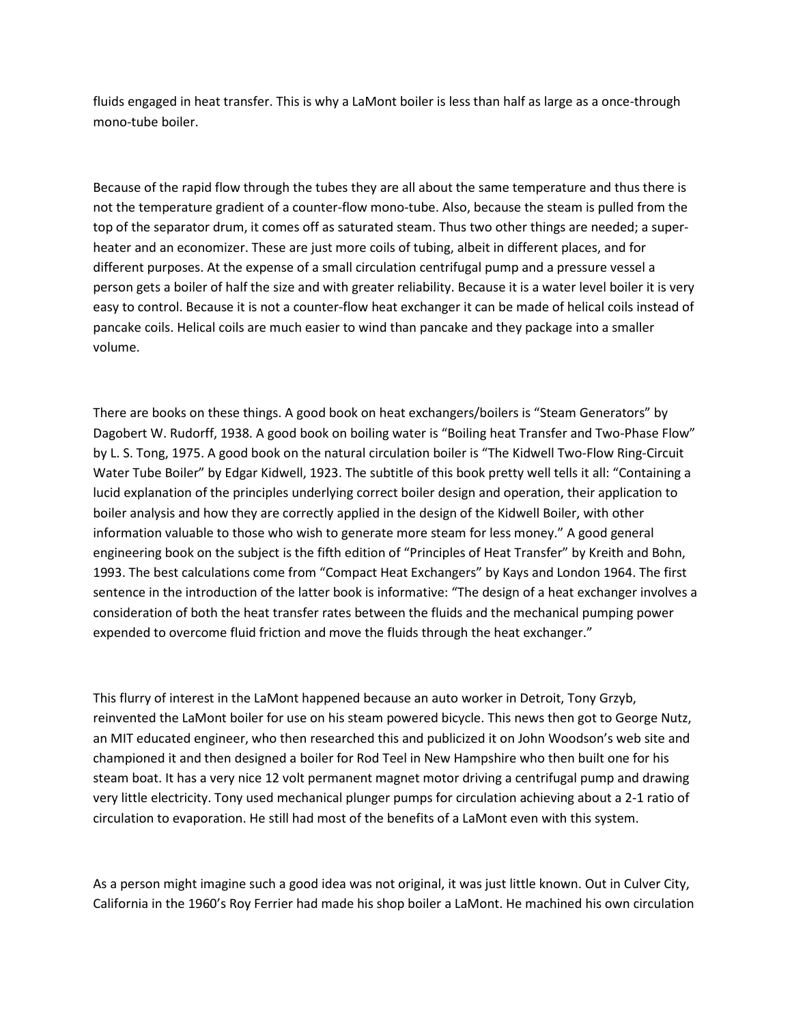fluids engaged in heat transfer. This is why a LaMont boiler is less than half as large as a once-through mono-tube boiler.

Because of the rapid flow through the tubes they are all about the same temperature and thus there is not the temperature gradient of a counter-flow mono-tube. Also, because the steam is pulled from the top of the separator drum, it comes off as saturated steam. Thus two other things are needed; a superheater and an economizer. These are just more coils of tubing, albeit in different places, and for different purposes. At the expense of a small circulation centrifugal pump and a pressure vessel a person gets a boiler of half the size and with greater reliability. Because it is a water level boiler it is very easy to control. Because it is not a counter-flow heat exchanger it can be made of helical coils instead of pancake coils. Helical coils are much easier to wind than pancake and they package into a smaller volume.

There are books on these things. A good book on heat exchangers/boilers is "Steam Generators" by Dagobert W. Rudorff, 1938. A good book on boiling water is "Boiling heat Transfer and Two-Phase Flow" by L. S. Tong, 1975. A good book on the natural circulation boiler is "The Kidwell Two-Flow Ring-Circuit Water Tube Boiler" by Edgar Kidwell, 1923. The subtitle of this book pretty well tells it all: "Containing a lucid explanation of the principles underlying correct boiler design and operation, their application to boiler analysis and how they are correctly applied in the design of the Kidwell Boiler, with other information valuable to those who wish to generate more steam for less money." A good general engineering book on the subject is the fifth edition of "Principles of Heat Transfer" by Kreith and Bohn, 1993. The best calculations come from "Compact Heat Exchangers" by Kays and London 1964. The first sentence in the introduction of the latter book is informative: "The design of a heat exchanger involves a consideration of both the heat transfer rates between the fluids and the mechanical pumping power expended to overcome fluid friction and move the fluids through the heat exchanger."

This flurry of interest in the LaMont happened because an auto worker in Detroit, Tony Grzyb, reinvented the LaMont boiler for use on his steam powered bicycle. This news then got to George Nutz, an MIT educated engineer, who then researched this and publicized it on John Woodson's web site and championed it and then designed a boiler for Rod Teel in New Hampshire who then built one for his steam boat. It has a very nice 12 volt permanent magnet motor driving a centrifugal pump and drawing very little electricity. Tony used mechanical plunger pumps for circulation achieving about a 2-1 ratio of circulation to evaporation. He still had most of the benefits of a LaMont even with this system.

As a person might imagine such a good idea was not original, it was just little known. Out in Culver City, California in the 1960's Roy Ferrier had made his shop boiler a LaMont. He machined his own circulation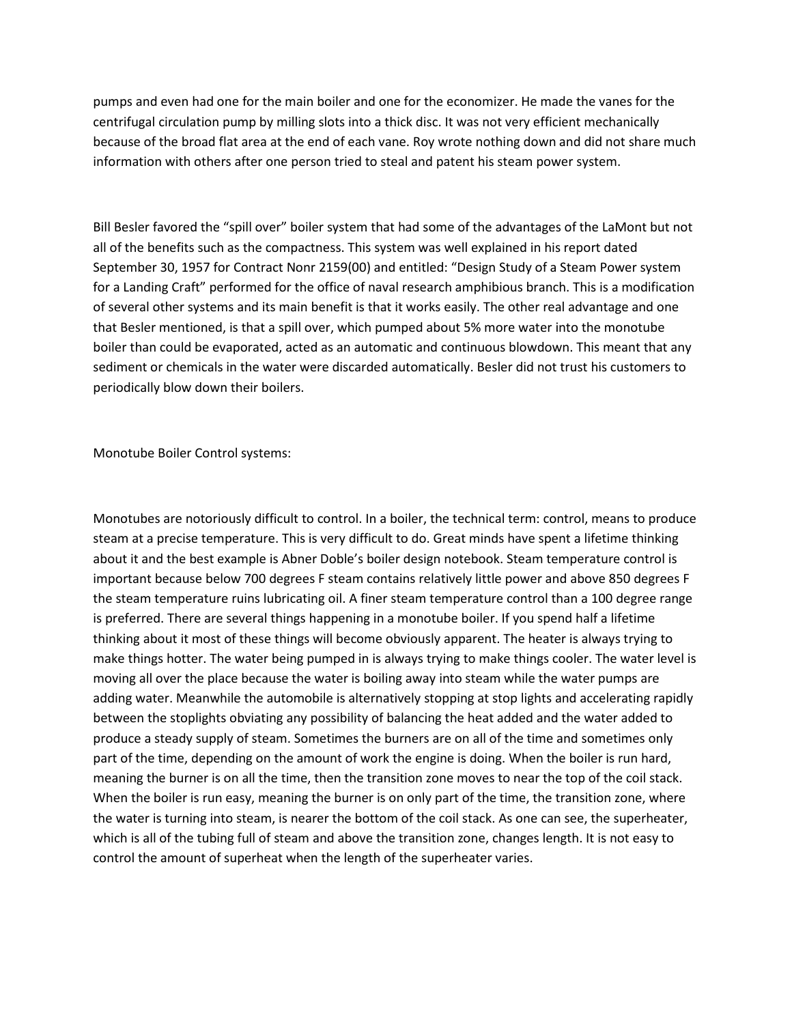pumps and even had one for the main boiler and one for the economizer. He made the vanes for the centrifugal circulation pump by milling slots into a thick disc. It was not very efficient mechanically because of the broad flat area at the end of each vane. Roy wrote nothing down and did not share much information with others after one person tried to steal and patent his steam power system.

Bill Besler favored the "spill over" boiler system that had some of the advantages of the LaMont but not all of the benefits such as the compactness. This system was well explained in his report dated September 30, 1957 for Contract Nonr 2159(00) and entitled: "Design Study of a Steam Power system for a Landing Craft" performed for the office of naval research amphibious branch. This is a modification of several other systems and its main benefit is that it works easily. The other real advantage and one that Besler mentioned, is that a spill over, which pumped about 5% more water into the monotube boiler than could be evaporated, acted as an automatic and continuous blowdown. This meant that any sediment or chemicals in the water were discarded automatically. Besler did not trust his customers to periodically blow down their boilers.

Monotube Boiler Control systems:

Monotubes are notoriously difficult to control. In a boiler, the technical term: control, means to produce steam at a precise temperature. This is very difficult to do. Great minds have spent a lifetime thinking about it and the best example is Abner Doble's boiler design notebook. Steam temperature control is important because below 700 degrees F steam contains relatively little power and above 850 degrees F the steam temperature ruins lubricating oil. A finer steam temperature control than a 100 degree range is preferred. There are several things happening in a monotube boiler. If you spend half a lifetime thinking about it most of these things will become obviously apparent. The heater is always trying to make things hotter. The water being pumped in is always trying to make things cooler. The water level is moving all over the place because the water is boiling away into steam while the water pumps are adding water. Meanwhile the automobile is alternatively stopping at stop lights and accelerating rapidly between the stoplights obviating any possibility of balancing the heat added and the water added to produce a steady supply of steam. Sometimes the burners are on all of the time and sometimes only part of the time, depending on the amount of work the engine is doing. When the boiler is run hard, meaning the burner is on all the time, then the transition zone moves to near the top of the coil stack. When the boiler is run easy, meaning the burner is on only part of the time, the transition zone, where the water is turning into steam, is nearer the bottom of the coil stack. As one can see, the superheater, which is all of the tubing full of steam and above the transition zone, changes length. It is not easy to control the amount of superheat when the length of the superheater varies.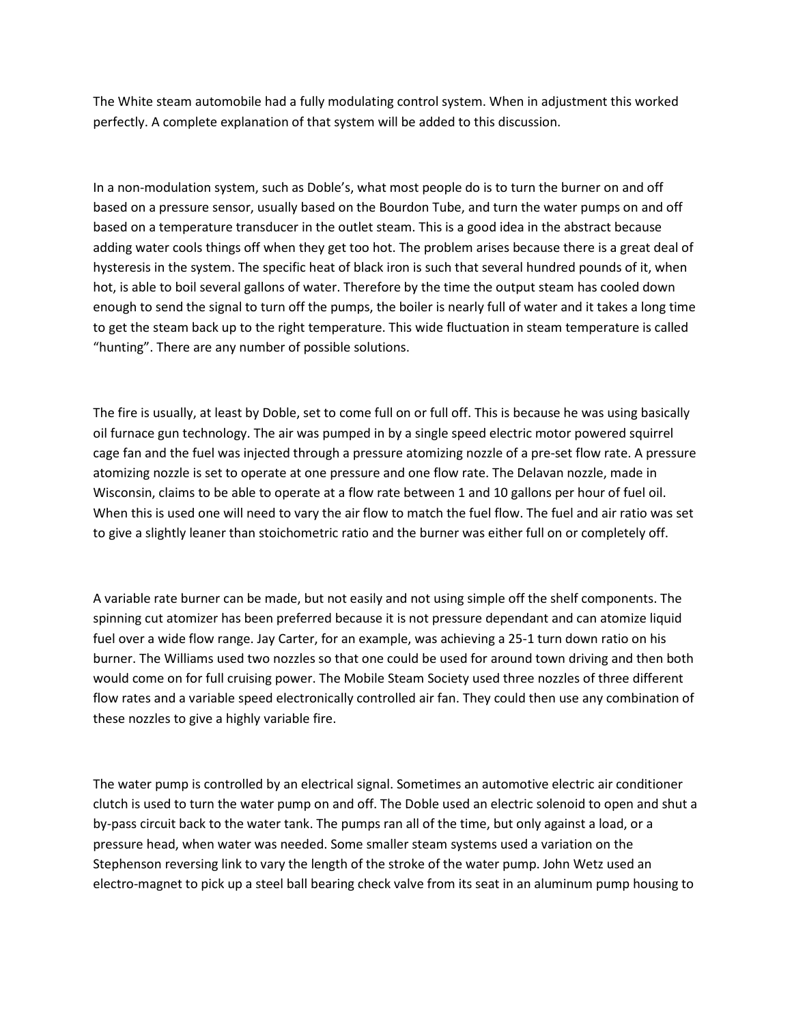The White steam automobile had a fully modulating control system. When in adjustment this worked perfectly. A complete explanation of that system will be added to this discussion.

In a non-modulation system, such as Doble's, what most people do is to turn the burner on and off based on a pressure sensor, usually based on the Bourdon Tube, and turn the water pumps on and off based on a temperature transducer in the outlet steam. This is a good idea in the abstract because adding water cools things off when they get too hot. The problem arises because there is a great deal of hysteresis in the system. The specific heat of black iron is such that several hundred pounds of it, when hot, is able to boil several gallons of water. Therefore by the time the output steam has cooled down enough to send the signal to turn off the pumps, the boiler is nearly full of water and it takes a long time to get the steam back up to the right temperature. This wide fluctuation in steam temperature is called "hunting". There are any number of possible solutions.

The fire is usually, at least by Doble, set to come full on or full off. This is because he was using basically oil furnace gun technology. The air was pumped in by a single speed electric motor powered squirrel cage fan and the fuel was injected through a pressure atomizing nozzle of a pre-set flow rate. A pressure atomizing nozzle is set to operate at one pressure and one flow rate. The Delavan nozzle, made in Wisconsin, claims to be able to operate at a flow rate between 1 and 10 gallons per hour of fuel oil. When this is used one will need to vary the air flow to match the fuel flow. The fuel and air ratio was set to give a slightly leaner than stoichometric ratio and the burner was either full on or completely off.

A variable rate burner can be made, but not easily and not using simple off the shelf components. The spinning cut atomizer has been preferred because it is not pressure dependant and can atomize liquid fuel over a wide flow range. Jay Carter, for an example, was achieving a 25-1 turn down ratio on his burner. The Williams used two nozzles so that one could be used for around town driving and then both would come on for full cruising power. The Mobile Steam Society used three nozzles of three different flow rates and a variable speed electronically controlled air fan. They could then use any combination of these nozzles to give a highly variable fire.

The water pump is controlled by an electrical signal. Sometimes an automotive electric air conditioner clutch is used to turn the water pump on and off. The Doble used an electric solenoid to open and shut a by-pass circuit back to the water tank. The pumps ran all of the time, but only against a load, or a pressure head, when water was needed. Some smaller steam systems used a variation on the Stephenson reversing link to vary the length of the stroke of the water pump. John Wetz used an electro-magnet to pick up a steel ball bearing check valve from its seat in an aluminum pump housing to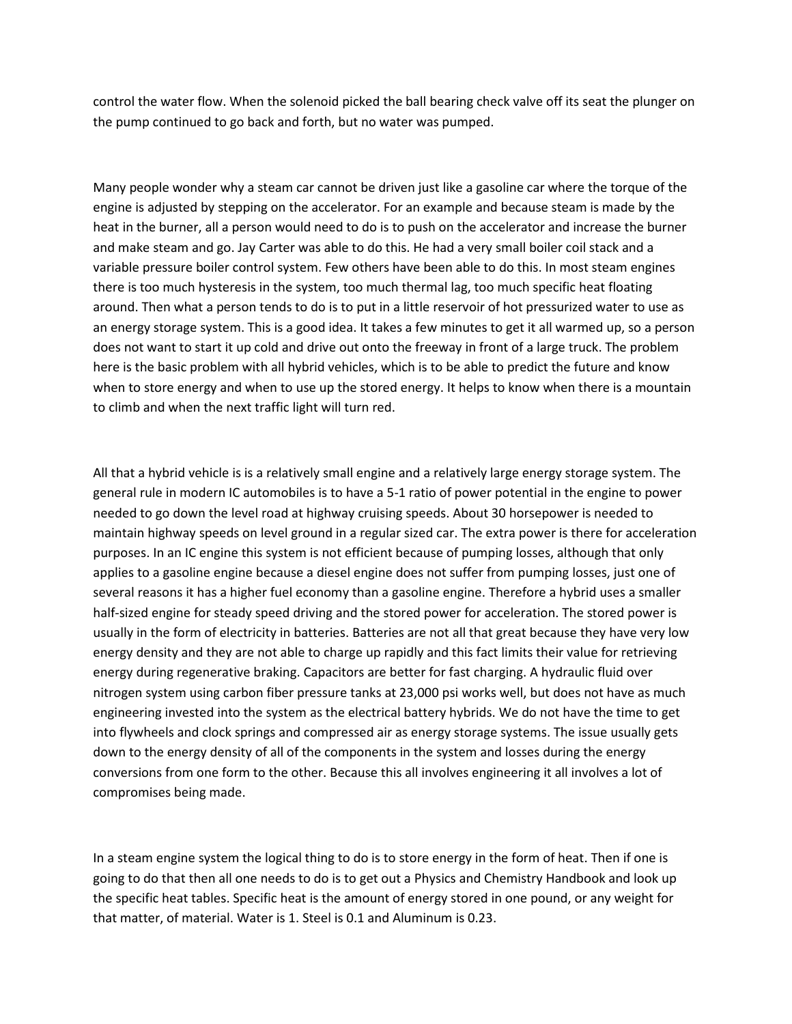control the water flow. When the solenoid picked the ball bearing check valve off its seat the plunger on the pump continued to go back and forth, but no water was pumped.

Many people wonder why a steam car cannot be driven just like a gasoline car where the torque of the engine is adjusted by stepping on the accelerator. For an example and because steam is made by the heat in the burner, all a person would need to do is to push on the accelerator and increase the burner and make steam and go. Jay Carter was able to do this. He had a very small boiler coil stack and a variable pressure boiler control system. Few others have been able to do this. In most steam engines there is too much hysteresis in the system, too much thermal lag, too much specific heat floating around. Then what a person tends to do is to put in a little reservoir of hot pressurized water to use as an energy storage system. This is a good idea. It takes a few minutes to get it all warmed up, so a person does not want to start it up cold and drive out onto the freeway in front of a large truck. The problem here is the basic problem with all hybrid vehicles, which is to be able to predict the future and know when to store energy and when to use up the stored energy. It helps to know when there is a mountain to climb and when the next traffic light will turn red.

All that a hybrid vehicle is is a relatively small engine and a relatively large energy storage system. The general rule in modern IC automobiles is to have a 5-1 ratio of power potential in the engine to power needed to go down the level road at highway cruising speeds. About 30 horsepower is needed to maintain highway speeds on level ground in a regular sized car. The extra power is there for acceleration purposes. In an IC engine this system is not efficient because of pumping losses, although that only applies to a gasoline engine because a diesel engine does not suffer from pumping losses, just one of several reasons it has a higher fuel economy than a gasoline engine. Therefore a hybrid uses a smaller half-sized engine for steady speed driving and the stored power for acceleration. The stored power is usually in the form of electricity in batteries. Batteries are not all that great because they have very low energy density and they are not able to charge up rapidly and this fact limits their value for retrieving energy during regenerative braking. Capacitors are better for fast charging. A hydraulic fluid over nitrogen system using carbon fiber pressure tanks at 23,000 psi works well, but does not have as much engineering invested into the system as the electrical battery hybrids. We do not have the time to get into flywheels and clock springs and compressed air as energy storage systems. The issue usually gets down to the energy density of all of the components in the system and losses during the energy conversions from one form to the other. Because this all involves engineering it all involves a lot of compromises being made.

In a steam engine system the logical thing to do is to store energy in the form of heat. Then if one is going to do that then all one needs to do is to get out a Physics and Chemistry Handbook and look up the specific heat tables. Specific heat is the amount of energy stored in one pound, or any weight for that matter, of material. Water is 1. Steel is 0.1 and Aluminum is 0.23.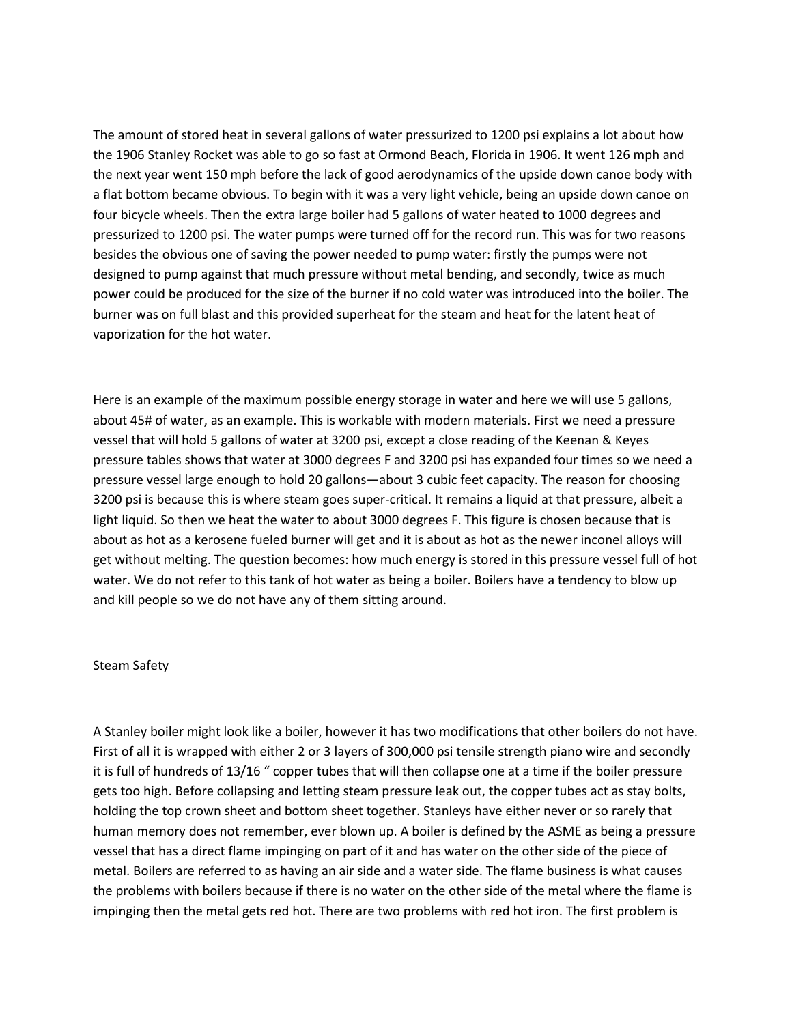The amount of stored heat in several gallons of water pressurized to 1200 psi explains a lot about how the 1906 Stanley Rocket was able to go so fast at Ormond Beach, Florida in 1906. It went 126 mph and the next year went 150 mph before the lack of good aerodynamics of the upside down canoe body with a flat bottom became obvious. To begin with it was a very light vehicle, being an upside down canoe on four bicycle wheels. Then the extra large boiler had 5 gallons of water heated to 1000 degrees and pressurized to 1200 psi. The water pumps were turned off for the record run. This was for two reasons besides the obvious one of saving the power needed to pump water: firstly the pumps were not designed to pump against that much pressure without metal bending, and secondly, twice as much power could be produced for the size of the burner if no cold water was introduced into the boiler. The burner was on full blast and this provided superheat for the steam and heat for the latent heat of vaporization for the hot water.

Here is an example of the maximum possible energy storage in water and here we will use 5 gallons, about 45# of water, as an example. This is workable with modern materials. First we need a pressure vessel that will hold 5 gallons of water at 3200 psi, except a close reading of the Keenan & Keyes pressure tables shows that water at 3000 degrees F and 3200 psi has expanded four times so we need a pressure vessel large enough to hold 20 gallons—about 3 cubic feet capacity. The reason for choosing 3200 psi is because this is where steam goes super-critical. It remains a liquid at that pressure, albeit a light liquid. So then we heat the water to about 3000 degrees F. This figure is chosen because that is about as hot as a kerosene fueled burner will get and it is about as hot as the newer inconel alloys will get without melting. The question becomes: how much energy is stored in this pressure vessel full of hot water. We do not refer to this tank of hot water as being a boiler. Boilers have a tendency to blow up and kill people so we do not have any of them sitting around.

## Steam Safety

A Stanley boiler might look like a boiler, however it has two modifications that other boilers do not have. First of all it is wrapped with either 2 or 3 layers of 300,000 psi tensile strength piano wire and secondly it is full of hundreds of 13/16 " copper tubes that will then collapse one at a time if the boiler pressure gets too high. Before collapsing and letting steam pressure leak out, the copper tubes act as stay bolts, holding the top crown sheet and bottom sheet together. Stanleys have either never or so rarely that human memory does not remember, ever blown up. A boiler is defined by the ASME as being a pressure vessel that has a direct flame impinging on part of it and has water on the other side of the piece of metal. Boilers are referred to as having an air side and a water side. The flame business is what causes the problems with boilers because if there is no water on the other side of the metal where the flame is impinging then the metal gets red hot. There are two problems with red hot iron. The first problem is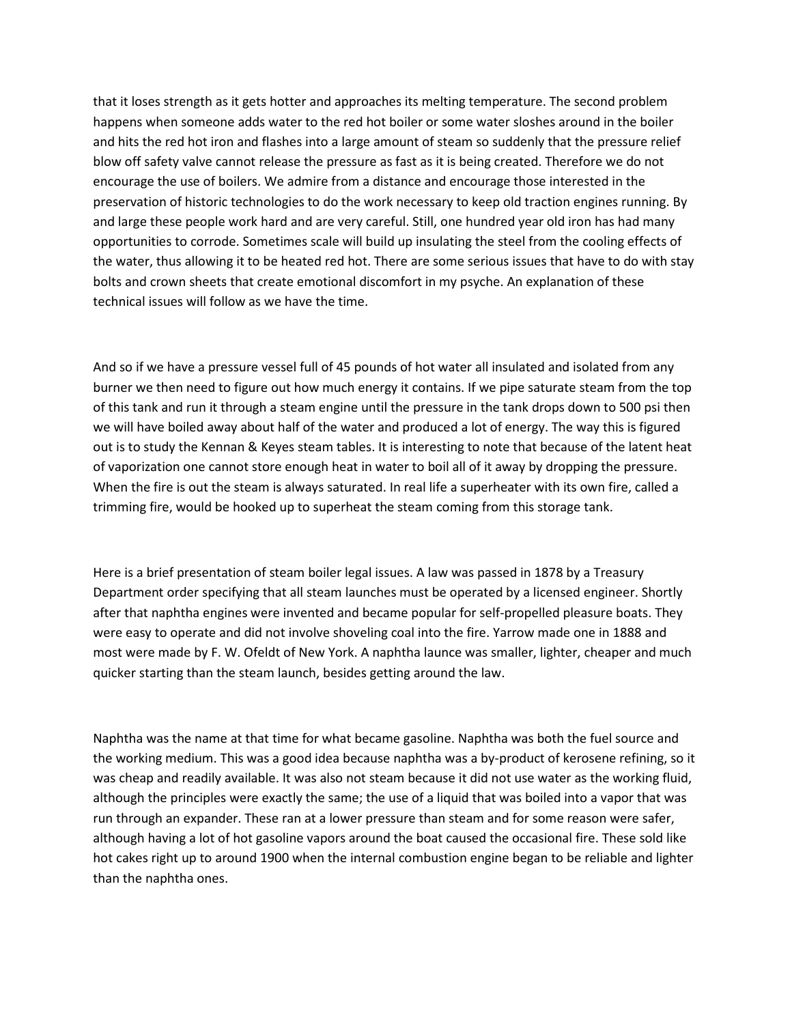that it loses strength as it gets hotter and approaches its melting temperature. The second problem happens when someone adds water to the red hot boiler or some water sloshes around in the boiler and hits the red hot iron and flashes into a large amount of steam so suddenly that the pressure relief blow off safety valve cannot release the pressure as fast as it is being created. Therefore we do not encourage the use of boilers. We admire from a distance and encourage those interested in the preservation of historic technologies to do the work necessary to keep old traction engines running. By and large these people work hard and are very careful. Still, one hundred year old iron has had many opportunities to corrode. Sometimes scale will build up insulating the steel from the cooling effects of the water, thus allowing it to be heated red hot. There are some serious issues that have to do with stay bolts and crown sheets that create emotional discomfort in my psyche. An explanation of these technical issues will follow as we have the time.

And so if we have a pressure vessel full of 45 pounds of hot water all insulated and isolated from any burner we then need to figure out how much energy it contains. If we pipe saturate steam from the top of this tank and run it through a steam engine until the pressure in the tank drops down to 500 psi then we will have boiled away about half of the water and produced a lot of energy. The way this is figured out is to study the Kennan & Keyes steam tables. It is interesting to note that because of the latent heat of vaporization one cannot store enough heat in water to boil all of it away by dropping the pressure. When the fire is out the steam is always saturated. In real life a superheater with its own fire, called a trimming fire, would be hooked up to superheat the steam coming from this storage tank.

Here is a brief presentation of steam boiler legal issues. A law was passed in 1878 by a Treasury Department order specifying that all steam launches must be operated by a licensed engineer. Shortly after that naphtha engines were invented and became popular for self-propelled pleasure boats. They were easy to operate and did not involve shoveling coal into the fire. Yarrow made one in 1888 and most were made by F. W. Ofeldt of New York. A naphtha launce was smaller, lighter, cheaper and much quicker starting than the steam launch, besides getting around the law.

Naphtha was the name at that time for what became gasoline. Naphtha was both the fuel source and the working medium. This was a good idea because naphtha was a by-product of kerosene refining, so it was cheap and readily available. It was also not steam because it did not use water as the working fluid, although the principles were exactly the same; the use of a liquid that was boiled into a vapor that was run through an expander. These ran at a lower pressure than steam and for some reason were safer, although having a lot of hot gasoline vapors around the boat caused the occasional fire. These sold like hot cakes right up to around 1900 when the internal combustion engine began to be reliable and lighter than the naphtha ones.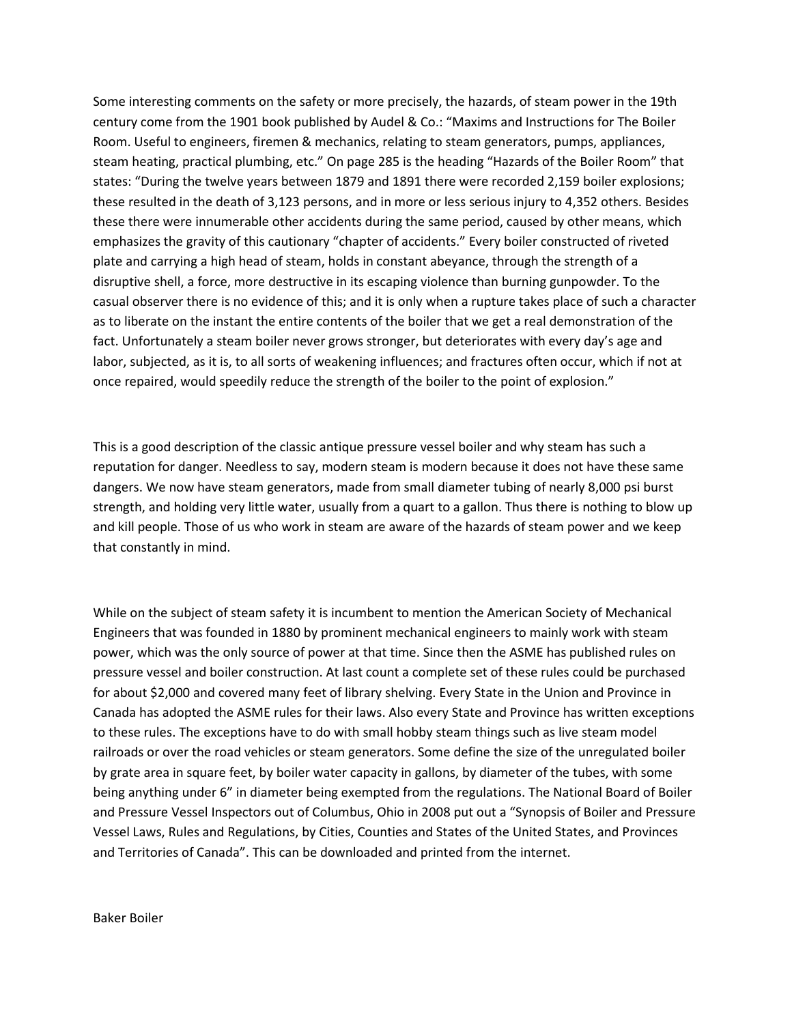Some interesting comments on the safety or more precisely, the hazards, of steam power in the 19th century come from the 1901 book published by Audel & Co.: "Maxims and Instructions for The Boiler Room. Useful to engineers, firemen & mechanics, relating to steam generators, pumps, appliances, steam heating, practical plumbing, etc." On page 285 is the heading "Hazards of the Boiler Room" that states: "During the twelve years between 1879 and 1891 there were recorded 2,159 boiler explosions; these resulted in the death of 3,123 persons, and in more or less serious injury to 4,352 others. Besides these there were innumerable other accidents during the same period, caused by other means, which emphasizes the gravity of this cautionary "chapter of accidents." Every boiler constructed of riveted plate and carrying a high head of steam, holds in constant abeyance, through the strength of a disruptive shell, a force, more destructive in its escaping violence than burning gunpowder. To the casual observer there is no evidence of this; and it is only when a rupture takes place of such a character as to liberate on the instant the entire contents of the boiler that we get a real demonstration of the fact. Unfortunately a steam boiler never grows stronger, but deteriorates with every day's age and labor, subjected, as it is, to all sorts of weakening influences; and fractures often occur, which if not at once repaired, would speedily reduce the strength of the boiler to the point of explosion."

This is a good description of the classic antique pressure vessel boiler and why steam has such a reputation for danger. Needless to say, modern steam is modern because it does not have these same dangers. We now have steam generators, made from small diameter tubing of nearly 8,000 psi burst strength, and holding very little water, usually from a quart to a gallon. Thus there is nothing to blow up and kill people. Those of us who work in steam are aware of the hazards of steam power and we keep that constantly in mind.

While on the subject of steam safety it is incumbent to mention the American Society of Mechanical Engineers that was founded in 1880 by prominent mechanical engineers to mainly work with steam power, which was the only source of power at that time. Since then the ASME has published rules on pressure vessel and boiler construction. At last count a complete set of these rules could be purchased for about \$2,000 and covered many feet of library shelving. Every State in the Union and Province in Canada has adopted the ASME rules for their laws. Also every State and Province has written exceptions to these rules. The exceptions have to do with small hobby steam things such as live steam model railroads or over the road vehicles or steam generators. Some define the size of the unregulated boiler by grate area in square feet, by boiler water capacity in gallons, by diameter of the tubes, with some being anything under 6" in diameter being exempted from the regulations. The National Board of Boiler and Pressure Vessel Inspectors out of Columbus, Ohio in 2008 put out a "Synopsis of Boiler and Pressure Vessel Laws, Rules and Regulations, by Cities, Counties and States of the United States, and Provinces and Territories of Canada". This can be downloaded and printed from the internet.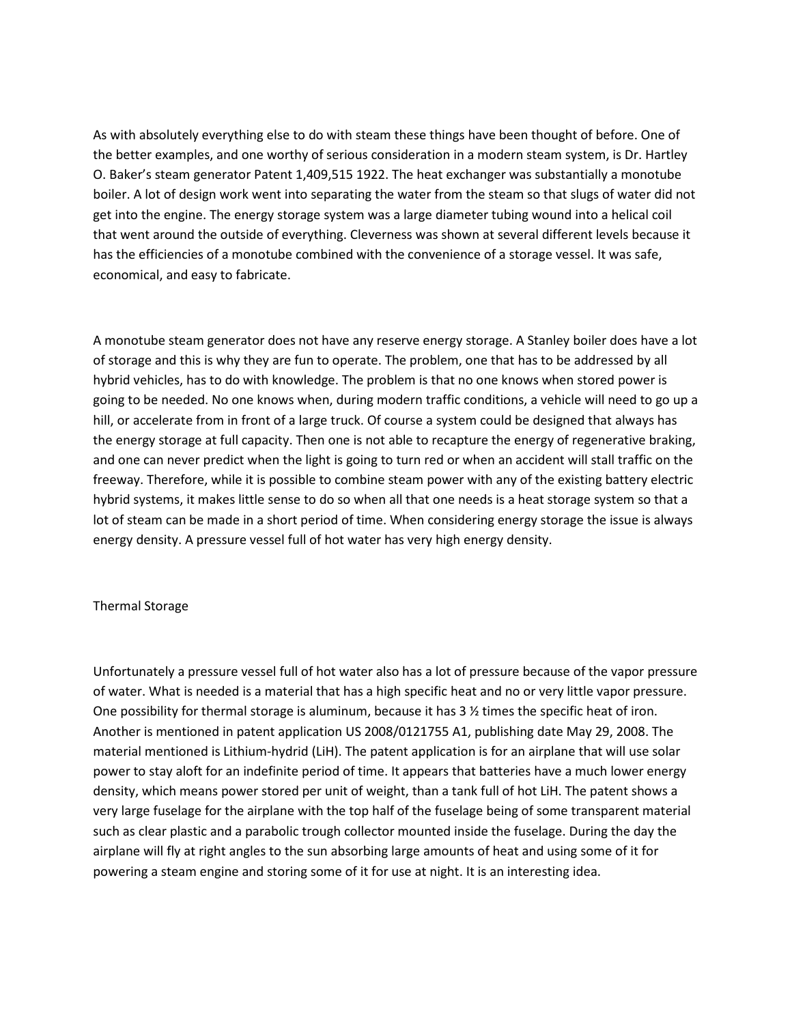As with absolutely everything else to do with steam these things have been thought of before. One of the better examples, and one worthy of serious consideration in a modern steam system, is Dr. Hartley O. Baker's steam generator Patent 1,409,515 1922. The heat exchanger was substantially a monotube boiler. A lot of design work went into separating the water from the steam so that slugs of water did not get into the engine. The energy storage system was a large diameter tubing wound into a helical coil that went around the outside of everything. Cleverness was shown at several different levels because it has the efficiencies of a monotube combined with the convenience of a storage vessel. It was safe, economical, and easy to fabricate.

A monotube steam generator does not have any reserve energy storage. A Stanley boiler does have a lot of storage and this is why they are fun to operate. The problem, one that has to be addressed by all hybrid vehicles, has to do with knowledge. The problem is that no one knows when stored power is going to be needed. No one knows when, during modern traffic conditions, a vehicle will need to go up a hill, or accelerate from in front of a large truck. Of course a system could be designed that always has the energy storage at full capacity. Then one is not able to recapture the energy of regenerative braking, and one can never predict when the light is going to turn red or when an accident will stall traffic on the freeway. Therefore, while it is possible to combine steam power with any of the existing battery electric hybrid systems, it makes little sense to do so when all that one needs is a heat storage system so that a lot of steam can be made in a short period of time. When considering energy storage the issue is always energy density. A pressure vessel full of hot water has very high energy density.

### Thermal Storage

Unfortunately a pressure vessel full of hot water also has a lot of pressure because of the vapor pressure of water. What is needed is a material that has a high specific heat and no or very little vapor pressure. One possibility for thermal storage is aluminum, because it has  $3\frac{1}{2}$  times the specific heat of iron. Another is mentioned in patent application US 2008/0121755 A1, publishing date May 29, 2008. The material mentioned is Lithium-hydrid (LiH). The patent application is for an airplane that will use solar power to stay aloft for an indefinite period of time. It appears that batteries have a much lower energy density, which means power stored per unit of weight, than a tank full of hot LiH. The patent shows a very large fuselage for the airplane with the top half of the fuselage being of some transparent material such as clear plastic and a parabolic trough collector mounted inside the fuselage. During the day the airplane will fly at right angles to the sun absorbing large amounts of heat and using some of it for powering a steam engine and storing some of it for use at night. It is an interesting idea.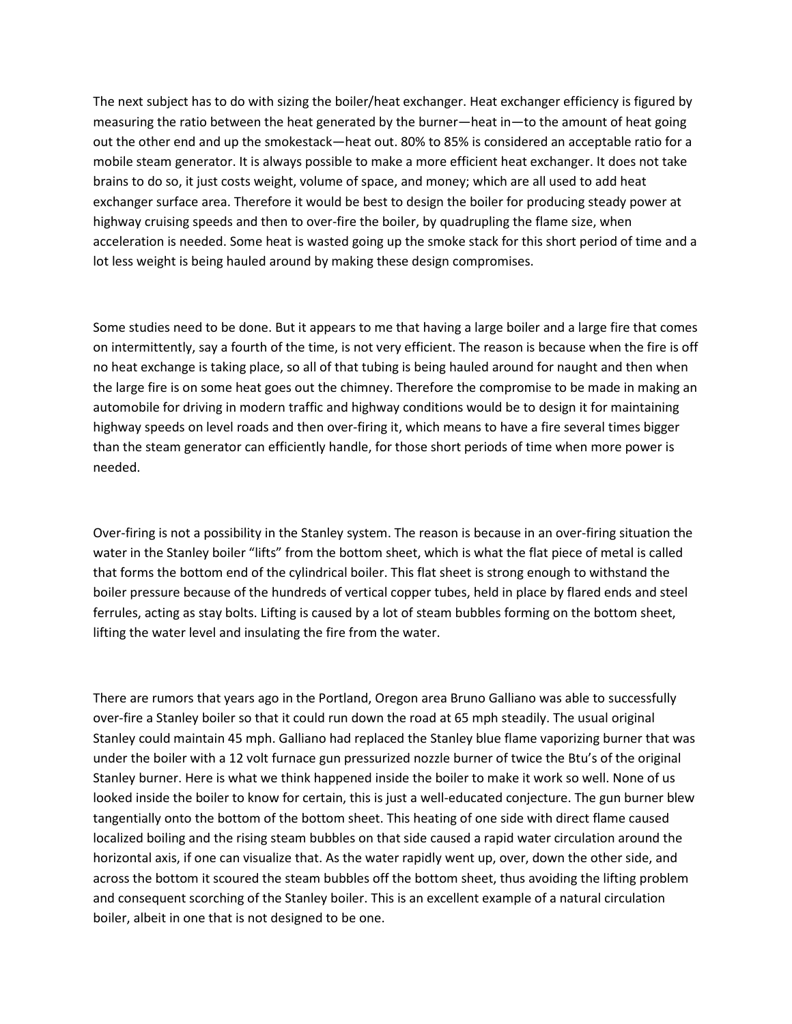The next subject has to do with sizing the boiler/heat exchanger. Heat exchanger efficiency is figured by measuring the ratio between the heat generated by the burner—heat in—to the amount of heat going out the other end and up the smokestack—heat out. 80% to 85% is considered an acceptable ratio for a mobile steam generator. It is always possible to make a more efficient heat exchanger. It does not take brains to do so, it just costs weight, volume of space, and money; which are all used to add heat exchanger surface area. Therefore it would be best to design the boiler for producing steady power at highway cruising speeds and then to over-fire the boiler, by quadrupling the flame size, when acceleration is needed. Some heat is wasted going up the smoke stack for this short period of time and a lot less weight is being hauled around by making these design compromises.

Some studies need to be done. But it appears to me that having a large boiler and a large fire that comes on intermittently, say a fourth of the time, is not very efficient. The reason is because when the fire is off no heat exchange is taking place, so all of that tubing is being hauled around for naught and then when the large fire is on some heat goes out the chimney. Therefore the compromise to be made in making an automobile for driving in modern traffic and highway conditions would be to design it for maintaining highway speeds on level roads and then over-firing it, which means to have a fire several times bigger than the steam generator can efficiently handle, for those short periods of time when more power is needed.

Over-firing is not a possibility in the Stanley system. The reason is because in an over-firing situation the water in the Stanley boiler "lifts" from the bottom sheet, which is what the flat piece of metal is called that forms the bottom end of the cylindrical boiler. This flat sheet is strong enough to withstand the boiler pressure because of the hundreds of vertical copper tubes, held in place by flared ends and steel ferrules, acting as stay bolts. Lifting is caused by a lot of steam bubbles forming on the bottom sheet, lifting the water level and insulating the fire from the water.

There are rumors that years ago in the Portland, Oregon area Bruno Galliano was able to successfully over-fire a Stanley boiler so that it could run down the road at 65 mph steadily. The usual original Stanley could maintain 45 mph. Galliano had replaced the Stanley blue flame vaporizing burner that was under the boiler with a 12 volt furnace gun pressurized nozzle burner of twice the Btu's of the original Stanley burner. Here is what we think happened inside the boiler to make it work so well. None of us looked inside the boiler to know for certain, this is just a well-educated conjecture. The gun burner blew tangentially onto the bottom of the bottom sheet. This heating of one side with direct flame caused localized boiling and the rising steam bubbles on that side caused a rapid water circulation around the horizontal axis, if one can visualize that. As the water rapidly went up, over, down the other side, and across the bottom it scoured the steam bubbles off the bottom sheet, thus avoiding the lifting problem and consequent scorching of the Stanley boiler. This is an excellent example of a natural circulation boiler, albeit in one that is not designed to be one.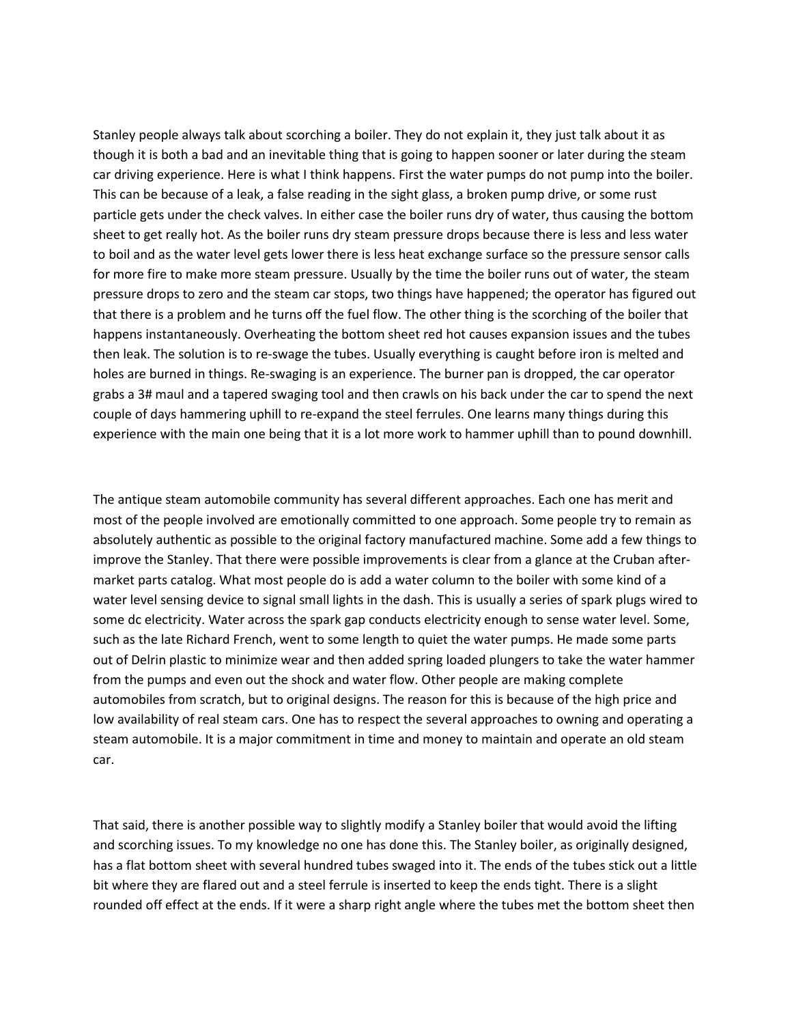Stanley people always talk about scorching a boiler. They do not explain it, they just talk about it as though it is both a bad and an inevitable thing that is going to happen sooner or later during the steam car driving experience. Here is what I think happens. First the water pumps do not pump into the boiler. This can be because of a leak, a false reading in the sight glass, a broken pump drive, or some rust particle gets under the check valves. In either case the boiler runs dry of water, thus causing the bottom sheet to get really hot. As the boiler runs dry steam pressure drops because there is less and less water to boil and as the water level gets lower there is less heat exchange surface so the pressure sensor calls for more fire to make more steam pressure. Usually by the time the boiler runs out of water, the steam pressure drops to zero and the steam car stops, two things have happened; the operator has figured out that there is a problem and he turns off the fuel flow. The other thing is the scorching of the boiler that happens instantaneously. Overheating the bottom sheet red hot causes expansion issues and the tubes then leak. The solution is to re-swage the tubes. Usually everything is caught before iron is melted and holes are burned in things. Re-swaging is an experience. The burner pan is dropped, the car operator grabs a 3# maul and a tapered swaging tool and then crawls on his back under the car to spend the next couple of days hammering uphill to re-expand the steel ferrules. One learns many things during this experience with the main one being that it is a lot more work to hammer uphill than to pound downhill.

The antique steam automobile community has several different approaches. Each one has merit and most of the people involved are emotionally committed to one approach. Some people try to remain as absolutely authentic as possible to the original factory manufactured machine. Some add a few things to improve the Stanley. That there were possible improvements is clear from a glance at the Cruban aftermarket parts catalog. What most people do is add a water column to the boiler with some kind of a water level sensing device to signal small lights in the dash. This is usually a series of spark plugs wired to some dc electricity. Water across the spark gap conducts electricity enough to sense water level. Some, such as the late Richard French, went to some length to quiet the water pumps. He made some parts out of Delrin plastic to minimize wear and then added spring loaded plungers to take the water hammer from the pumps and even out the shock and water flow. Other people are making complete automobiles from scratch, but to original designs. The reason for this is because of the high price and low availability of real steam cars. One has to respect the several approaches to owning and operating a steam automobile. It is a major commitment in time and money to maintain and operate an old steam car.

That said, there is another possible way to slightly modify a Stanley boiler that would avoid the lifting and scorching issues. To my knowledge no one has done this. The Stanley boiler, as originally designed, has a flat bottom sheet with several hundred tubes swaged into it. The ends of the tubes stick out a little bit where they are flared out and a steel ferrule is inserted to keep the ends tight. There is a slight rounded off effect at the ends. If it were a sharp right angle where the tubes met the bottom sheet then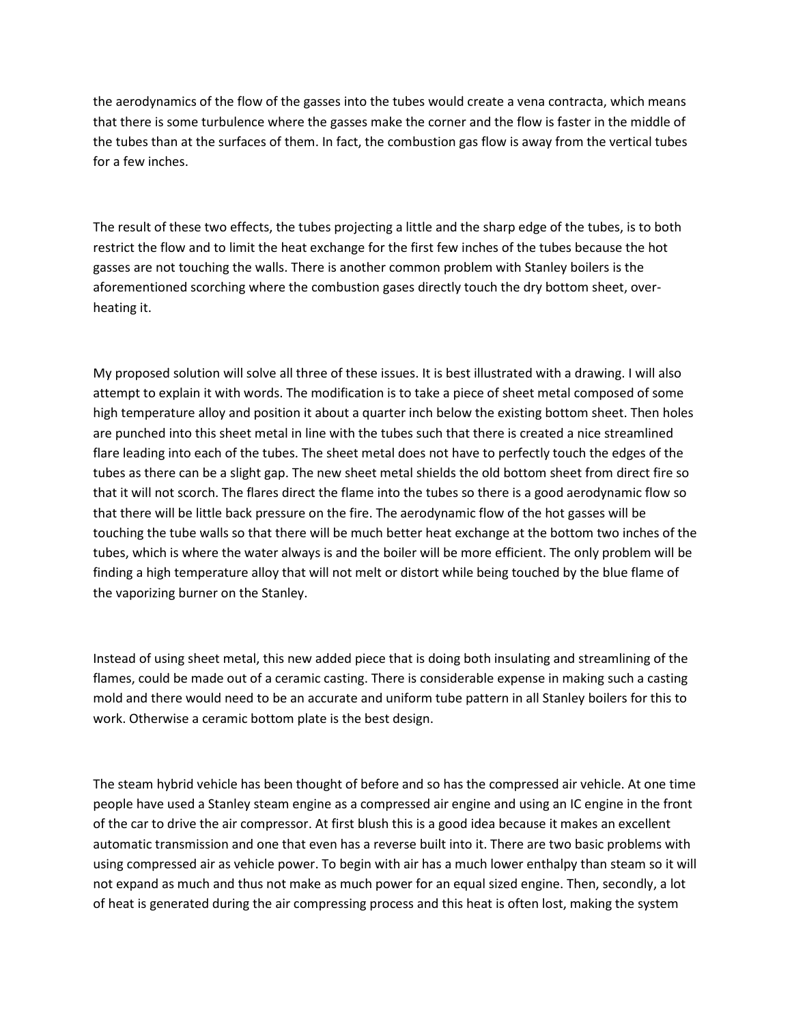the aerodynamics of the flow of the gasses into the tubes would create a vena contracta, which means that there is some turbulence where the gasses make the corner and the flow is faster in the middle of the tubes than at the surfaces of them. In fact, the combustion gas flow is away from the vertical tubes for a few inches.

The result of these two effects, the tubes projecting a little and the sharp edge of the tubes, is to both restrict the flow and to limit the heat exchange for the first few inches of the tubes because the hot gasses are not touching the walls. There is another common problem with Stanley boilers is the aforementioned scorching where the combustion gases directly touch the dry bottom sheet, overheating it.

My proposed solution will solve all three of these issues. It is best illustrated with a drawing. I will also attempt to explain it with words. The modification is to take a piece of sheet metal composed of some high temperature alloy and position it about a quarter inch below the existing bottom sheet. Then holes are punched into this sheet metal in line with the tubes such that there is created a nice streamlined flare leading into each of the tubes. The sheet metal does not have to perfectly touch the edges of the tubes as there can be a slight gap. The new sheet metal shields the old bottom sheet from direct fire so that it will not scorch. The flares direct the flame into the tubes so there is a good aerodynamic flow so that there will be little back pressure on the fire. The aerodynamic flow of the hot gasses will be touching the tube walls so that there will be much better heat exchange at the bottom two inches of the tubes, which is where the water always is and the boiler will be more efficient. The only problem will be finding a high temperature alloy that will not melt or distort while being touched by the blue flame of the vaporizing burner on the Stanley.

Instead of using sheet metal, this new added piece that is doing both insulating and streamlining of the flames, could be made out of a ceramic casting. There is considerable expense in making such a casting mold and there would need to be an accurate and uniform tube pattern in all Stanley boilers for this to work. Otherwise a ceramic bottom plate is the best design.

The steam hybrid vehicle has been thought of before and so has the compressed air vehicle. At one time people have used a Stanley steam engine as a compressed air engine and using an IC engine in the front of the car to drive the air compressor. At first blush this is a good idea because it makes an excellent automatic transmission and one that even has a reverse built into it. There are two basic problems with using compressed air as vehicle power. To begin with air has a much lower enthalpy than steam so it will not expand as much and thus not make as much power for an equal sized engine. Then, secondly, a lot of heat is generated during the air compressing process and this heat is often lost, making the system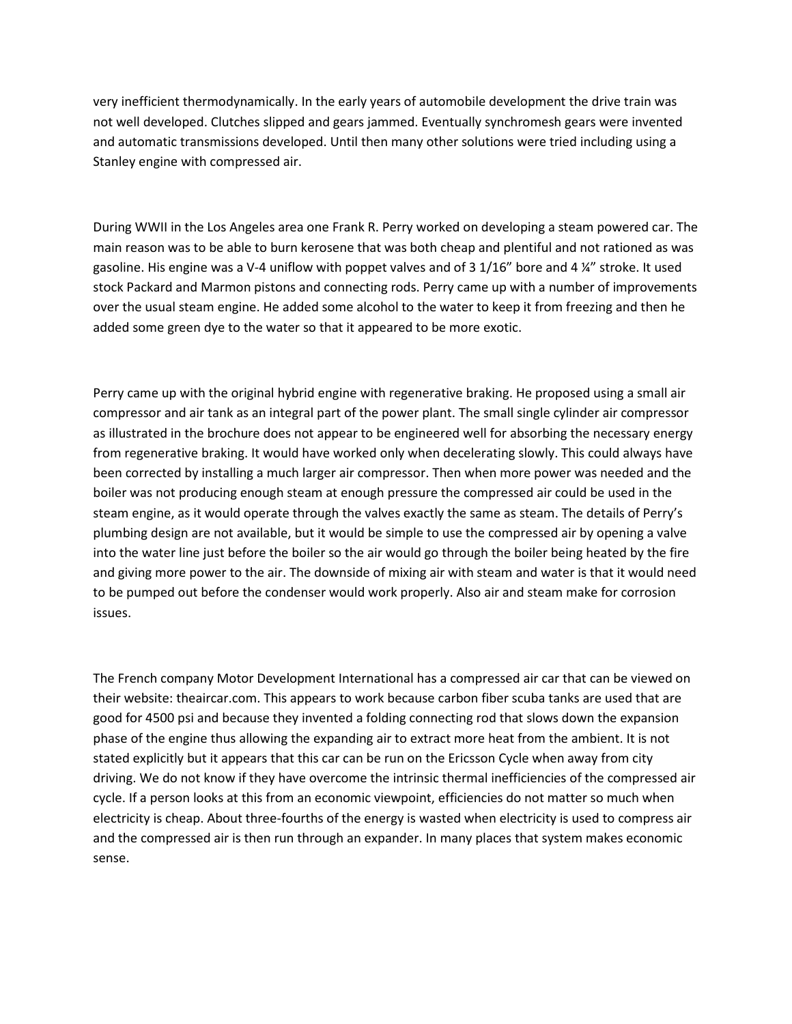very inefficient thermodynamically. In the early years of automobile development the drive train was not well developed. Clutches slipped and gears jammed. Eventually synchromesh gears were invented and automatic transmissions developed. Until then many other solutions were tried including using a Stanley engine with compressed air.

During WWII in the Los Angeles area one Frank R. Perry worked on developing a steam powered car. The main reason was to be able to burn kerosene that was both cheap and plentiful and not rationed as was gasoline. His engine was a V-4 uniflow with poppet valves and of 3 1/16" bore and 4 ¼" stroke. It used stock Packard and Marmon pistons and connecting rods. Perry came up with a number of improvements over the usual steam engine. He added some alcohol to the water to keep it from freezing and then he added some green dye to the water so that it appeared to be more exotic.

Perry came up with the original hybrid engine with regenerative braking. He proposed using a small air compressor and air tank as an integral part of the power plant. The small single cylinder air compressor as illustrated in the brochure does not appear to be engineered well for absorbing the necessary energy from regenerative braking. It would have worked only when decelerating slowly. This could always have been corrected by installing a much larger air compressor. Then when more power was needed and the boiler was not producing enough steam at enough pressure the compressed air could be used in the steam engine, as it would operate through the valves exactly the same as steam. The details of Perry's plumbing design are not available, but it would be simple to use the compressed air by opening a valve into the water line just before the boiler so the air would go through the boiler being heated by the fire and giving more power to the air. The downside of mixing air with steam and water is that it would need to be pumped out before the condenser would work properly. Also air and steam make for corrosion issues.

The French company Motor Development International has a compressed air car that can be viewed on their website: theaircar.com. This appears to work because carbon fiber scuba tanks are used that are good for 4500 psi and because they invented a folding connecting rod that slows down the expansion phase of the engine thus allowing the expanding air to extract more heat from the ambient. It is not stated explicitly but it appears that this car can be run on the Ericsson Cycle when away from city driving. We do not know if they have overcome the intrinsic thermal inefficiencies of the compressed air cycle. If a person looks at this from an economic viewpoint, efficiencies do not matter so much when electricity is cheap. About three-fourths of the energy is wasted when electricity is used to compress air and the compressed air is then run through an expander. In many places that system makes economic sense.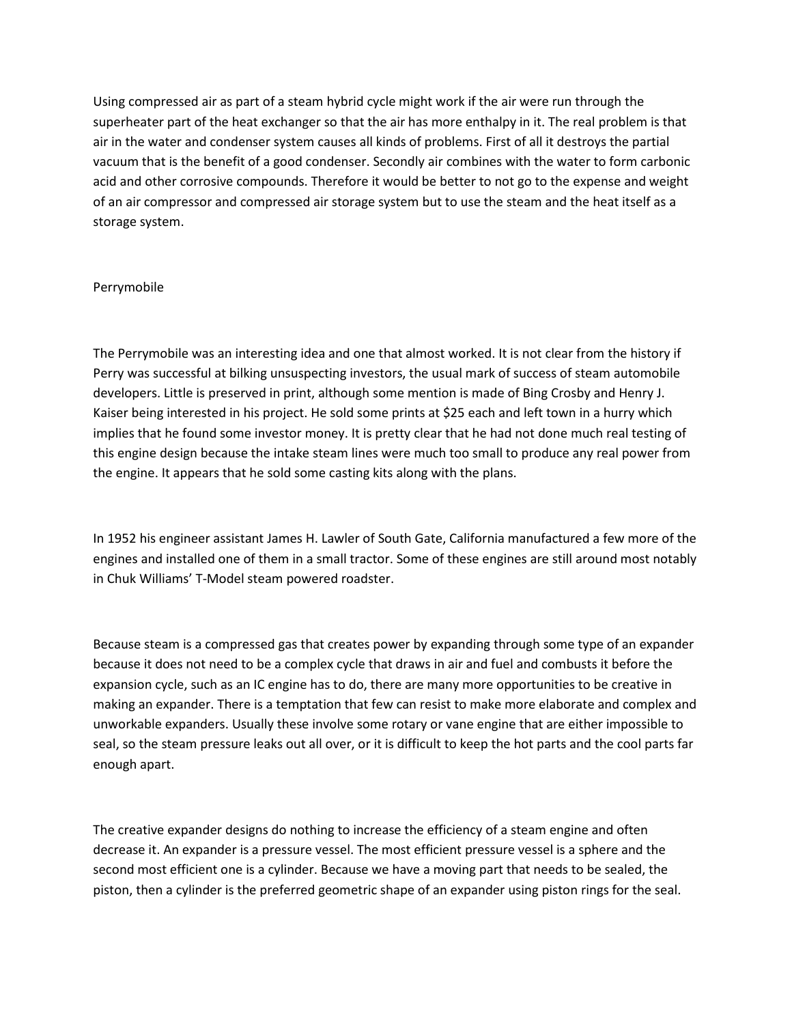Using compressed air as part of a steam hybrid cycle might work if the air were run through the superheater part of the heat exchanger so that the air has more enthalpy in it. The real problem is that air in the water and condenser system causes all kinds of problems. First of all it destroys the partial vacuum that is the benefit of a good condenser. Secondly air combines with the water to form carbonic acid and other corrosive compounds. Therefore it would be better to not go to the expense and weight of an air compressor and compressed air storage system but to use the steam and the heat itself as a storage system.

# Perrymobile

The Perrymobile was an interesting idea and one that almost worked. It is not clear from the history if Perry was successful at bilking unsuspecting investors, the usual mark of success of steam automobile developers. Little is preserved in print, although some mention is made of Bing Crosby and Henry J. Kaiser being interested in his project. He sold some prints at \$25 each and left town in a hurry which implies that he found some investor money. It is pretty clear that he had not done much real testing of this engine design because the intake steam lines were much too small to produce any real power from the engine. It appears that he sold some casting kits along with the plans.

In 1952 his engineer assistant James H. Lawler of South Gate, California manufactured a few more of the engines and installed one of them in a small tractor. Some of these engines are still around most notably in Chuk Williams' T-Model steam powered roadster.

Because steam is a compressed gas that creates power by expanding through some type of an expander because it does not need to be a complex cycle that draws in air and fuel and combusts it before the expansion cycle, such as an IC engine has to do, there are many more opportunities to be creative in making an expander. There is a temptation that few can resist to make more elaborate and complex and unworkable expanders. Usually these involve some rotary or vane engine that are either impossible to seal, so the steam pressure leaks out all over, or it is difficult to keep the hot parts and the cool parts far enough apart.

The creative expander designs do nothing to increase the efficiency of a steam engine and often decrease it. An expander is a pressure vessel. The most efficient pressure vessel is a sphere and the second most efficient one is a cylinder. Because we have a moving part that needs to be sealed, the piston, then a cylinder is the preferred geometric shape of an expander using piston rings for the seal.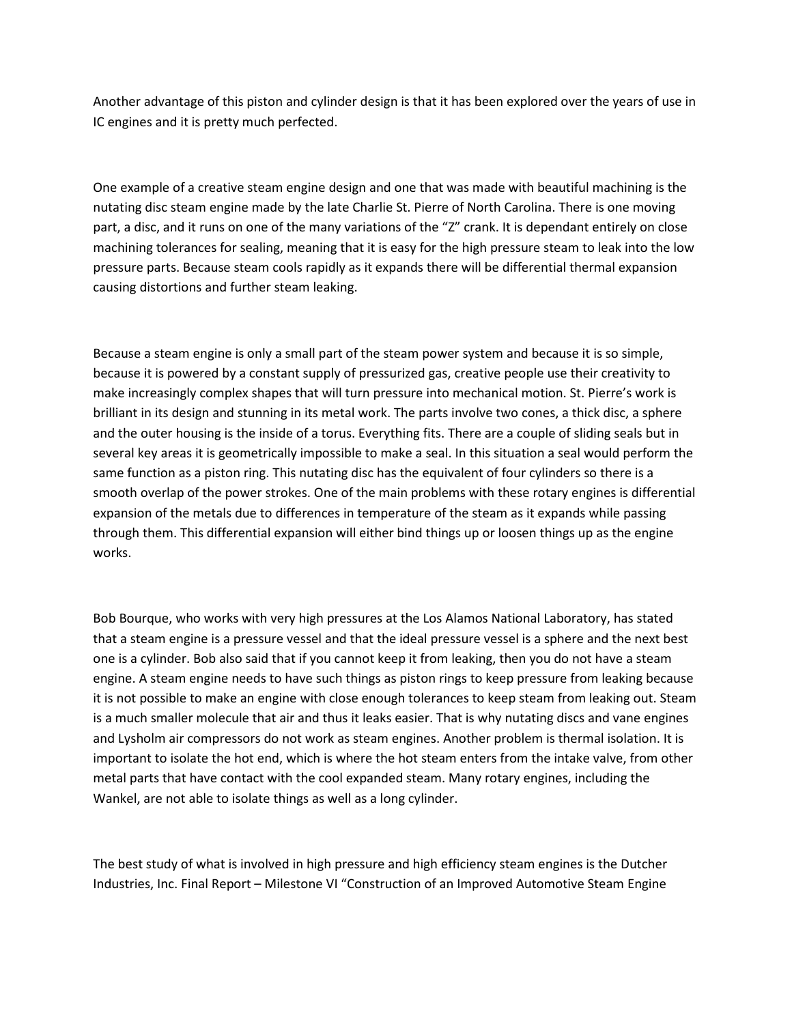Another advantage of this piston and cylinder design is that it has been explored over the years of use in IC engines and it is pretty much perfected.

One example of a creative steam engine design and one that was made with beautiful machining is the nutating disc steam engine made by the late Charlie St. Pierre of North Carolina. There is one moving part, a disc, and it runs on one of the many variations of the "Z" crank. It is dependant entirely on close machining tolerances for sealing, meaning that it is easy for the high pressure steam to leak into the low pressure parts. Because steam cools rapidly as it expands there will be differential thermal expansion causing distortions and further steam leaking.

Because a steam engine is only a small part of the steam power system and because it is so simple, because it is powered by a constant supply of pressurized gas, creative people use their creativity to make increasingly complex shapes that will turn pressure into mechanical motion. St. Pierre's work is brilliant in its design and stunning in its metal work. The parts involve two cones, a thick disc, a sphere and the outer housing is the inside of a torus. Everything fits. There are a couple of sliding seals but in several key areas it is geometrically impossible to make a seal. In this situation a seal would perform the same function as a piston ring. This nutating disc has the equivalent of four cylinders so there is a smooth overlap of the power strokes. One of the main problems with these rotary engines is differential expansion of the metals due to differences in temperature of the steam as it expands while passing through them. This differential expansion will either bind things up or loosen things up as the engine works.

Bob Bourque, who works with very high pressures at the Los Alamos National Laboratory, has stated that a steam engine is a pressure vessel and that the ideal pressure vessel is a sphere and the next best one is a cylinder. Bob also said that if you cannot keep it from leaking, then you do not have a steam engine. A steam engine needs to have such things as piston rings to keep pressure from leaking because it is not possible to make an engine with close enough tolerances to keep steam from leaking out. Steam is a much smaller molecule that air and thus it leaks easier. That is why nutating discs and vane engines and Lysholm air compressors do not work as steam engines. Another problem is thermal isolation. It is important to isolate the hot end, which is where the hot steam enters from the intake valve, from other metal parts that have contact with the cool expanded steam. Many rotary engines, including the Wankel, are not able to isolate things as well as a long cylinder.

The best study of what is involved in high pressure and high efficiency steam engines is the Dutcher Industries, Inc. Final Report – Milestone VI "Construction of an Improved Automotive Steam Engine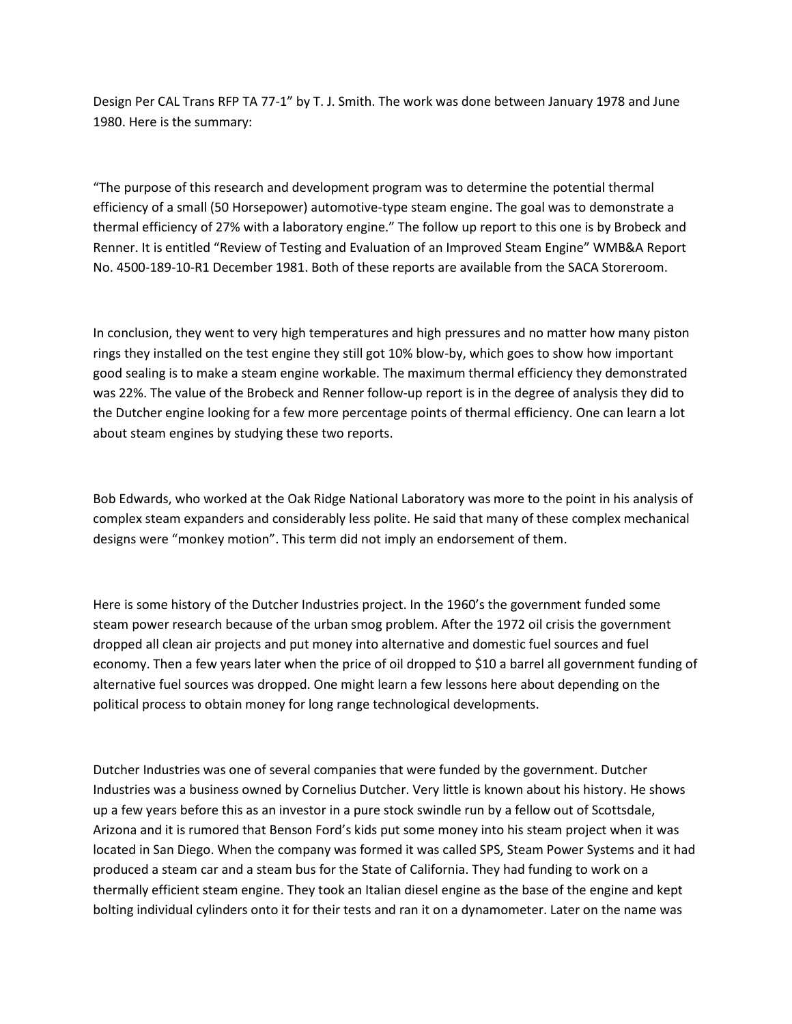Design Per CAL Trans RFP TA 77-1" by T. J. Smith. The work was done between January 1978 and June 1980. Here is the summary:

"The purpose of this research and development program was to determine the potential thermal efficiency of a small (50 Horsepower) automotive-type steam engine. The goal was to demonstrate a thermal efficiency of 27% with a laboratory engine." The follow up report to this one is by Brobeck and Renner. It is entitled "Review of Testing and Evaluation of an Improved Steam Engine" WMB&A Report No. 4500-189-10-R1 December 1981. Both of these reports are available from the SACA Storeroom.

In conclusion, they went to very high temperatures and high pressures and no matter how many piston rings they installed on the test engine they still got 10% blow-by, which goes to show how important good sealing is to make a steam engine workable. The maximum thermal efficiency they demonstrated was 22%. The value of the Brobeck and Renner follow-up report is in the degree of analysis they did to the Dutcher engine looking for a few more percentage points of thermal efficiency. One can learn a lot about steam engines by studying these two reports.

Bob Edwards, who worked at the Oak Ridge National Laboratory was more to the point in his analysis of complex steam expanders and considerably less polite. He said that many of these complex mechanical designs were "monkey motion". This term did not imply an endorsement of them.

Here is some history of the Dutcher Industries project. In the 1960's the government funded some steam power research because of the urban smog problem. After the 1972 oil crisis the government dropped all clean air projects and put money into alternative and domestic fuel sources and fuel economy. Then a few years later when the price of oil dropped to \$10 a barrel all government funding of alternative fuel sources was dropped. One might learn a few lessons here about depending on the political process to obtain money for long range technological developments.

Dutcher Industries was one of several companies that were funded by the government. Dutcher Industries was a business owned by Cornelius Dutcher. Very little is known about his history. He shows up a few years before this as an investor in a pure stock swindle run by a fellow out of Scottsdale, Arizona and it is rumored that Benson Ford's kids put some money into his steam project when it was located in San Diego. When the company was formed it was called SPS, Steam Power Systems and it had produced a steam car and a steam bus for the State of California. They had funding to work on a thermally efficient steam engine. They took an Italian diesel engine as the base of the engine and kept bolting individual cylinders onto it for their tests and ran it on a dynamometer. Later on the name was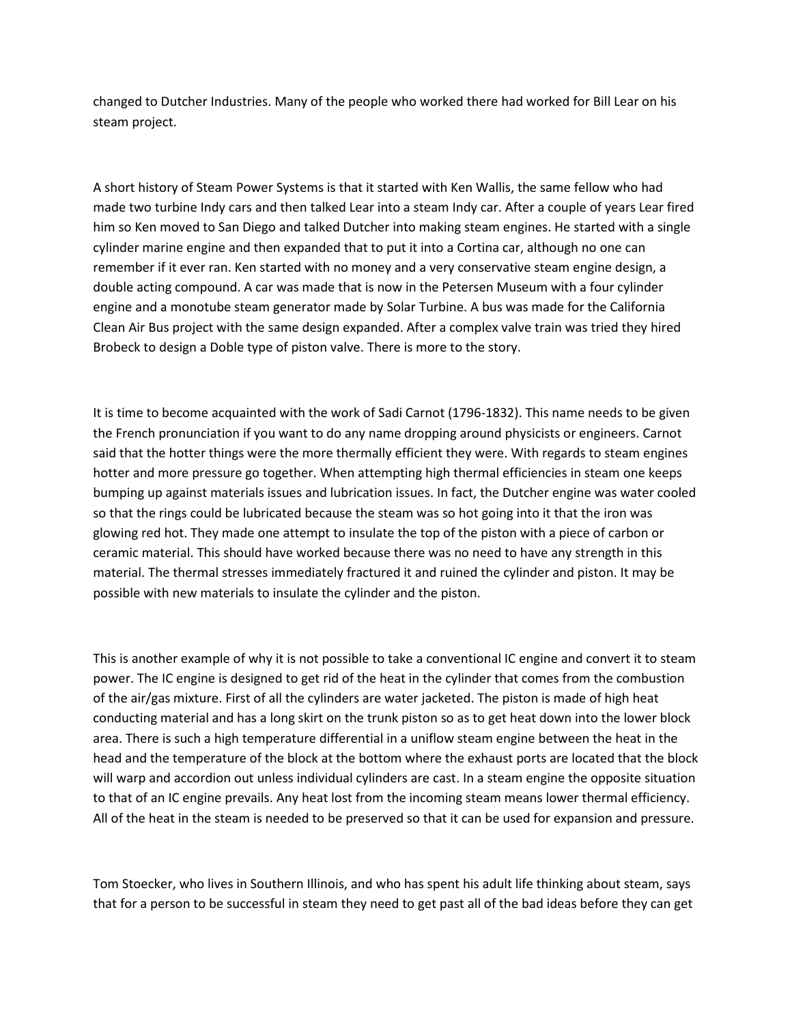changed to Dutcher Industries. Many of the people who worked there had worked for Bill Lear on his steam project.

A short history of Steam Power Systems is that it started with Ken Wallis, the same fellow who had made two turbine Indy cars and then talked Lear into a steam Indy car. After a couple of years Lear fired him so Ken moved to San Diego and talked Dutcher into making steam engines. He started with a single cylinder marine engine and then expanded that to put it into a Cortina car, although no one can remember if it ever ran. Ken started with no money and a very conservative steam engine design, a double acting compound. A car was made that is now in the Petersen Museum with a four cylinder engine and a monotube steam generator made by Solar Turbine. A bus was made for the California Clean Air Bus project with the same design expanded. After a complex valve train was tried they hired Brobeck to design a Doble type of piston valve. There is more to the story.

It is time to become acquainted with the work of Sadi Carnot (1796-1832). This name needs to be given the French pronunciation if you want to do any name dropping around physicists or engineers. Carnot said that the hotter things were the more thermally efficient they were. With regards to steam engines hotter and more pressure go together. When attempting high thermal efficiencies in steam one keeps bumping up against materials issues and lubrication issues. In fact, the Dutcher engine was water cooled so that the rings could be lubricated because the steam was so hot going into it that the iron was glowing red hot. They made one attempt to insulate the top of the piston with a piece of carbon or ceramic material. This should have worked because there was no need to have any strength in this material. The thermal stresses immediately fractured it and ruined the cylinder and piston. It may be possible with new materials to insulate the cylinder and the piston.

This is another example of why it is not possible to take a conventional IC engine and convert it to steam power. The IC engine is designed to get rid of the heat in the cylinder that comes from the combustion of the air/gas mixture. First of all the cylinders are water jacketed. The piston is made of high heat conducting material and has a long skirt on the trunk piston so as to get heat down into the lower block area. There is such a high temperature differential in a uniflow steam engine between the heat in the head and the temperature of the block at the bottom where the exhaust ports are located that the block will warp and accordion out unless individual cylinders are cast. In a steam engine the opposite situation to that of an IC engine prevails. Any heat lost from the incoming steam means lower thermal efficiency. All of the heat in the steam is needed to be preserved so that it can be used for expansion and pressure.

Tom Stoecker, who lives in Southern Illinois, and who has spent his adult life thinking about steam, says that for a person to be successful in steam they need to get past all of the bad ideas before they can get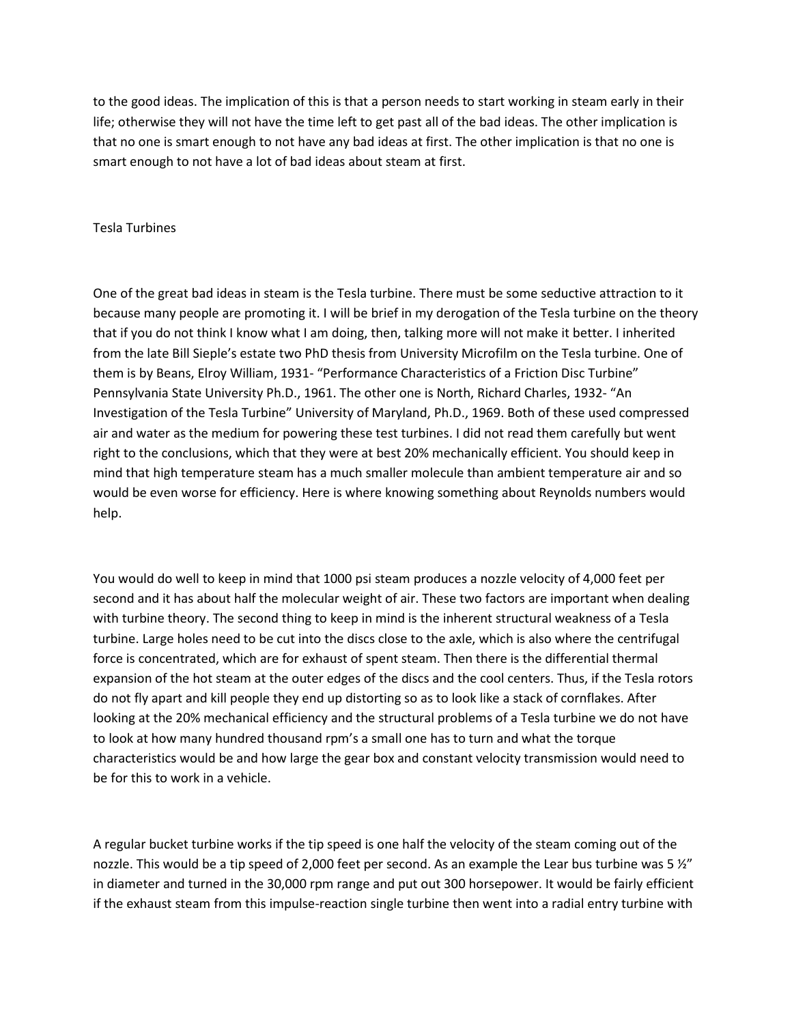to the good ideas. The implication of this is that a person needs to start working in steam early in their life; otherwise they will not have the time left to get past all of the bad ideas. The other implication is that no one is smart enough to not have any bad ideas at first. The other implication is that no one is smart enough to not have a lot of bad ideas about steam at first.

# Tesla Turbines

One of the great bad ideas in steam is the Tesla turbine. There must be some seductive attraction to it because many people are promoting it. I will be brief in my derogation of the Tesla turbine on the theory that if you do not think I know what I am doing, then, talking more will not make it better. I inherited from the late Bill Sieple's estate two PhD thesis from University Microfilm on the Tesla turbine. One of them is by Beans, Elroy William, 1931- "Performance Characteristics of a Friction Disc Turbine" Pennsylvania State University Ph.D., 1961. The other one is North, Richard Charles, 1932- "An Investigation of the Tesla Turbine" University of Maryland, Ph.D., 1969. Both of these used compressed air and water as the medium for powering these test turbines. I did not read them carefully but went right to the conclusions, which that they were at best 20% mechanically efficient. You should keep in mind that high temperature steam has a much smaller molecule than ambient temperature air and so would be even worse for efficiency. Here is where knowing something about Reynolds numbers would help.

You would do well to keep in mind that 1000 psi steam produces a nozzle velocity of 4,000 feet per second and it has about half the molecular weight of air. These two factors are important when dealing with turbine theory. The second thing to keep in mind is the inherent structural weakness of a Tesla turbine. Large holes need to be cut into the discs close to the axle, which is also where the centrifugal force is concentrated, which are for exhaust of spent steam. Then there is the differential thermal expansion of the hot steam at the outer edges of the discs and the cool centers. Thus, if the Tesla rotors do not fly apart and kill people they end up distorting so as to look like a stack of cornflakes. After looking at the 20% mechanical efficiency and the structural problems of a Tesla turbine we do not have to look at how many hundred thousand rpm's a small one has to turn and what the torque characteristics would be and how large the gear box and constant velocity transmission would need to be for this to work in a vehicle.

A regular bucket turbine works if the tip speed is one half the velocity of the steam coming out of the nozzle. This would be a tip speed of 2,000 feet per second. As an example the Lear bus turbine was 5  $\frac{y^{\prime\prime}}{x^{\prime}}$ in diameter and turned in the 30,000 rpm range and put out 300 horsepower. It would be fairly efficient if the exhaust steam from this impulse-reaction single turbine then went into a radial entry turbine with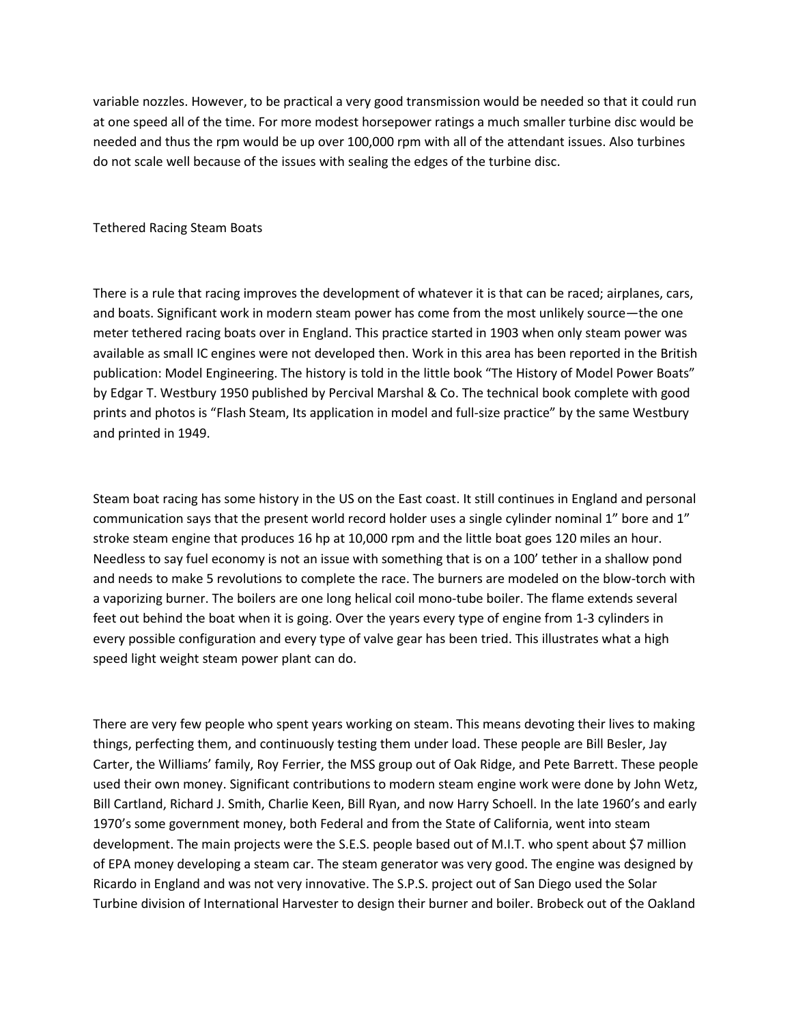variable nozzles. However, to be practical a very good transmission would be needed so that it could run at one speed all of the time. For more modest horsepower ratings a much smaller turbine disc would be needed and thus the rpm would be up over 100,000 rpm with all of the attendant issues. Also turbines do not scale well because of the issues with sealing the edges of the turbine disc.

Tethered Racing Steam Boats

There is a rule that racing improves the development of whatever it is that can be raced; airplanes, cars, and boats. Significant work in modern steam power has come from the most unlikely source—the one meter tethered racing boats over in England. This practice started in 1903 when only steam power was available as small IC engines were not developed then. Work in this area has been reported in the British publication: Model Engineering. The history is told in the little book "The History of Model Power Boats" by Edgar T. Westbury 1950 published by Percival Marshal & Co. The technical book complete with good prints and photos is "Flash Steam, Its application in model and full-size practice" by the same Westbury and printed in 1949.

Steam boat racing has some history in the US on the East coast. It still continues in England and personal communication says that the present world record holder uses a single cylinder nominal 1" bore and 1" stroke steam engine that produces 16 hp at 10,000 rpm and the little boat goes 120 miles an hour. Needless to say fuel economy is not an issue with something that is on a 100' tether in a shallow pond and needs to make 5 revolutions to complete the race. The burners are modeled on the blow-torch with a vaporizing burner. The boilers are one long helical coil mono-tube boiler. The flame extends several feet out behind the boat when it is going. Over the years every type of engine from 1-3 cylinders in every possible configuration and every type of valve gear has been tried. This illustrates what a high speed light weight steam power plant can do.

There are very few people who spent years working on steam. This means devoting their lives to making things, perfecting them, and continuously testing them under load. These people are Bill Besler, Jay Carter, the Williams' family, Roy Ferrier, the MSS group out of Oak Ridge, and Pete Barrett. These people used their own money. Significant contributions to modern steam engine work were done by John Wetz, Bill Cartland, Richard J. Smith, Charlie Keen, Bill Ryan, and now Harry Schoell. In the late 1960's and early 1970's some government money, both Federal and from the State of California, went into steam development. The main projects were the S.E.S. people based out of M.I.T. who spent about \$7 million of EPA money developing a steam car. The steam generator was very good. The engine was designed by Ricardo in England and was not very innovative. The S.P.S. project out of San Diego used the Solar Turbine division of International Harvester to design their burner and boiler. Brobeck out of the Oakland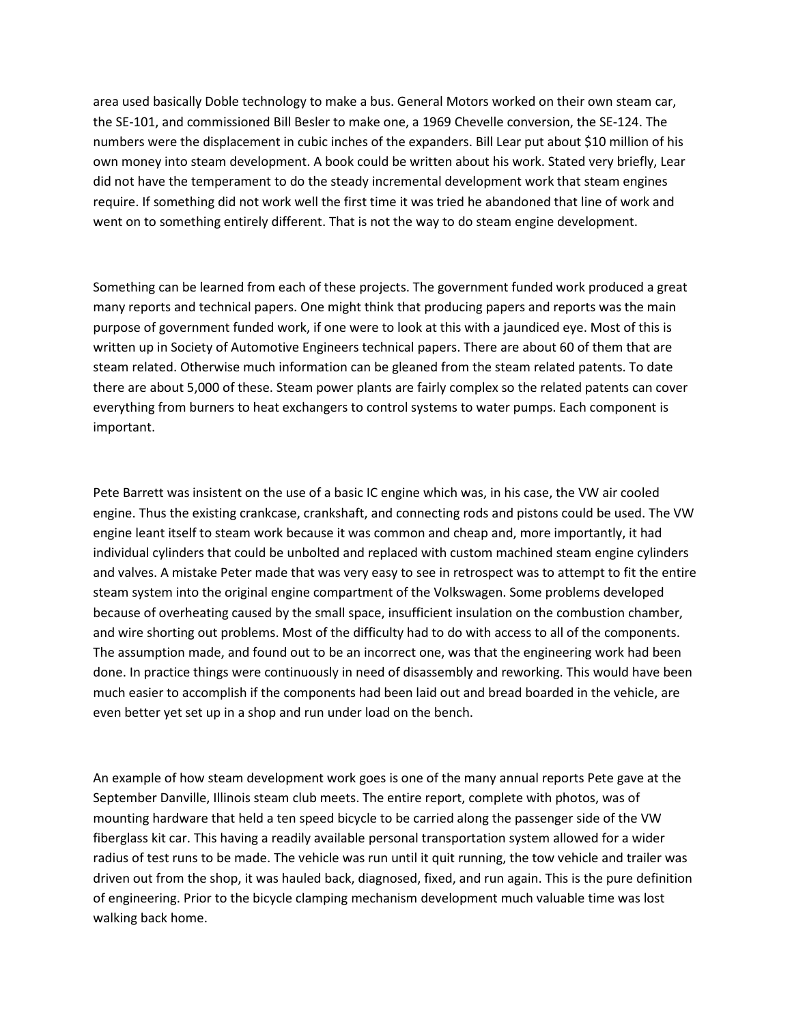area used basically Doble technology to make a bus. General Motors worked on their own steam car, the SE-101, and commissioned Bill Besler to make one, a 1969 Chevelle conversion, the SE-124. The numbers were the displacement in cubic inches of the expanders. Bill Lear put about \$10 million of his own money into steam development. A book could be written about his work. Stated very briefly, Lear did not have the temperament to do the steady incremental development work that steam engines require. If something did not work well the first time it was tried he abandoned that line of work and went on to something entirely different. That is not the way to do steam engine development.

Something can be learned from each of these projects. The government funded work produced a great many reports and technical papers. One might think that producing papers and reports was the main purpose of government funded work, if one were to look at this with a jaundiced eye. Most of this is written up in Society of Automotive Engineers technical papers. There are about 60 of them that are steam related. Otherwise much information can be gleaned from the steam related patents. To date there are about 5,000 of these. Steam power plants are fairly complex so the related patents can cover everything from burners to heat exchangers to control systems to water pumps. Each component is important.

Pete Barrett was insistent on the use of a basic IC engine which was, in his case, the VW air cooled engine. Thus the existing crankcase, crankshaft, and connecting rods and pistons could be used. The VW engine leant itself to steam work because it was common and cheap and, more importantly, it had individual cylinders that could be unbolted and replaced with custom machined steam engine cylinders and valves. A mistake Peter made that was very easy to see in retrospect was to attempt to fit the entire steam system into the original engine compartment of the Volkswagen. Some problems developed because of overheating caused by the small space, insufficient insulation on the combustion chamber, and wire shorting out problems. Most of the difficulty had to do with access to all of the components. The assumption made, and found out to be an incorrect one, was that the engineering work had been done. In practice things were continuously in need of disassembly and reworking. This would have been much easier to accomplish if the components had been laid out and bread boarded in the vehicle, are even better yet set up in a shop and run under load on the bench.

An example of how steam development work goes is one of the many annual reports Pete gave at the September Danville, Illinois steam club meets. The entire report, complete with photos, was of mounting hardware that held a ten speed bicycle to be carried along the passenger side of the VW fiberglass kit car. This having a readily available personal transportation system allowed for a wider radius of test runs to be made. The vehicle was run until it quit running, the tow vehicle and trailer was driven out from the shop, it was hauled back, diagnosed, fixed, and run again. This is the pure definition of engineering. Prior to the bicycle clamping mechanism development much valuable time was lost walking back home.